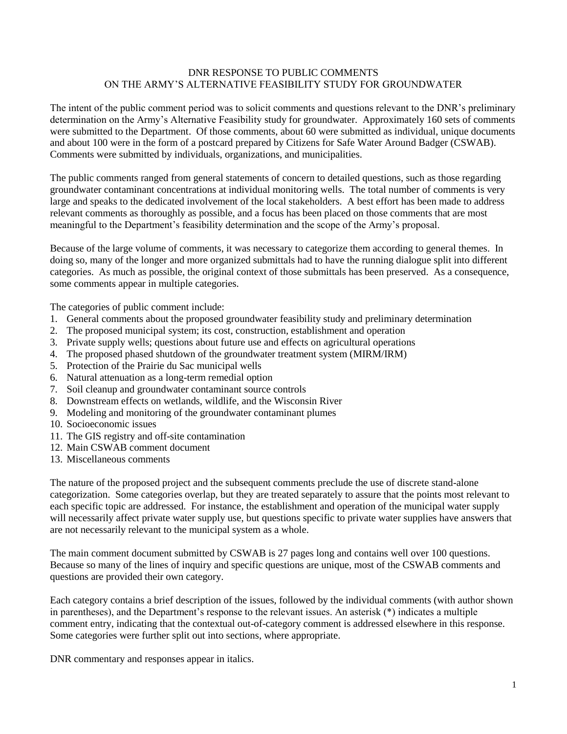### DNR RESPONSE TO PUBLIC COMMENTS ON THE ARMY'S ALTERNATIVE FEASIBILITY STUDY FOR GROUNDWATER

The intent of the public comment period was to solicit comments and questions relevant to the DNR's preliminary determination on the Army's Alternative Feasibility study for groundwater. Approximately 160 sets of comments were submitted to the Department. Of those comments, about 60 were submitted as individual, unique documents and about 100 were in the form of a postcard prepared by Citizens for Safe Water Around Badger (CSWAB). Comments were submitted by individuals, organizations, and municipalities.

The public comments ranged from general statements of concern to detailed questions, such as those regarding groundwater contaminant concentrations at individual monitoring wells. The total number of comments is very large and speaks to the dedicated involvement of the local stakeholders. A best effort has been made to address relevant comments as thoroughly as possible, and a focus has been placed on those comments that are most meaningful to the Department's feasibility determination and the scope of the Army's proposal.

Because of the large volume of comments, it was necessary to categorize them according to general themes. In doing so, many of the longer and more organized submittals had to have the running dialogue split into different categories. As much as possible, the original context of those submittals has been preserved. As a consequence, some comments appear in multiple categories.

The categories of public comment include:

- 1. General comments about the proposed groundwater feasibility study and preliminary determination
- 2. The proposed municipal system; its cost, construction, establishment and operation
- 3. Private supply wells; questions about future use and effects on agricultural operations
- 4. The proposed phased shutdown of the groundwater treatment system (MIRM/IRM)
- 5. Protection of the Prairie du Sac municipal wells
- 6. Natural attenuation as a long-term remedial option
- 7. Soil cleanup and groundwater contaminant source controls
- 8. Downstream effects on wetlands, wildlife, and the Wisconsin River
- 9. Modeling and monitoring of the groundwater contaminant plumes
- 10. Socioeconomic issues
- 11. The GIS registry and off-site contamination
- 12. Main CSWAB comment document
- 13. Miscellaneous comments

The nature of the proposed project and the subsequent comments preclude the use of discrete stand-alone categorization. Some categories overlap, but they are treated separately to assure that the points most relevant to each specific topic are addressed. For instance, the establishment and operation of the municipal water supply will necessarily affect private water supply use, but questions specific to private water supplies have answers that are not necessarily relevant to the municipal system as a whole.

The main comment document submitted by CSWAB is 27 pages long and contains well over 100 questions. Because so many of the lines of inquiry and specific questions are unique, most of the CSWAB comments and questions are provided their own category.

Each category contains a brief description of the issues, followed by the individual comments (with author shown in parentheses), and the Department's response to the relevant issues. An asterisk (\*) indicates a multiple comment entry, indicating that the contextual out-of-category comment is addressed elsewhere in this response. Some categories were further split out into sections, where appropriate.

DNR commentary and responses appear in italics.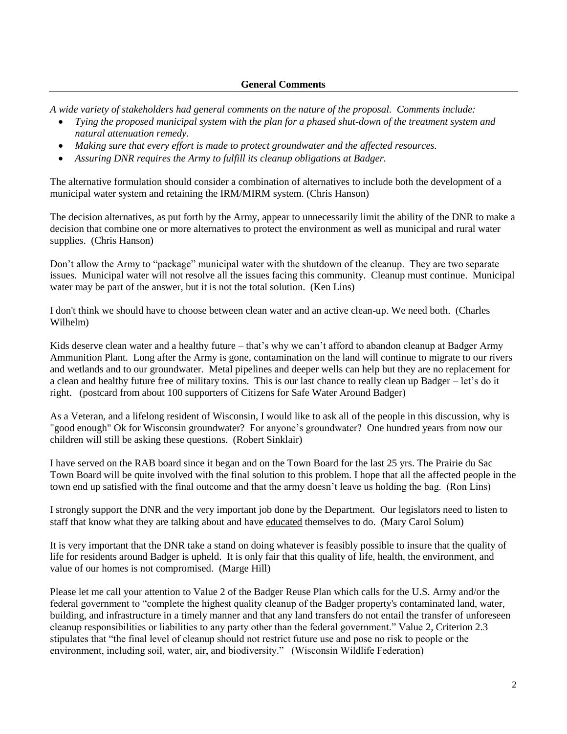# **General Comments**

*A wide variety of stakeholders had general comments on the nature of the proposal. Comments include:*

- *Tying the proposed municipal system with the plan for a phased shut-down of the treatment system and natural attenuation remedy.*
- *Making sure that every effort is made to protect groundwater and the affected resources.*
- *Assuring DNR requires the Army to fulfill its cleanup obligations at Badger.*

The alternative formulation should consider a combination of alternatives to include both the development of a municipal water system and retaining the IRM/MIRM system. (Chris Hanson)

The decision alternatives, as put forth by the Army, appear to unnecessarily limit the ability of the DNR to make a decision that combine one or more alternatives to protect the environment as well as municipal and rural water supplies. (Chris Hanson)

Don't allow the Army to "package" municipal water with the shutdown of the cleanup. They are two separate issues. Municipal water will not resolve all the issues facing this community. Cleanup must continue. Municipal water may be part of the answer, but it is not the total solution. (Ken Lins)

I don't think we should have to choose between clean water and an active clean-up. We need both. (Charles Wilhelm)

Kids deserve clean water and a healthy future – that's why we can't afford to abandon cleanup at Badger Army Ammunition Plant. Long after the Army is gone, contamination on the land will continue to migrate to our rivers and wetlands and to our groundwater. Metal pipelines and deeper wells can help but they are no replacement for a clean and healthy future free of military toxins. This is our last chance to really clean up Badger – let's do it right. (postcard from about 100 supporters of Citizens for Safe Water Around Badger)

As a Veteran, and a lifelong resident of Wisconsin, I would like to ask all of the people in this discussion, why is "good enough" Ok for Wisconsin groundwater? For anyone's groundwater? One hundred years from now our children will still be asking these questions. (Robert Sinklair)

I have served on the RAB board since it began and on the Town Board for the last 25 yrs. The Prairie du Sac Town Board will be quite involved with the final solution to this problem. I hope that all the affected people in the town end up satisfied with the final outcome and that the army doesn't leave us holding the bag. (Ron Lins)

I strongly support the DNR and the very important job done by the Department. Our legislators need to listen to staff that know what they are talking about and have educated themselves to do. (Mary Carol Solum)

It is very important that the DNR take a stand on doing whatever is feasibly possible to insure that the quality of life for residents around Badger is upheld. It is only fair that this quality of life, health, the environment, and value of our homes is not compromised. (Marge Hill)

Please let me call your attention to Value 2 of the Badger Reuse Plan which calls for the U.S. Army and/or the federal government to "complete the highest quality cleanup of the Badger property's contaminated land, water, building, and infrastructure in a timely manner and that any land transfers do not entail the transfer of unforeseen cleanup responsibilities or liabilities to any party other than the federal government." Value 2, Criterion 2.3 stipulates that "the final level of cleanup should not restrict future use and pose no risk to people or the environment, including soil, water, air, and biodiversity." (Wisconsin Wildlife Federation)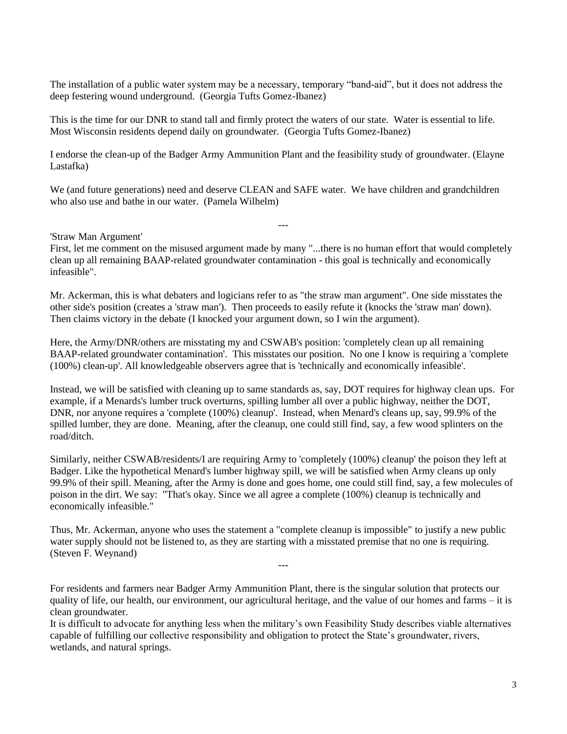The installation of a public water system may be a necessary, temporary "band-aid", but it does not address the deep festering wound underground. (Georgia Tufts Gomez-Ibanez)

This is the time for our DNR to stand tall and firmly protect the waters of our state. Water is essential to life. Most Wisconsin residents depend daily on groundwater. (Georgia Tufts Gomez-Ibanez)

I endorse the clean-up of the Badger Army Ammunition Plant and the feasibility study of groundwater. (Elayne Lastafka)

We (and future generations) need and deserve CLEAN and SAFE water. We have children and grandchildren who also use and bathe in our water. (Pamela Wilhelm)

#### 'Straw Man Argument'

First, let me comment on the misused argument made by many "...there is no human effort that would completely clean up all remaining BAAP-related groundwater contamination - this goal is technically and economically infeasible".

---

Mr. Ackerman, this is what debaters and logicians refer to as "the straw man argument". One side misstates the other side's position (creates a 'straw man'). Then proceeds to easily refute it (knocks the 'straw man' down). Then claims victory in the debate (I knocked your argument down, so I win the argument).

Here, the Army/DNR/others are misstating my and CSWAB's position: 'completely clean up all remaining BAAP-related groundwater contamination'. This misstates our position. No one I know is requiring a 'complete (100%) clean-up'. All knowledgeable observers agree that is 'technically and economically infeasible'.

Instead, we will be satisfied with cleaning up to same standards as, say, DOT requires for highway clean ups. For example, if a Menards's lumber truck overturns, spilling lumber all over a public highway, neither the DOT, DNR, nor anyone requires a 'complete (100%) cleanup'. Instead, when Menard's cleans up, say, 99.9% of the spilled lumber, they are done. Meaning, after the cleanup, one could still find, say, a few wood splinters on the road/ditch.

Similarly, neither CSWAB/residents/I are requiring Army to 'completely (100%) cleanup' the poison they left at Badger. Like the hypothetical Menard's lumber highway spill, we will be satisfied when Army cleans up only 99.9% of their spill. Meaning, after the Army is done and goes home, one could still find, say, a few molecules of poison in the dirt. We say: "That's okay. Since we all agree a complete (100%) cleanup is technically and economically infeasible."

Thus, Mr. Ackerman, anyone who uses the statement a "complete cleanup is impossible" to justify a new public water supply should not be listened to, as they are starting with a misstated premise that no one is requiring. (Steven F. Weynand)

For residents and farmers near Badger Army Ammunition Plant, there is the singular solution that protects our quality of life, our health, our environment, our agricultural heritage, and the value of our homes and farms – it is clean groundwater.

---

It is difficult to advocate for anything less when the military's own Feasibility Study describes viable alternatives capable of fulfilling our collective responsibility and obligation to protect the State's groundwater, rivers, wetlands, and natural springs.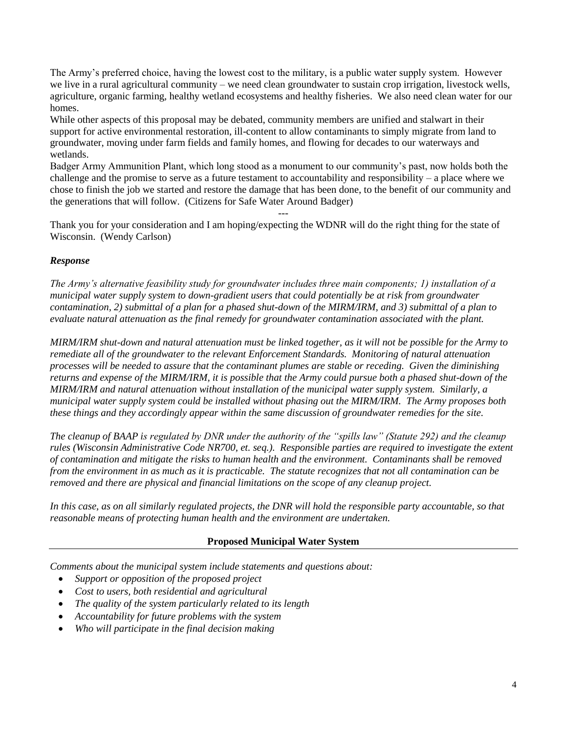The Army's preferred choice, having the lowest cost to the military, is a public water supply system. However we live in a rural agricultural community – we need clean groundwater to sustain crop irrigation, livestock wells, agriculture, organic farming, healthy wetland ecosystems and healthy fisheries. We also need clean water for our homes.

While other aspects of this proposal may be debated, community members are unified and stalwart in their support for active environmental restoration, ill-content to allow contaminants to simply migrate from land to groundwater, moving under farm fields and family homes, and flowing for decades to our waterways and wetlands.

Badger Army Ammunition Plant, which long stood as a monument to our community's past, now holds both the challenge and the promise to serve as a future testament to accountability and responsibility – a place where we chose to finish the job we started and restore the damage that has been done, to the benefit of our community and the generations that will follow. (Citizens for Safe Water Around Badger)

---

Thank you for your consideration and I am hoping/expecting the WDNR will do the right thing for the state of Wisconsin. (Wendy Carlson)

# *Response*

*The Army's alternative feasibility study for groundwater includes three main components; 1) installation of a municipal water supply system to down-gradient users that could potentially be at risk from groundwater contamination, 2) submittal of a plan for a phased shut-down of the MIRM/IRM, and 3) submittal of a plan to evaluate natural attenuation as the final remedy for groundwater contamination associated with the plant.*

*MIRM/IRM shut-down and natural attenuation must be linked together, as it will not be possible for the Army to remediate all of the groundwater to the relevant Enforcement Standards. Monitoring of natural attenuation processes will be needed to assure that the contaminant plumes are stable or receding. Given the diminishing returns and expense of the MIRM/IRM, it is possible that the Army could pursue both a phased shut-down of the MIRM/IRM and natural attenuation without installation of the municipal water supply system. Similarly, a municipal water supply system could be installed without phasing out the MIRM/IRM. The Army proposes both these things and they accordingly appear within the same discussion of groundwater remedies for the site.*

*The cleanup of BAAP is regulated by DNR under the authority of the "spills law" (Statute 292) and the cleanup rules (Wisconsin Administrative Code NR700, et. seq.). Responsible parties are required to investigate the extent of contamination and mitigate the risks to human health and the environment. Contaminants shall be removed from the environment in as much as it is practicable. The statute recognizes that not all contamination can be removed and there are physical and financial limitations on the scope of any cleanup project.* 

In this case, as on all similarly regulated projects, the DNR will hold the responsible party accountable, so that *reasonable means of protecting human health and the environment are undertaken.*

### **Proposed Municipal Water System**

*Comments about the municipal system include statements and questions about:*

- *Support or opposition of the proposed project*
- *Cost to users, both residential and agricultural*
- *The quality of the system particularly related to its length*
- *Accountability for future problems with the system*
- *Who will participate in the final decision making*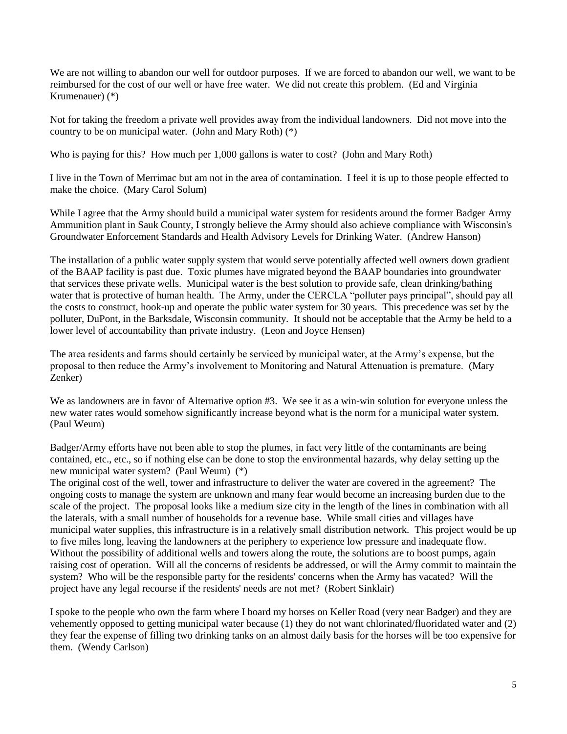We are not willing to abandon our well for outdoor purposes. If we are forced to abandon our well, we want to be reimbursed for the cost of our well or have free water. We did not create this problem. (Ed and Virginia Krumenauer) (\*)

Not for taking the freedom a private well provides away from the individual landowners. Did not move into the country to be on municipal water. (John and Mary Roth) (\*)

Who is paying for this? How much per 1,000 gallons is water to cost? (John and Mary Roth)

I live in the Town of Merrimac but am not in the area of contamination. I feel it is up to those people effected to make the choice. (Mary Carol Solum)

While I agree that the Army should build a municipal water system for residents around the former Badger Army Ammunition plant in Sauk County, I strongly believe the Army should also achieve compliance with Wisconsin's Groundwater Enforcement Standards and Health Advisory Levels for Drinking Water. (Andrew Hanson)

The installation of a public water supply system that would serve potentially affected well owners down gradient of the BAAP facility is past due. Toxic plumes have migrated beyond the BAAP boundaries into groundwater that services these private wells. Municipal water is the best solution to provide safe, clean drinking/bathing water that is protective of human health. The Army, under the CERCLA "polluter pays principal", should pay all the costs to construct, hook-up and operate the public water system for 30 years. This precedence was set by the polluter, DuPont, in the Barksdale, Wisconsin community. It should not be acceptable that the Army be held to a lower level of accountability than private industry. (Leon and Joyce Hensen)

The area residents and farms should certainly be serviced by municipal water, at the Army's expense, but the proposal to then reduce the Army's involvement to Monitoring and Natural Attenuation is premature. (Mary Zenker)

We as landowners are in favor of Alternative option #3. We see it as a win-win solution for everyone unless the new water rates would somehow significantly increase beyond what is the norm for a municipal water system. (Paul Weum)

Badger/Army efforts have not been able to stop the plumes, in fact very little of the contaminants are being contained, etc., etc., so if nothing else can be done to stop the environmental hazards, why delay setting up the new municipal water system? (Paul Weum) (\*)

The original cost of the well, tower and infrastructure to deliver the water are covered in the agreement? The ongoing costs to manage the system are unknown and many fear would become an increasing burden due to the scale of the project. The proposal looks like a medium size city in the length of the lines in combination with all the laterals, with a small number of households for a revenue base. While small cities and villages have municipal water supplies, this infrastructure is in a relatively small distribution network. This project would be up to five miles long, leaving the landowners at the periphery to experience low pressure and inadequate flow. Without the possibility of additional wells and towers along the route, the solutions are to boost pumps, again raising cost of operation. Will all the concerns of residents be addressed, or will the Army commit to maintain the system? Who will be the responsible party for the residents' concerns when the Army has vacated? Will the project have any legal recourse if the residents' needs are not met? (Robert Sinklair)

I spoke to the people who own the farm where I board my horses on Keller Road (very near Badger) and they are vehemently opposed to getting municipal water because (1) they do not want chlorinated/fluoridated water and (2) they fear the expense of filling two drinking tanks on an almost daily basis for the horses will be too expensive for them. (Wendy Carlson)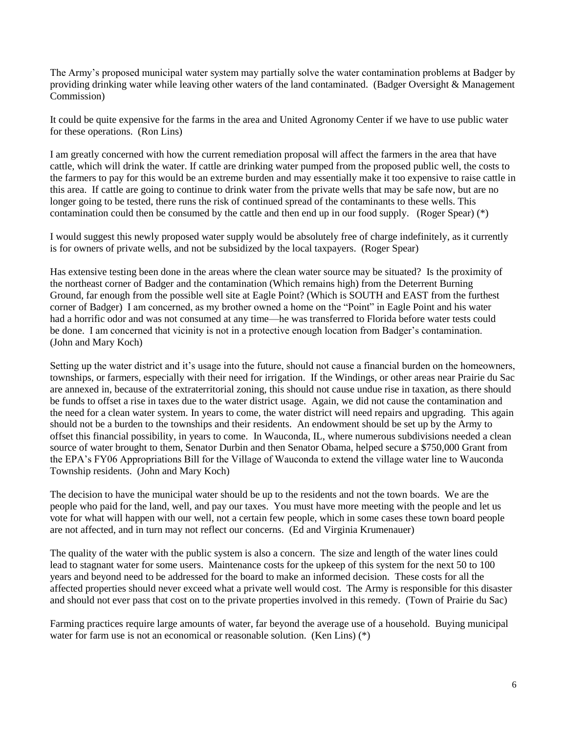The Army's proposed municipal water system may partially solve the water contamination problems at Badger by providing drinking water while leaving other waters of the land contaminated. (Badger Oversight & Management Commission)

It could be quite expensive for the farms in the area and United Agronomy Center if we have to use public water for these operations. (Ron Lins)

I am greatly concerned with how the current remediation proposal will affect the farmers in the area that have cattle, which will drink the water. If cattle are drinking water pumped from the proposed public well, the costs to the farmers to pay for this would be an extreme burden and may essentially make it too expensive to raise cattle in this area. If cattle are going to continue to drink water from the private wells that may be safe now, but are no longer going to be tested, there runs the risk of continued spread of the contaminants to these wells. This contamination could then be consumed by the cattle and then end up in our food supply. (Roger Spear) (\*)

I would suggest this newly proposed water supply would be absolutely free of charge indefinitely, as it currently is for owners of private wells, and not be subsidized by the local taxpayers. (Roger Spear)

Has extensive testing been done in the areas where the clean water source may be situated? Is the proximity of the northeast corner of Badger and the contamination (Which remains high) from the Deterrent Burning Ground, far enough from the possible well site at Eagle Point? (Which is SOUTH and EAST from the furthest corner of Badger) I am concerned, as my brother owned a home on the "Point" in Eagle Point and his water had a horrific odor and was not consumed at any time—he was transferred to Florida before water tests could be done. I am concerned that vicinity is not in a protective enough location from Badger's contamination. (John and Mary Koch)

Setting up the water district and it's usage into the future, should not cause a financial burden on the homeowners, townships, or farmers, especially with their need for irrigation. If the Windings, or other areas near Prairie du Sac are annexed in, because of the extraterritorial zoning, this should not cause undue rise in taxation, as there should be funds to offset a rise in taxes due to the water district usage. Again, we did not cause the contamination and the need for a clean water system. In years to come, the water district will need repairs and upgrading. This again should not be a burden to the townships and their residents. An endowment should be set up by the Army to offset this financial possibility, in years to come. In Wauconda, IL, where numerous subdivisions needed a clean source of water brought to them, Senator Durbin and then Senator Obama, helped secure a \$750,000 Grant from the EPA's FY06 Appropriations Bill for the Village of Wauconda to extend the village water line to Wauconda Township residents. (John and Mary Koch)

The decision to have the municipal water should be up to the residents and not the town boards. We are the people who paid for the land, well, and pay our taxes. You must have more meeting with the people and let us vote for what will happen with our well, not a certain few people, which in some cases these town board people are not affected, and in turn may not reflect our concerns. (Ed and Virginia Krumenauer)

The quality of the water with the public system is also a concern. The size and length of the water lines could lead to stagnant water for some users. Maintenance costs for the upkeep of this system for the next 50 to 100 years and beyond need to be addressed for the board to make an informed decision. These costs for all the affected properties should never exceed what a private well would cost. The Army is responsible for this disaster and should not ever pass that cost on to the private properties involved in this remedy. (Town of Prairie du Sac)

Farming practices require large amounts of water, far beyond the average use of a household. Buying municipal water for farm use is not an economical or reasonable solution. (Ken Lins)  $(*)$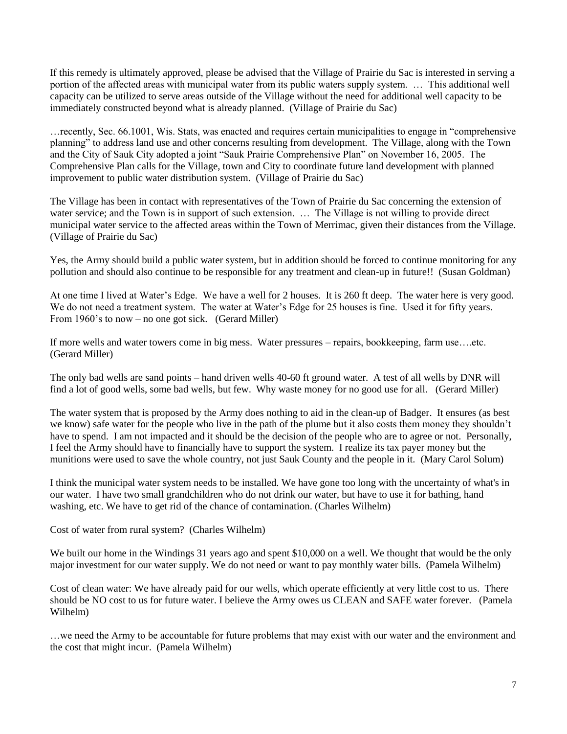If this remedy is ultimately approved, please be advised that the Village of Prairie du Sac is interested in serving a portion of the affected areas with municipal water from its public waters supply system. … This additional well capacity can be utilized to serve areas outside of the Village without the need for additional well capacity to be immediately constructed beyond what is already planned. (Village of Prairie du Sac)

…recently, Sec. 66.1001, Wis. Stats, was enacted and requires certain municipalities to engage in "comprehensive planning" to address land use and other concerns resulting from development. The Village, along with the Town and the City of Sauk City adopted a joint "Sauk Prairie Comprehensive Plan" on November 16, 2005. The Comprehensive Plan calls for the Village, town and City to coordinate future land development with planned improvement to public water distribution system. (Village of Prairie du Sac)

The Village has been in contact with representatives of the Town of Prairie du Sac concerning the extension of water service; and the Town is in support of such extension. … The Village is not willing to provide direct municipal water service to the affected areas within the Town of Merrimac, given their distances from the Village. (Village of Prairie du Sac)

Yes, the Army should build a public water system, but in addition should be forced to continue monitoring for any pollution and should also continue to be responsible for any treatment and clean-up in future!! (Susan Goldman)

At one time I lived at Water's Edge. We have a well for 2 houses. It is 260 ft deep. The water here is very good. We do not need a treatment system. The water at Water's Edge for 25 houses is fine. Used it for fifty years. From 1960's to now – no one got sick. (Gerard Miller)

If more wells and water towers come in big mess. Water pressures – repairs, bookkeeping, farm use….etc. (Gerard Miller)

The only bad wells are sand points – hand driven wells 40-60 ft ground water. A test of all wells by DNR will find a lot of good wells, some bad wells, but few. Why waste money for no good use for all. (Gerard Miller)

The water system that is proposed by the Army does nothing to aid in the clean-up of Badger. It ensures (as best we know) safe water for the people who live in the path of the plume but it also costs them money they shouldn't have to spend. I am not impacted and it should be the decision of the people who are to agree or not. Personally, I feel the Army should have to financially have to support the system. I realize its tax payer money but the munitions were used to save the whole country, not just Sauk County and the people in it. (Mary Carol Solum)

I think the municipal water system needs to be installed. We have gone too long with the uncertainty of what's in our water. I have two small grandchildren who do not drink our water, but have to use it for bathing, hand washing, etc. We have to get rid of the chance of contamination. (Charles Wilhelm)

Cost of water from rural system? (Charles Wilhelm)

We built our home in the Windings 31 years ago and spent \$10,000 on a well. We thought that would be the only major investment for our water supply. We do not need or want to pay monthly water bills. (Pamela Wilhelm)

Cost of clean water: We have already paid for our wells, which operate efficiently at very little cost to us. There should be NO cost to us for future water. I believe the Army owes us CLEAN and SAFE water forever. (Pamela Wilhelm)

…we need the Army to be accountable for future problems that may exist with our water and the environment and the cost that might incur. (Pamela Wilhelm)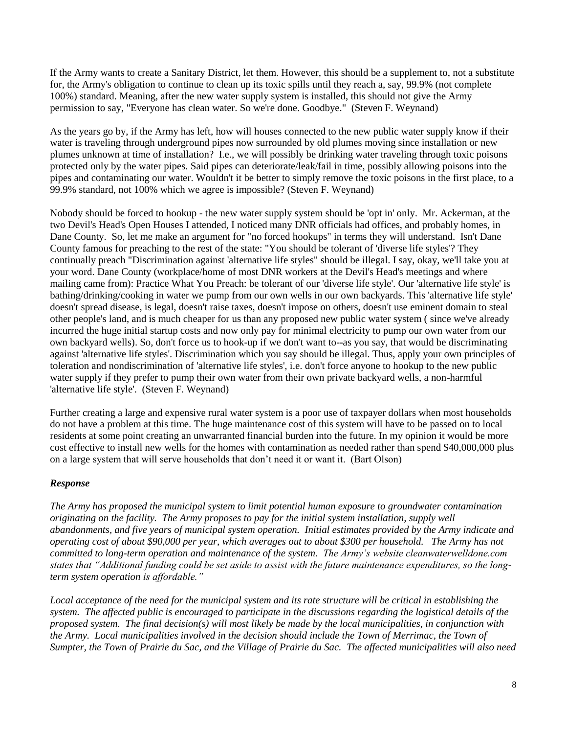If the Army wants to create a Sanitary District, let them. However, this should be a supplement to, not a substitute for, the Army's obligation to continue to clean up its toxic spills until they reach a, say, 99.9% (not complete 100%) standard. Meaning, after the new water supply system is installed, this should not give the Army permission to say, "Everyone has clean water. So we're done. Goodbye." (Steven F. Weynand)

As the years go by, if the Army has left, how will houses connected to the new public water supply know if their water is traveling through underground pipes now surrounded by old plumes moving since installation or new plumes unknown at time of installation? I.e., we will possibly be drinking water traveling through toxic poisons protected only by the water pipes. Said pipes can deteriorate/leak/fail in time, possibly allowing poisons into the pipes and contaminating our water. Wouldn't it be better to simply remove the toxic poisons in the first place, to a 99.9% standard, not 100% which we agree is impossible? (Steven F. Weynand)

Nobody should be forced to hookup - the new water supply system should be 'opt in' only. Mr. Ackerman, at the two Devil's Head's Open Houses I attended, I noticed many DNR officials had offices, and probably homes, in Dane County. So, let me make an argument for "no forced hookups" in terms they will understand. Isn't Dane County famous for preaching to the rest of the state: "You should be tolerant of 'diverse life styles'? They continually preach "Discrimination against 'alternative life styles" should be illegal. I say, okay, we'll take you at your word. Dane County (workplace/home of most DNR workers at the Devil's Head's meetings and where mailing came from): Practice What You Preach: be tolerant of our 'diverse life style'. Our 'alternative life style' is bathing/drinking/cooking in water we pump from our own wells in our own backyards. This 'alternative life style' doesn't spread disease, is legal, doesn't raise taxes, doesn't impose on others, doesn't use eminent domain to steal other people's land, and is much cheaper for us than any proposed new public water system ( since we've already incurred the huge initial startup costs and now only pay for minimal electricity to pump our own water from our own backyard wells). So, don't force us to hook-up if we don't want to--as you say, that would be discriminating against 'alternative life styles'. Discrimination which you say should be illegal. Thus, apply your own principles of toleration and nondiscrimination of 'alternative life styles', i.e. don't force anyone to hookup to the new public water supply if they prefer to pump their own water from their own private backyard wells, a non-harmful 'alternative life style'. (Steven F. Weynand)

Further creating a large and expensive rural water system is a poor use of taxpayer dollars when most households do not have a problem at this time. The huge maintenance cost of this system will have to be passed on to local residents at some point creating an unwarranted financial burden into the future. In my opinion it would be more cost effective to install new wells for the homes with contamination as needed rather than spend \$40,000,000 plus on a large system that will serve households that don't need it or want it. (Bart Olson)

### *Response*

*The Army has proposed the municipal system to limit potential human exposure to groundwater contamination originating on the facility. The Army proposes to pay for the initial system installation, supply well abandonments, and five years of municipal system operation. Initial estimates provided by the Army indicate and operating cost of about \$90,000 per year, which averages out to about \$300 per household. The Army has not committed to long-term operation and maintenance of the system. The Army's website cleanwaterwelldone.com states that "Additional funding could be set aside to assist with the future maintenance expenditures, so the longterm system operation is affordable."*

Local acceptance of the need for the municipal system and its rate structure will be critical in establishing the *system. The affected public is encouraged to participate in the discussions regarding the logistical details of the proposed system. The final decision(s) will most likely be made by the local municipalities, in conjunction with the Army. Local municipalities involved in the decision should include the Town of Merrimac, the Town of Sumpter, the Town of Prairie du Sac, and the Village of Prairie du Sac. The affected municipalities will also need*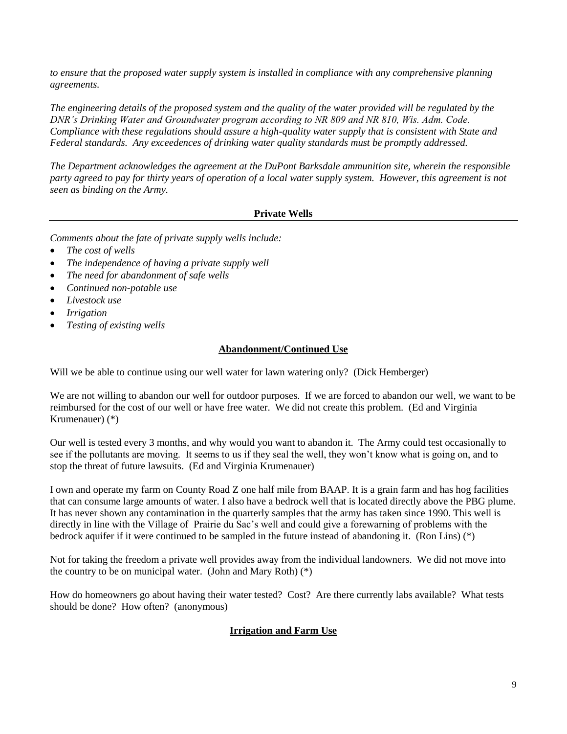*to ensure that the proposed water supply system is installed in compliance with any comprehensive planning agreements.*

*The engineering details of the proposed system and the quality of the water provided will be regulated by the DNR's Drinking Water and Groundwater program according to NR 809 and NR 810, Wis. Adm. Code. Compliance with these regulations should assure a high-quality water supply that is consistent with State and Federal standards. Any exceedences of drinking water quality standards must be promptly addressed.*

*The Department acknowledges the agreement at the DuPont Barksdale ammunition site, wherein the responsible party agreed to pay for thirty years of operation of a local water supply system. However, this agreement is not seen as binding on the Army.* 

# **Private Wells**

*Comments about the fate of private supply wells include:*

- *The cost of wells*
- *The independence of having a private supply well*
- *The need for abandonment of safe wells*
- *Continued non-potable use*
- *Livestock use*
- *Irrigation*
- *Testing of existing wells*

# **Abandonment/Continued Use**

Will we be able to continue using our well water for lawn watering only? (Dick Hemberger)

We are not willing to abandon our well for outdoor purposes. If we are forced to abandon our well, we want to be reimbursed for the cost of our well or have free water. We did not create this problem. (Ed and Virginia Krumenauer) (\*)

Our well is tested every 3 months, and why would you want to abandon it. The Army could test occasionally to see if the pollutants are moving. It seems to us if they seal the well, they won't know what is going on, and to stop the threat of future lawsuits. (Ed and Virginia Krumenauer)

I own and operate my farm on County Road Z one half mile from BAAP. It is a grain farm and has hog facilities that can consume large amounts of water. I also have a bedrock well that is located directly above the PBG plume. It has never shown any contamination in the quarterly samples that the army has taken since 1990. This well is directly in line with the Village of Prairie du Sac's well and could give a forewarning of problems with the bedrock aquifer if it were continued to be sampled in the future instead of abandoning it. (Ron Lins) (\*)

Not for taking the freedom a private well provides away from the individual landowners. We did not move into the country to be on municipal water. (John and Mary Roth)  $(*)$ 

How do homeowners go about having their water tested? Cost? Are there currently labs available? What tests should be done? How often? (anonymous)

### **Irrigation and Farm Use**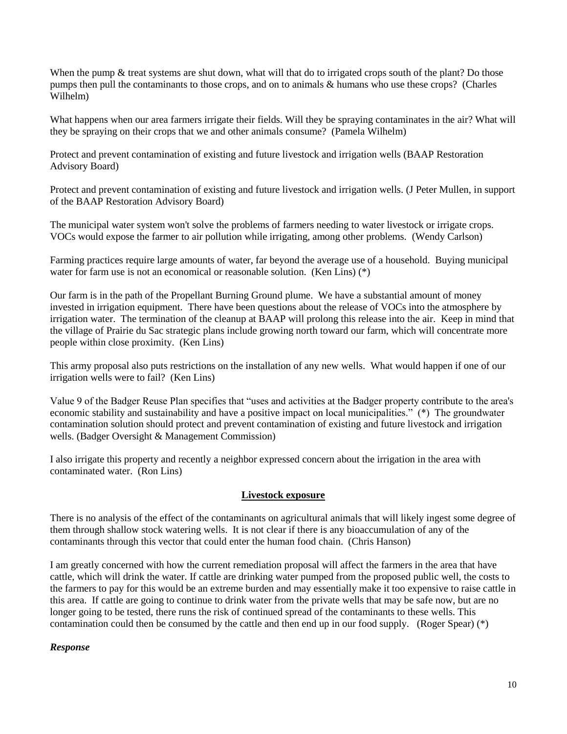When the pump & treat systems are shut down, what will that do to irrigated crops south of the plant? Do those pumps then pull the contaminants to those crops, and on to animals & humans who use these crops? (Charles Wilhelm)

What happens when our area farmers irrigate their fields. Will they be spraying contaminates in the air? What will they be spraying on their crops that we and other animals consume? (Pamela Wilhelm)

Protect and prevent contamination of existing and future livestock and irrigation wells (BAAP Restoration Advisory Board)

Protect and prevent contamination of existing and future livestock and irrigation wells. (J Peter Mullen, in support of the BAAP Restoration Advisory Board)

The municipal water system won't solve the problems of farmers needing to water livestock or irrigate crops. VOCs would expose the farmer to air pollution while irrigating, among other problems. (Wendy Carlson)

Farming practices require large amounts of water, far beyond the average use of a household. Buying municipal water for farm use is not an economical or reasonable solution. (Ken Lins) (\*)

Our farm is in the path of the Propellant Burning Ground plume. We have a substantial amount of money invested in irrigation equipment. There have been questions about the release of VOCs into the atmosphere by irrigation water. The termination of the cleanup at BAAP will prolong this release into the air. Keep in mind that the village of Prairie du Sac strategic plans include growing north toward our farm, which will concentrate more people within close proximity. (Ken Lins)

This army proposal also puts restrictions on the installation of any new wells. What would happen if one of our irrigation wells were to fail? (Ken Lins)

Value 9 of the Badger Reuse Plan specifies that "uses and activities at the Badger property contribute to the area's economic stability and sustainability and have a positive impact on local municipalities." (\*) The groundwater contamination solution should protect and prevent contamination of existing and future livestock and irrigation wells. (Badger Oversight & Management Commission)

I also irrigate this property and recently a neighbor expressed concern about the irrigation in the area with contaminated water. (Ron Lins)

### **Livestock exposure**

There is no analysis of the effect of the contaminants on agricultural animals that will likely ingest some degree of them through shallow stock watering wells. It is not clear if there is any bioaccumulation of any of the contaminants through this vector that could enter the human food chain. (Chris Hanson)

I am greatly concerned with how the current remediation proposal will affect the farmers in the area that have cattle, which will drink the water. If cattle are drinking water pumped from the proposed public well, the costs to the farmers to pay for this would be an extreme burden and may essentially make it too expensive to raise cattle in this area. If cattle are going to continue to drink water from the private wells that may be safe now, but are no longer going to be tested, there runs the risk of continued spread of the contaminants to these wells. This contamination could then be consumed by the cattle and then end up in our food supply. (Roger Spear) (\*)

### *Response*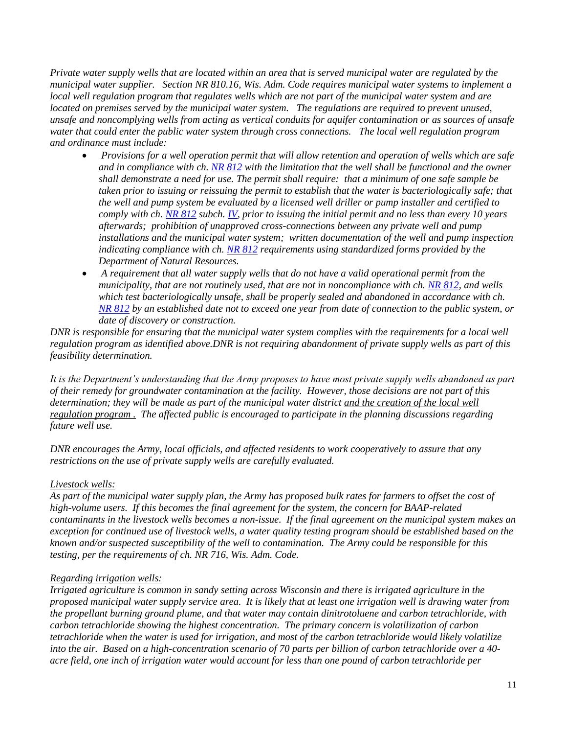*Private water supply wells that are located within an area that is served municipal water are regulated by the municipal water supplier. Section NR 810.16, Wis. Adm. Code requires municipal water systems to implement a local well regulation program that regulates wells which are not part of the municipal water system and are located on premises served by the municipal water system. The regulations are required to prevent unused, unsafe and noncomplying wells from acting as vertical conduits for aquifer contamination or as sources of unsafe water that could enter the public water system through cross connections. The local well regulation program and ordinance must include:*

- *Provisions for a well operation permit that will allow retention and operation of wells which are safe and in compliance with ch. [NR 812](https://docs.legis.wisconsin.gov/document/administrativecode/ch.%20NR%20812) with the limitation that the well shall be functional and the owner shall demonstrate a need for use. The permit shall require: that a minimum of one safe sample be taken prior to issuing or reissuing the permit to establish that the water is bacteriologically safe; that the well and pump system be evaluated by a licensed well driller or pump installer and certified to comply with ch[. NR 812](https://docs.legis.wisconsin.gov/document/administrativecode/ch.%20NR%20812) subch. [IV,](https://docs.legis.wisconsin.gov/document/administrativecode/subch.%20IV%20of%20ch.%20NR%20812) prior to issuing the initial permit and no less than every 10 years afterwards; prohibition of unapproved cross-connections between any private well and pump installations and the municipal water system; written documentation of the well and pump inspection indicating compliance with ch. [NR 812](https://docs.legis.wisconsin.gov/document/administrativecode/ch.%20NR%20812) requirements using standardized forms provided by the Department of Natural Resources.*
- *A requirement that all water supply wells that do not have a valid operational permit from the municipality, that are not routinely used, that are not in noncompliance with ch. [NR 812,](https://docs.legis.wisconsin.gov/document/administrativecode/ch.%20NR%20812) and wells which test bacteriologically unsafe, shall be properly sealed and abandoned in accordance with ch. [NR 812](https://docs.legis.wisconsin.gov/document/administrativecode/ch.%20NR%20812) by an established date not to exceed one year from date of connection to the public system, or date of discovery or construction.*

*DNR is responsible for ensuring that the municipal water system complies with the requirements for a local well regulation program as identified above.DNR is not requiring abandonment of private supply wells as part of this feasibility determination.*

*It is the Department's understanding that the Army proposes to have most private supply wells abandoned as part of their remedy for groundwater contamination at the facility. However, those decisions are not part of this determination; they will be made as part of the municipal water district and the creation of the local well regulation program . The affected public is encouraged to participate in the planning discussions regarding future well use.*

*DNR encourages the Army, local officials, and affected residents to work cooperatively to assure that any restrictions on the use of private supply wells are carefully evaluated.* 

# *Livestock wells:*

*As part of the municipal water supply plan, the Army has proposed bulk rates for farmers to offset the cost of high-volume users. If this becomes the final agreement for the system, the concern for BAAP-related contaminants in the livestock wells becomes a non-issue. If the final agreement on the municipal system makes an exception for continued use of livestock wells, a water quality testing program should be established based on the known and/or suspected susceptibility of the well to contamination. The Army could be responsible for this testing, per the requirements of ch. NR 716, Wis. Adm. Code.*

### *Regarding irrigation wells:*

*Irrigated agriculture is common in sandy setting across Wisconsin and there is irrigated agriculture in the proposed municipal water supply service area. It is likely that at least one irrigation well is drawing water from the propellant burning ground plume, and that water may contain dinitrotoluene and carbon tetrachloride, with carbon tetrachloride showing the highest concentration. The primary concern is volatilization of carbon tetrachloride when the water is used for irrigation, and most of the carbon tetrachloride would likely volatilize into the air. Based on a high-concentration scenario of 70 parts per billion of carbon tetrachloride over a 40 acre field, one inch of irrigation water would account for less than one pound of carbon tetrachloride per*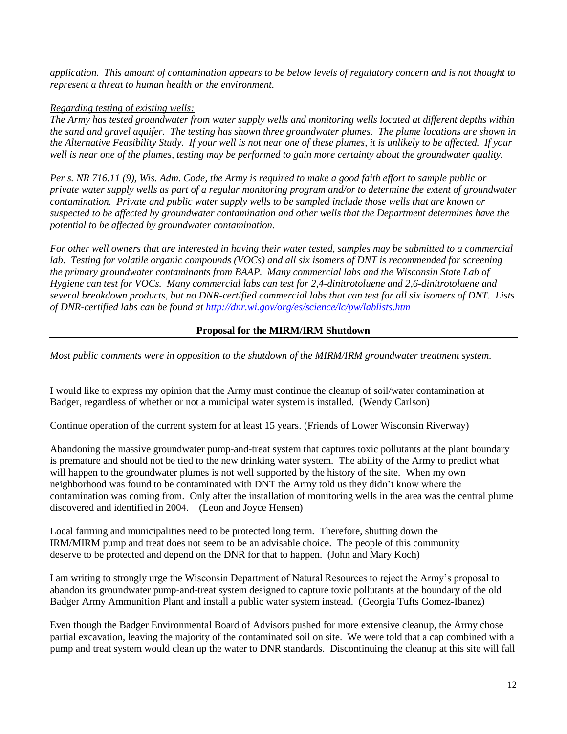*application. This amount of contamination appears to be below levels of regulatory concern and is not thought to represent a threat to human health or the environment.*

# *Regarding testing of existing wells:*

*The Army has tested groundwater from water supply wells and monitoring wells located at different depths within the sand and gravel aquifer. The testing has shown three groundwater plumes. The plume locations are shown in the Alternative Feasibility Study. If your well is not near one of these plumes, it is unlikely to be affected. If your well is near one of the plumes, testing may be performed to gain more certainty about the groundwater quality.*

*Per s. NR 716.11 (9), Wis. Adm. Code, the Army is required to make a good faith effort to sample public or private water supply wells as part of a regular monitoring program and/or to determine the extent of groundwater contamination. Private and public water supply wells to be sampled include those wells that are known or suspected to be affected by groundwater contamination and other wells that the Department determines have the potential to be affected by groundwater contamination.*

*For other well owners that are interested in having their water tested, samples may be submitted to a commercial lab. Testing for volatile organic compounds (VOCs) and all six isomers of DNT is recommended for screening the primary groundwater contaminants from BAAP. Many commercial labs and the Wisconsin State Lab of Hygiene can test for VOCs. Many commercial labs can test for 2,4-dinitrotoluene and 2,6-dinitrotoluene and several breakdown products, but no DNR-certified commercial labs that can test for all six isomers of DNT. Lists of DNR-certified labs can be found at<http://dnr.wi.gov/org/es/science/lc/pw/lablists.htm>*

# **Proposal for the MIRM/IRM Shutdown**

*Most public comments were in opposition to the shutdown of the MIRM/IRM groundwater treatment system.*

I would like to express my opinion that the Army must continue the cleanup of soil/water contamination at Badger, regardless of whether or not a municipal water system is installed. (Wendy Carlson)

Continue operation of the current system for at least 15 years. (Friends of Lower Wisconsin Riverway)

Abandoning the massive groundwater pump-and-treat system that captures toxic pollutants at the plant boundary is premature and should not be tied to the new drinking water system. The ability of the Army to predict what will happen to the groundwater plumes is not well supported by the history of the site. When my own neighborhood was found to be contaminated with DNT the Army told us they didn't know where the contamination was coming from. Only after the installation of monitoring wells in the area was the central plume discovered and identified in 2004. (Leon and Joyce Hensen)

Local farming and municipalities need to be protected long term. Therefore, shutting down the IRM/MIRM pump and treat does not seem to be an advisable choice. The people of this community deserve to be protected and depend on the DNR for that to happen. (John and Mary Koch)

I am writing to strongly urge the Wisconsin Department of Natural Resources to reject the Army's proposal to abandon its groundwater pump-and-treat system designed to capture toxic pollutants at the boundary of the old Badger Army Ammunition Plant and install a public water system instead. (Georgia Tufts Gomez-Ibanez)

Even though the Badger Environmental Board of Advisors pushed for more extensive cleanup, the Army chose partial excavation, leaving the majority of the contaminated soil on site. We were told that a cap combined with a pump and treat system would clean up the water to DNR standards. Discontinuing the cleanup at this site will fall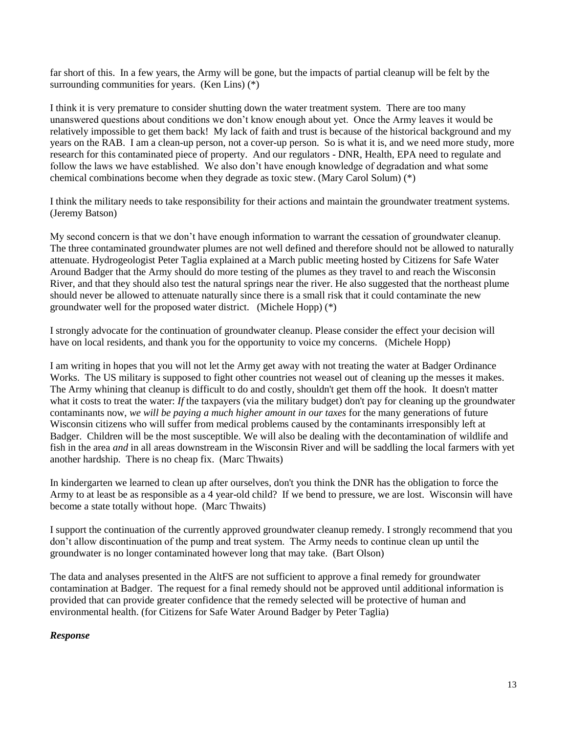far short of this. In a few years, the Army will be gone, but the impacts of partial cleanup will be felt by the surrounding communities for years. (Ken Lins) (\*)

I think it is very premature to consider shutting down the water treatment system. There are too many unanswered questions about conditions we don't know enough about yet. Once the Army leaves it would be relatively impossible to get them back! My lack of faith and trust is because of the historical background and my years on the RAB. I am a clean-up person, not a cover-up person. So is what it is, and we need more study, more research for this contaminated piece of property. And our regulators - DNR, Health, EPA need to regulate and follow the laws we have established. We also don't have enough knowledge of degradation and what some chemical combinations become when they degrade as toxic stew. (Mary Carol Solum) (\*)

I think the military needs to take responsibility for their actions and maintain the groundwater treatment systems. (Jeremy Batson)

My second concern is that we don't have enough information to warrant the cessation of groundwater cleanup. The three contaminated groundwater plumes are not well defined and therefore should not be allowed to naturally attenuate. Hydrogeologist Peter Taglia explained at a March public meeting hosted by Citizens for Safe Water Around Badger that the Army should do more testing of the plumes as they travel to and reach the Wisconsin River, and that they should also test the natural springs near the river. He also suggested that the northeast plume should never be allowed to attenuate naturally since there is a small risk that it could contaminate the new groundwater well for the proposed water district. (Michele Hopp) (\*)

I strongly advocate for the continuation of groundwater cleanup. Please consider the effect your decision will have on local residents, and thank you for the opportunity to voice my concerns. (Michele Hopp)

I am writing in hopes that you will not let the Army get away with not treating the water at Badger Ordinance Works. The US military is supposed to fight other countries not weasel out of cleaning up the messes it makes. The Army whining that cleanup is difficult to do and costly, shouldn't get them off the hook. It doesn't matter what it costs to treat the water: *If* the taxpayers (via the military budget) don't pay for cleaning up the groundwater contaminants now, *we will be paying a much higher amount in our taxes* for the many generations of future Wisconsin citizens who will suffer from medical problems caused by the contaminants irresponsibly left at Badger. Children will be the most susceptible. We will also be dealing with the decontamination of wildlife and fish in the area *and* in all areas downstream in the Wisconsin River and will be saddling the local farmers with yet another hardship. There is no cheap fix. (Marc Thwaits)

In kindergarten we learned to clean up after ourselves, don't you think the DNR has the obligation to force the Army to at least be as responsible as a 4 year-old child? If we bend to pressure, we are lost. Wisconsin will have become a state totally without hope. (Marc Thwaits)

I support the continuation of the currently approved groundwater cleanup remedy. I strongly recommend that you don't allow discontinuation of the pump and treat system. The Army needs to continue clean up until the groundwater is no longer contaminated however long that may take. (Bart Olson)

The data and analyses presented in the AltFS are not sufficient to approve a final remedy for groundwater contamination at Badger. The request for a final remedy should not be approved until additional information is provided that can provide greater confidence that the remedy selected will be protective of human and environmental health. (for Citizens for Safe Water Around Badger by Peter Taglia)

### *Response*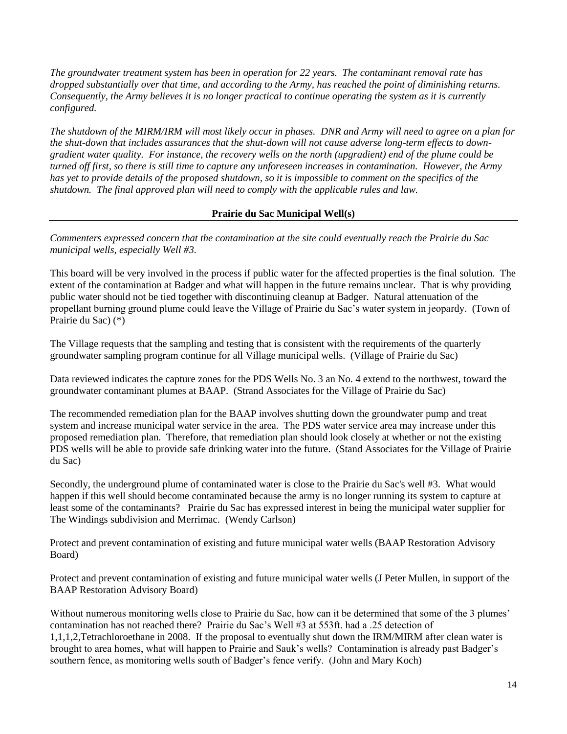*The groundwater treatment system has been in operation for 22 years. The contaminant removal rate has dropped substantially over that time, and according to the Army, has reached the point of diminishing returns. Consequently, the Army believes it is no longer practical to continue operating the system as it is currently configured.* 

*The shutdown of the MIRM/IRM will most likely occur in phases. DNR and Army will need to agree on a plan for the shut-down that includes assurances that the shut-down will not cause adverse long-term effects to downgradient water quality. For instance, the recovery wells on the north (upgradient) end of the plume could be turned off first, so there is still time to capture any unforeseen increases in contamination. However, the Army has yet to provide details of the proposed shutdown, so it is impossible to comment on the specifics of the shutdown. The final approved plan will need to comply with the applicable rules and law.* 

# **Prairie du Sac Municipal Well(s)**

*Commenters expressed concern that the contamination at the site could eventually reach the Prairie du Sac municipal wells, especially Well #3.*

This board will be very involved in the process if public water for the affected properties is the final solution. The extent of the contamination at Badger and what will happen in the future remains unclear. That is why providing public water should not be tied together with discontinuing cleanup at Badger. Natural attenuation of the propellant burning ground plume could leave the Village of Prairie du Sac's water system in jeopardy. (Town of Prairie du Sac) (\*)

The Village requests that the sampling and testing that is consistent with the requirements of the quarterly groundwater sampling program continue for all Village municipal wells. (Village of Prairie du Sac)

Data reviewed indicates the capture zones for the PDS Wells No. 3 an No. 4 extend to the northwest, toward the groundwater contaminant plumes at BAAP. (Strand Associates for the Village of Prairie du Sac)

The recommended remediation plan for the BAAP involves shutting down the groundwater pump and treat system and increase municipal water service in the area. The PDS water service area may increase under this proposed remediation plan. Therefore, that remediation plan should look closely at whether or not the existing PDS wells will be able to provide safe drinking water into the future. (Stand Associates for the Village of Prairie du Sac)

Secondly, the underground plume of contaminated water is close to the Prairie du Sac's well #3. What would happen if this well should become contaminated because the army is no longer running its system to capture at least some of the contaminants? Prairie du Sac has expressed interest in being the municipal water supplier for The Windings subdivision and Merrimac. (Wendy Carlson)

Protect and prevent contamination of existing and future municipal water wells (BAAP Restoration Advisory Board)

Protect and prevent contamination of existing and future municipal water wells (J Peter Mullen, in support of the BAAP Restoration Advisory Board)

Without numerous monitoring wells close to Prairie du Sac, how can it be determined that some of the 3 plumes' contamination has not reached there? Prairie du Sac's Well #3 at 553ft. had a .25 detection of 1,1,1,2,Tetrachloroethane in 2008. If the proposal to eventually shut down the IRM/MIRM after clean water is brought to area homes, what will happen to Prairie and Sauk's wells? Contamination is already past Badger's southern fence, as monitoring wells south of Badger's fence verify. (John and Mary Koch)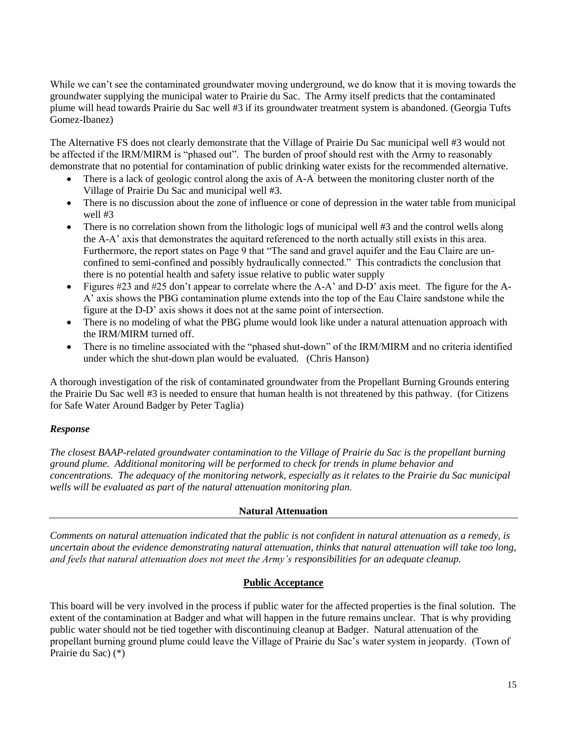While we can't see the contaminated groundwater moving underground, we do know that it is moving towards the groundwater supplying the municipal water to Prairie du Sac. The Army itself predicts that the contaminated plume will head towards Prairie du Sac well #3 if its groundwater treatment system is abandoned. (Georgia Tufts Gomez-Ibanez)

The Alternative FS does not clearly demonstrate that the Village of Prairie Du Sac municipal well #3 would not be affected if the IRM/MIRM is "phased out". The burden of proof should rest with the Army to reasonably demonstrate that no potential for contamination of public drinking water exists for the recommended alternative.

- There is a lack of geologic control along the axis of A-A<sup>'</sup> between the monitoring cluster north of the Village of Prairie Du Sac and municipal well #3.
- There is no discussion about the zone of influence or cone of depression in the water table from municipal well #3
- There is no correlation shown from the lithologic logs of municipal well #3 and the control wells along the A-A' axis that demonstrates the aquitard referenced to the north actually still exists in this area. Furthermore, the report states on Page 9 that "The sand and gravel aquifer and the Eau Claire are unconfined to semi-confined and possibly hydraulically connected." This contradicts the conclusion that there is no potential health and safety issue relative to public water supply
- Figures #23 and #25 don't appear to correlate where the A-A' and D-D' axis meet. The figure for the A-A' axis shows the PBG contamination plume extends into the top of the Eau Claire sandstone while the figure at the D-D' axis shows it does not at the same point of intersection.
- There is no modeling of what the PBG plume would look like under a natural attenuation approach with the IRM/MIRM turned off.
- There is no timeline associated with the "phased shut-down" of the IRM/MIRM and no criteria identified under which the shut-down plan would be evaluated. (Chris Hanson)

A thorough investigation of the risk of contaminated groundwater from the Propellant Burning Grounds entering the Prairie Du Sac well #3 is needed to ensure that human health is not threatened by this pathway. (for Citizens for Safe Water Around Badger by Peter Taglia)

# *Response*

*The closest BAAP-related groundwater contamination to the Village of Prairie du Sac is the propellant burning ground plume. Additional monitoring will be performed to check for trends in plume behavior and concentrations. The adequacy of the monitoring network, especially as it relates to the Prairie du Sac municipal wells will be evaluated as part of the natural attenuation monitoring plan.*

# **Natural Attenuation**

*Comments on natural attenuation indicated that the public is not confident in natural attenuation as a remedy, is uncertain about the evidence demonstrating natural attenuation, thinks that natural attenuation will take too long, and feels that natural attenuation does not meet the Army's responsibilities for an adequate cleanup.*

### **Public Acceptance**

This board will be very involved in the process if public water for the affected properties is the final solution. The extent of the contamination at Badger and what will happen in the future remains unclear. That is why providing public water should not be tied together with discontinuing cleanup at Badger. Natural attenuation of the propellant burning ground plume could leave the Village of Prairie du Sac's water system in jeopardy. (Town of Prairie du Sac) (\*)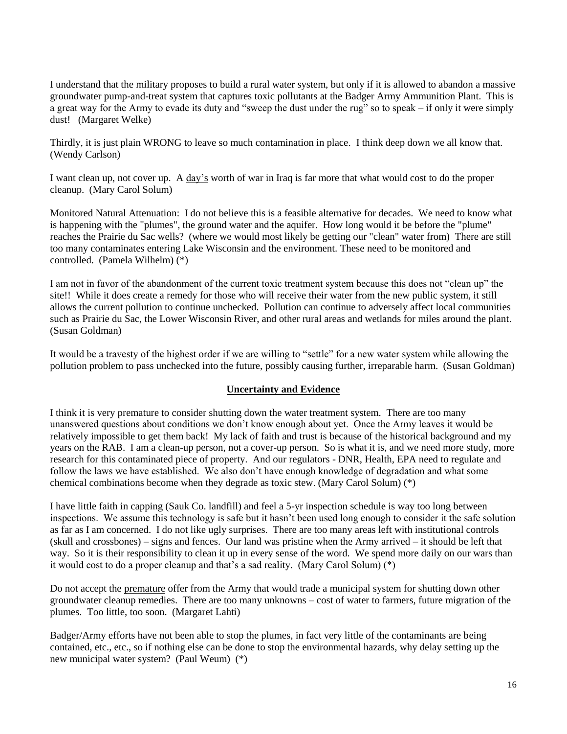I understand that the military proposes to build a rural water system, but only if it is allowed to abandon a massive groundwater pump-and-treat system that captures toxic pollutants at the Badger Army Ammunition Plant. This is a great way for the Army to evade its duty and "sweep the dust under the rug" so to speak – if only it were simply dust! (Margaret Welke)

Thirdly, it is just plain WRONG to leave so much contamination in place. I think deep down we all know that. (Wendy Carlson)

I want clean up, not cover up. A day's worth of war in Iraq is far more that what would cost to do the proper cleanup. (Mary Carol Solum)

Monitored Natural Attenuation: I do not believe this is a feasible alternative for decades. We need to know what is happening with the "plumes", the ground water and the aquifer. How long would it be before the "plume" reaches the Prairie du Sac wells? (where we would most likely be getting our "clean" water from) There are still too many contaminates entering Lake Wisconsin and the environment. These need to be monitored and controlled. (Pamela Wilhelm) (\*)

I am not in favor of the abandonment of the current toxic treatment system because this does not "clean up" the site!! While it does create a remedy for those who will receive their water from the new public system, it still allows the current pollution to continue unchecked. Pollution can continue to adversely affect local communities such as Prairie du Sac, the Lower Wisconsin River, and other rural areas and wetlands for miles around the plant. (Susan Goldman)

It would be a travesty of the highest order if we are willing to "settle" for a new water system while allowing the pollution problem to pass unchecked into the future, possibly causing further, irreparable harm. (Susan Goldman)

### **Uncertainty and Evidence**

I think it is very premature to consider shutting down the water treatment system. There are too many unanswered questions about conditions we don't know enough about yet. Once the Army leaves it would be relatively impossible to get them back! My lack of faith and trust is because of the historical background and my years on the RAB. I am a clean-up person, not a cover-up person. So is what it is, and we need more study, more research for this contaminated piece of property. And our regulators - DNR, Health, EPA need to regulate and follow the laws we have established. We also don't have enough knowledge of degradation and what some chemical combinations become when they degrade as toxic stew. (Mary Carol Solum) (\*)

I have little faith in capping (Sauk Co. landfill) and feel a 5-yr inspection schedule is way too long between inspections. We assume this technology is safe but it hasn't been used long enough to consider it the safe solution as far as I am concerned. I do not like ugly surprises. There are too many areas left with institutional controls (skull and crossbones) – signs and fences. Our land was pristine when the Army arrived – it should be left that way. So it is their responsibility to clean it up in every sense of the word. We spend more daily on our wars than it would cost to do a proper cleanup and that's a sad reality. (Mary Carol Solum) (\*)

Do not accept the premature offer from the Army that would trade a municipal system for shutting down other groundwater cleanup remedies. There are too many unknowns – cost of water to farmers, future migration of the plumes. Too little, too soon. (Margaret Lahti)

Badger/Army efforts have not been able to stop the plumes, in fact very little of the contaminants are being contained, etc., etc., so if nothing else can be done to stop the environmental hazards, why delay setting up the new municipal water system? (Paul Weum) (\*)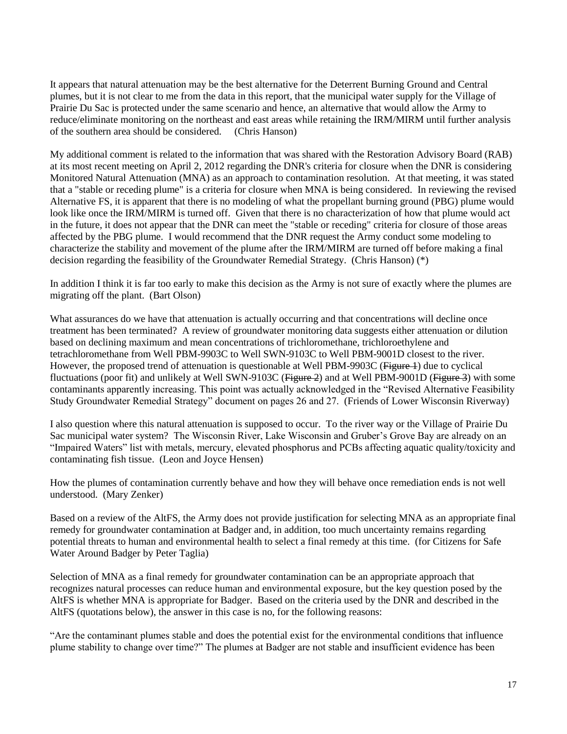It appears that natural attenuation may be the best alternative for the Deterrent Burning Ground and Central plumes, but it is not clear to me from the data in this report, that the municipal water supply for the Village of Prairie Du Sac is protected under the same scenario and hence, an alternative that would allow the Army to reduce/eliminate monitoring on the northeast and east areas while retaining the IRM/MIRM until further analysis of the southern area should be considered. (Chris Hanson)

My additional comment is related to the information that was shared with the Restoration Advisory Board (RAB) at its most recent meeting on April 2, 2012 regarding the DNR's criteria for closure when the DNR is considering Monitored Natural Attenuation (MNA) as an approach to contamination resolution. At that meeting, it was stated that a "stable or receding plume" is a criteria for closure when MNA is being considered. In reviewing the revised Alternative FS, it is apparent that there is no modeling of what the propellant burning ground (PBG) plume would look like once the IRM/MIRM is turned off. Given that there is no characterization of how that plume would act in the future, it does not appear that the DNR can meet the "stable or receding" criteria for closure of those areas affected by the PBG plume. I would recommend that the DNR request the Army conduct some modeling to characterize the stability and movement of the plume after the IRM/MIRM are turned off before making a final decision regarding the feasibility of the Groundwater Remedial Strategy. (Chris Hanson) (\*)

In addition I think it is far too early to make this decision as the Army is not sure of exactly where the plumes are migrating off the plant. (Bart Olson)

What assurances do we have that attenuation is actually occurring and that concentrations will decline once treatment has been terminated? A review of groundwater monitoring data suggests either attenuation or dilution based on declining maximum and mean concentrations of trichloromethane, trichloroethylene and tetrachloromethane from Well PBM-9903C to Well SWN-9103C to Well PBM-9001D closest to the river. However, the proposed trend of attenuation is questionable at Well PBM-9903C (Figure 1) due to cyclical fluctuations (poor fit) and unlikely at Well SWN-9103C (Figure 2) and at Well PBM-9001D (Figure 3) with some contaminants apparently increasing. This point was actually acknowledged in the "Revised Alternative Feasibility Study Groundwater Remedial Strategy" document on pages 26 and 27. (Friends of Lower Wisconsin Riverway)

I also question where this natural attenuation is supposed to occur. To the river way or the Village of Prairie Du Sac municipal water system? The Wisconsin River, Lake Wisconsin and Gruber's Grove Bay are already on an "Impaired Waters" list with metals, mercury, elevated phosphorus and PCBs affecting aquatic quality/toxicity and contaminating fish tissue. (Leon and Joyce Hensen)

How the plumes of contamination currently behave and how they will behave once remediation ends is not well understood. (Mary Zenker)

Based on a review of the AltFS, the Army does not provide justification for selecting MNA as an appropriate final remedy for groundwater contamination at Badger and, in addition, too much uncertainty remains regarding potential threats to human and environmental health to select a final remedy at this time. (for Citizens for Safe Water Around Badger by Peter Taglia)

Selection of MNA as a final remedy for groundwater contamination can be an appropriate approach that recognizes natural processes can reduce human and environmental exposure, but the key question posed by the AltFS is whether MNA is appropriate for Badger. Based on the criteria used by the DNR and described in the AltFS (quotations below), the answer in this case is no, for the following reasons:

"Are the contaminant plumes stable and does the potential exist for the environmental conditions that influence plume stability to change over time?" The plumes at Badger are not stable and insufficient evidence has been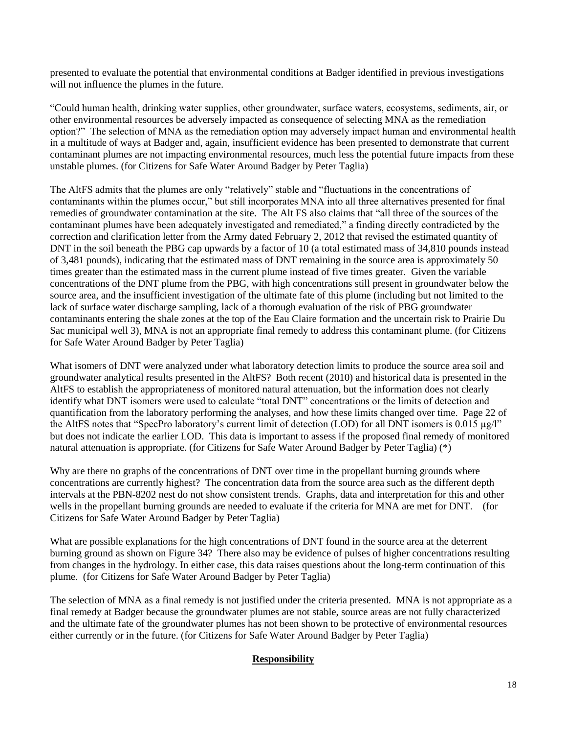presented to evaluate the potential that environmental conditions at Badger identified in previous investigations will not influence the plumes in the future.

"Could human health, drinking water supplies, other groundwater, surface waters, ecosystems, sediments, air, or other environmental resources be adversely impacted as consequence of selecting MNA as the remediation option?" The selection of MNA as the remediation option may adversely impact human and environmental health in a multitude of ways at Badger and, again, insufficient evidence has been presented to demonstrate that current contaminant plumes are not impacting environmental resources, much less the potential future impacts from these unstable plumes. (for Citizens for Safe Water Around Badger by Peter Taglia)

The AltFS admits that the plumes are only "relatively" stable and "fluctuations in the concentrations of contaminants within the plumes occur," but still incorporates MNA into all three alternatives presented for final remedies of groundwater contamination at the site. The Alt FS also claims that "all three of the sources of the contaminant plumes have been adequately investigated and remediated," a finding directly contradicted by the correction and clarification letter from the Army dated February 2, 2012 that revised the estimated quantity of DNT in the soil beneath the PBG cap upwards by a factor of 10 (a total estimated mass of 34,810 pounds instead of 3,481 pounds), indicating that the estimated mass of DNT remaining in the source area is approximately 50 times greater than the estimated mass in the current plume instead of five times greater. Given the variable concentrations of the DNT plume from the PBG, with high concentrations still present in groundwater below the source area, and the insufficient investigation of the ultimate fate of this plume (including but not limited to the lack of surface water discharge sampling, lack of a thorough evaluation of the risk of PBG groundwater contaminants entering the shale zones at the top of the Eau Claire formation and the uncertain risk to Prairie Du Sac municipal well 3), MNA is not an appropriate final remedy to address this contaminant plume. (for Citizens for Safe Water Around Badger by Peter Taglia)

What isomers of DNT were analyzed under what laboratory detection limits to produce the source area soil and groundwater analytical results presented in the AltFS? Both recent (2010) and historical data is presented in the AltFS to establish the appropriateness of monitored natural attenuation, but the information does not clearly identify what DNT isomers were used to calculate "total DNT" concentrations or the limits of detection and quantification from the laboratory performing the analyses, and how these limits changed over time. Page 22 of the AltFS notes that "SpecPro laboratory's current limit of detection (LOD) for all DNT isomers is 0.015 µg/l" but does not indicate the earlier LOD. This data is important to assess if the proposed final remedy of monitored natural attenuation is appropriate. (for Citizens for Safe Water Around Badger by Peter Taglia) (\*)

Why are there no graphs of the concentrations of DNT over time in the propellant burning grounds where concentrations are currently highest? The concentration data from the source area such as the different depth intervals at the PBN-8202 nest do not show consistent trends. Graphs, data and interpretation for this and other wells in the propellant burning grounds are needed to evaluate if the criteria for MNA are met for DNT. (for Citizens for Safe Water Around Badger by Peter Taglia)

What are possible explanations for the high concentrations of DNT found in the source area at the deterrent burning ground as shown on Figure 34? There also may be evidence of pulses of higher concentrations resulting from changes in the hydrology. In either case, this data raises questions about the long-term continuation of this plume. (for Citizens for Safe Water Around Badger by Peter Taglia)

The selection of MNA as a final remedy is not justified under the criteria presented. MNA is not appropriate as a final remedy at Badger because the groundwater plumes are not stable, source areas are not fully characterized and the ultimate fate of the groundwater plumes has not been shown to be protective of environmental resources either currently or in the future. (for Citizens for Safe Water Around Badger by Peter Taglia)

# **Responsibility**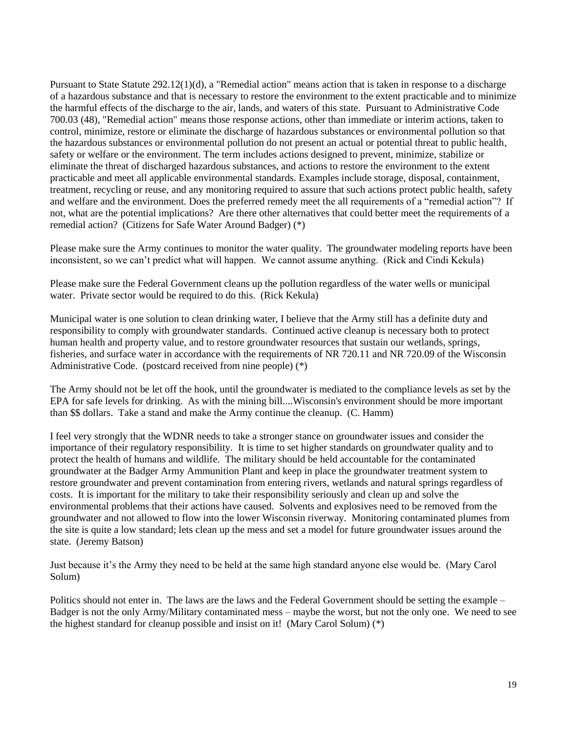Pursuant to State Statute 292.12(1)(d), a "Remedial action" means action that is taken in response to a discharge of a hazardous substance and that is necessary to restore the environment to the extent practicable and to minimize the harmful effects of the discharge to the air, lands, and waters of this state. Pursuant to Administrative Code 700.03 (48), "Remedial action" means those response actions, other than immediate or interim actions, taken to control, minimize, restore or eliminate the discharge of hazardous substances or environmental pollution so that the hazardous substances or environmental pollution do not present an actual or potential threat to public health, safety or welfare or the environment. The term includes actions designed to prevent, minimize, stabilize or eliminate the threat of discharged hazardous substances, and actions to restore the environment to the extent practicable and meet all applicable environmental standards. Examples include storage, disposal, containment, treatment, recycling or reuse, and any monitoring required to assure that such actions protect public health, safety and welfare and the environment. Does the preferred remedy meet the all requirements of a "remedial action"? If not, what are the potential implications? Are there other alternatives that could better meet the requirements of a remedial action? (Citizens for Safe Water Around Badger) (\*)

Please make sure the Army continues to monitor the water quality. The groundwater modeling reports have been inconsistent, so we can't predict what will happen. We cannot assume anything. (Rick and Cindi Kekula)

Please make sure the Federal Government cleans up the pollution regardless of the water wells or municipal water. Private sector would be required to do this. (Rick Kekula)

Municipal water is one solution to clean drinking water, I believe that the Army still has a definite duty and responsibility to comply with groundwater standards. Continued active cleanup is necessary both to protect human health and property value, and to restore groundwater resources that sustain our wetlands, springs, fisheries, and surface water in accordance with the requirements of NR 720.11 and NR 720.09 of the Wisconsin Administrative Code. (postcard received from nine people) (\*)

The Army should not be let off the hook, until the groundwater is mediated to the compliance levels as set by the EPA for safe levels for drinking. As with the mining bill....Wisconsin's environment should be more important than \$\$ dollars. Take a stand and make the Army continue the cleanup. (C. Hamm)

I feel very strongly that the WDNR needs to take a stronger stance on groundwater issues and consider the importance of their regulatory responsibility. It is time to set higher standards on groundwater quality and to protect the health of humans and wildlife. The military should be held accountable for the contaminated groundwater at the Badger Army Ammunition Plant and keep in place the groundwater treatment system to restore groundwater and prevent contamination from entering rivers, wetlands and natural springs regardless of costs. It is important for the military to take their responsibility seriously and clean up and solve the environmental problems that their actions have caused. Solvents and explosives need to be removed from the groundwater and not allowed to flow into the lower Wisconsin riverway. Monitoring contaminated plumes from the site is quite a low standard; lets clean up the mess and set a model for future groundwater issues around the state. (Jeremy Batson)

Just because it's the Army they need to be held at the same high standard anyone else would be. (Mary Carol Solum)

Politics should not enter in. The laws are the laws and the Federal Government should be setting the example – Badger is not the only Army/Military contaminated mess – maybe the worst, but not the only one. We need to see the highest standard for cleanup possible and insist on it! (Mary Carol Solum) (\*)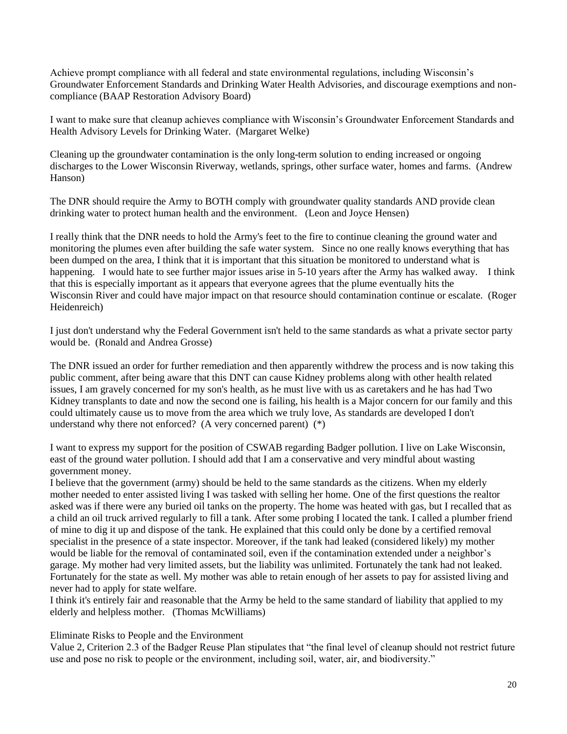Achieve prompt compliance with all federal and state environmental regulations, including Wisconsin's Groundwater Enforcement Standards and Drinking Water Health Advisories, and discourage exemptions and noncompliance (BAAP Restoration Advisory Board)

I want to make sure that cleanup achieves compliance with Wisconsin's Groundwater Enforcement Standards and Health Advisory Levels for Drinking Water. (Margaret Welke)

Cleaning up the groundwater contamination is the only long-term solution to ending increased or ongoing discharges to the Lower Wisconsin Riverway, wetlands, springs, other surface water, homes and farms. (Andrew Hanson)

The DNR should require the Army to BOTH comply with groundwater quality standards AND provide clean drinking water to protect human health and the environment. (Leon and Joyce Hensen)

I really think that the DNR needs to hold the Army's feet to the fire to continue cleaning the ground water and monitoring the plumes even after building the safe water system. Since no one really knows everything that has been dumped on the area, I think that it is important that this situation be monitored to understand what is happening. I would hate to see further major issues arise in 5-10 years after the Army has walked away. I think that this is especially important as it appears that everyone agrees that the plume eventually hits the Wisconsin River and could have major impact on that resource should contamination continue or escalate. (Roger Heidenreich)

I just don't understand why the Federal Government isn't held to the same standards as what a private sector party would be. (Ronald and Andrea Grosse)

The DNR issued an order for further remediation and then apparently withdrew the process and is now taking this public comment, after being aware that this DNT can cause Kidney problems along with other health related issues, I am gravely concerned for my son's health, as he must live with us as caretakers and he has had Two Kidney transplants to date and now the second one is failing, his health is a Major concern for our family and this could ultimately cause us to move from the area which we truly love, As standards are developed I don't understand why there not enforced? (A very concerned parent) (\*)

I want to express my support for the position of CSWAB regarding Badger pollution. I live on Lake Wisconsin, east of the ground water pollution. I should add that I am a conservative and very mindful about wasting government money.

I believe that the government (army) should be held to the same standards as the citizens. When my elderly mother needed to enter assisted living I was tasked with selling her home. One of the first questions the realtor asked was if there were any buried oil tanks on the property. The home was heated with gas, but I recalled that as a child an oil truck arrived regularly to fill a tank. After some probing I located the tank. I called a plumber friend of mine to dig it up and dispose of the tank. He explained that this could only be done by a certified removal specialist in the presence of a state inspector. Moreover, if the tank had leaked (considered likely) my mother would be liable for the removal of contaminated soil, even if the contamination extended under a neighbor's garage. My mother had very limited assets, but the liability was unlimited. Fortunately the tank had not leaked. Fortunately for the state as well. My mother was able to retain enough of her assets to pay for assisted living and never had to apply for state welfare.

I think it's entirely fair and reasonable that the Army be held to the same standard of liability that applied to my elderly and helpless mother. (Thomas McWilliams)

Eliminate Risks to People and the Environment

Value 2, Criterion 2.3 of the Badger Reuse Plan stipulates that "the final level of cleanup should not restrict future use and pose no risk to people or the environment, including soil, water, air, and biodiversity."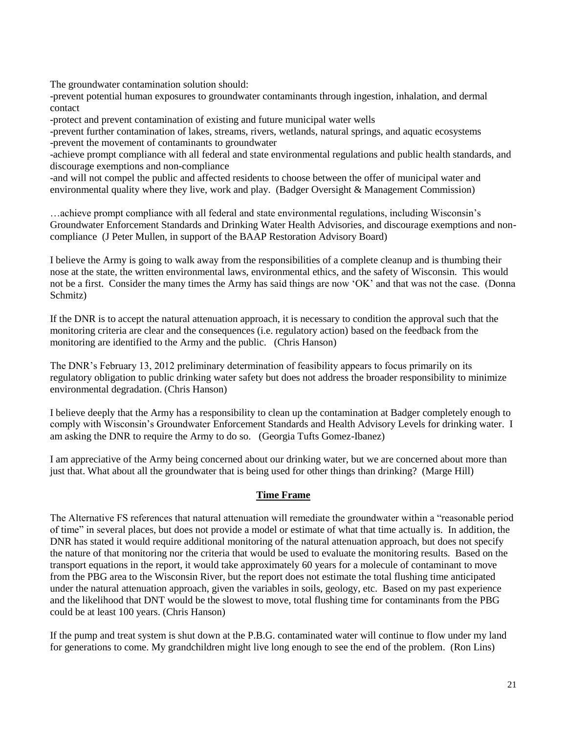The groundwater contamination solution should:

-prevent potential human exposures to groundwater contaminants through ingestion, inhalation, and dermal contact

-protect and prevent contamination of existing and future municipal water wells

-prevent further contamination of lakes, streams, rivers, wetlands, natural springs, and aquatic ecosystems -prevent the movement of contaminants to groundwater

-achieve prompt compliance with all federal and state environmental regulations and public health standards, and discourage exemptions and non-compliance

-and will not compel the public and affected residents to choose between the offer of municipal water and environmental quality where they live, work and play. (Badger Oversight & Management Commission)

…achieve prompt compliance with all federal and state environmental regulations, including Wisconsin's Groundwater Enforcement Standards and Drinking Water Health Advisories, and discourage exemptions and noncompliance (J Peter Mullen, in support of the BAAP Restoration Advisory Board)

I believe the Army is going to walk away from the responsibilities of a complete cleanup and is thumbing their nose at the state, the written environmental laws, environmental ethics, and the safety of Wisconsin. This would not be a first. Consider the many times the Army has said things are now 'OK' and that was not the case. (Donna Schmitz)

If the DNR is to accept the natural attenuation approach, it is necessary to condition the approval such that the monitoring criteria are clear and the consequences (i.e. regulatory action) based on the feedback from the monitoring are identified to the Army and the public. (Chris Hanson)

The DNR's February 13, 2012 preliminary determination of feasibility appears to focus primarily on its regulatory obligation to public drinking water safety but does not address the broader responsibility to minimize environmental degradation. (Chris Hanson)

I believe deeply that the Army has a responsibility to clean up the contamination at Badger completely enough to comply with Wisconsin's Groundwater Enforcement Standards and Health Advisory Levels for drinking water. I am asking the DNR to require the Army to do so. (Georgia Tufts Gomez-Ibanez)

I am appreciative of the Army being concerned about our drinking water, but we are concerned about more than just that. What about all the groundwater that is being used for other things than drinking? (Marge Hill)

# **Time Frame**

The Alternative FS references that natural attenuation will remediate the groundwater within a "reasonable period of time" in several places, but does not provide a model or estimate of what that time actually is. In addition, the DNR has stated it would require additional monitoring of the natural attenuation approach, but does not specify the nature of that monitoring nor the criteria that would be used to evaluate the monitoring results. Based on the transport equations in the report, it would take approximately 60 years for a molecule of contaminant to move from the PBG area to the Wisconsin River, but the report does not estimate the total flushing time anticipated under the natural attenuation approach, given the variables in soils, geology, etc. Based on my past experience and the likelihood that DNT would be the slowest to move, total flushing time for contaminants from the PBG could be at least 100 years. (Chris Hanson)

If the pump and treat system is shut down at the P.B.G. contaminated water will continue to flow under my land for generations to come. My grandchildren might live long enough to see the end of the problem. (Ron Lins)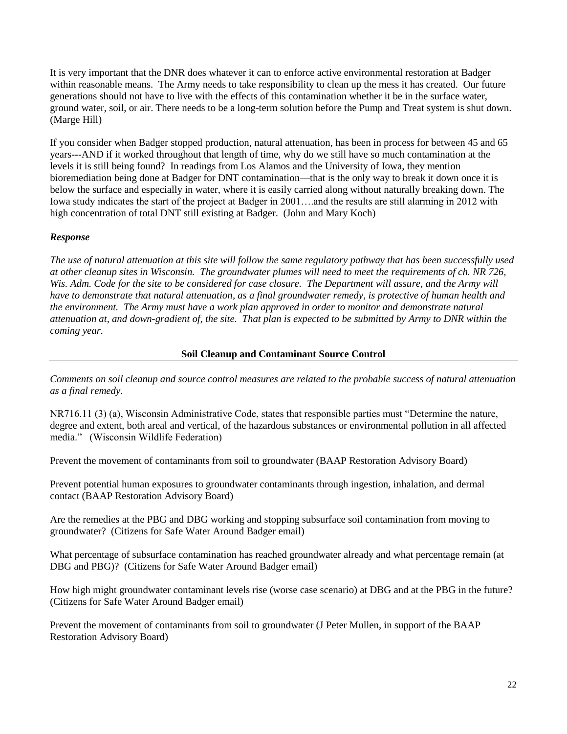It is very important that the DNR does whatever it can to enforce active environmental restoration at Badger within reasonable means. The Army needs to take responsibility to clean up the mess it has created. Our future generations should not have to live with the effects of this contamination whether it be in the surface water, ground water, soil, or air. There needs to be a long-term solution before the Pump and Treat system is shut down. (Marge Hill)

If you consider when Badger stopped production, natural attenuation, has been in process for between 45 and 65 years---AND if it worked throughout that length of time, why do we still have so much contamination at the levels it is still being found? In readings from Los Alamos and the University of Iowa, they mention bioremediation being done at Badger for DNT contamination—that is the only way to break it down once it is below the surface and especially in water, where it is easily carried along without naturally breaking down. The Iowa study indicates the start of the project at Badger in 2001….and the results are still alarming in 2012 with high concentration of total DNT still existing at Badger. (John and Mary Koch)

# *Response*

*The use of natural attenuation at this site will follow the same regulatory pathway that has been successfully used at other cleanup sites in Wisconsin. The groundwater plumes will need to meet the requirements of ch. NR 726,*  Wis. Adm. Code for the site to be considered for case closure. The Department will assure, and the Army will *have to demonstrate that natural attenuation, as a final groundwater remedy, is protective of human health and the environment. The Army must have a work plan approved in order to monitor and demonstrate natural attenuation at, and down-gradient of, the site. That plan is expected to be submitted by Army to DNR within the coming year.*

### **Soil Cleanup and Contaminant Source Control**

*Comments on soil cleanup and source control measures are related to the probable success of natural attenuation as a final remedy.*

NR716.11 (3) (a), Wisconsin Administrative Code, states that responsible parties must "Determine the nature, degree and extent, both areal and vertical, of the hazardous substances or environmental pollution in all affected media." (Wisconsin Wildlife Federation)

Prevent the movement of contaminants from soil to groundwater (BAAP Restoration Advisory Board)

Prevent potential human exposures to groundwater contaminants through ingestion, inhalation, and dermal contact (BAAP Restoration Advisory Board)

Are the remedies at the PBG and DBG working and stopping subsurface soil contamination from moving to groundwater? (Citizens for Safe Water Around Badger email)

What percentage of subsurface contamination has reached groundwater already and what percentage remain (at DBG and PBG)? (Citizens for Safe Water Around Badger email)

How high might groundwater contaminant levels rise (worse case scenario) at DBG and at the PBG in the future? (Citizens for Safe Water Around Badger email)

Prevent the movement of contaminants from soil to groundwater (J Peter Mullen, in support of the BAAP Restoration Advisory Board)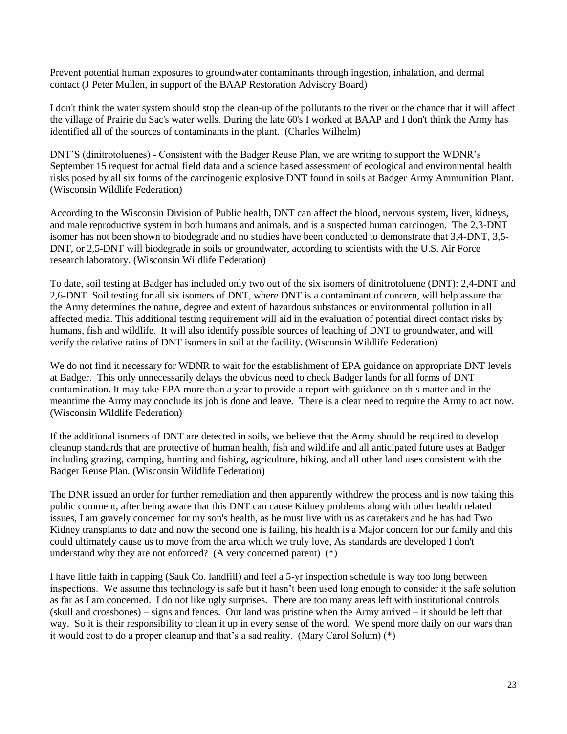Prevent potential human exposures to groundwater contaminants through ingestion, inhalation, and dermal contact (J Peter Mullen, in support of the BAAP Restoration Advisory Board)

I don't think the water system should stop the clean-up of the pollutants to the river or the chance that it will affect the village of Prairie du Sac's water wells. During the late 60's I worked at BAAP and I don't think the Army has identified all of the sources of contaminants in the plant. (Charles Wilhelm)

DNT'S (dinitrotoluenes) - Consistent with the Badger Reuse Plan, we are writing to support the WDNR's September 15 request for actual field data and a science based assessment of ecological and environmental health risks posed by all six forms of the carcinogenic explosive DNT found in soils at Badger Army Ammunition Plant. (Wisconsin Wildlife Federation)

According to the Wisconsin Division of Public health, DNT can affect the blood, nervous system, liver, kidneys, and male reproductive system in both humans and animals, and is a suspected human carcinogen. The 2,3-DNT isomer has not been shown to biodegrade and no studies have been conducted to demonstrate that 3,4-DNT, 3,5- DNT, or 2,5-DNT will biodegrade in soils or groundwater, according to scientists with the U.S. Air Force research laboratory. (Wisconsin Wildlife Federation)

To date, soil testing at Badger has included only two out of the six isomers of dinitrotoluene (DNT): 2,4-DNT and 2,6-DNT. Soil testing for all six isomers of DNT, where DNT is a contaminant of concern, will help assure that the Army determines the nature, degree and extent of hazardous substances or environmental pollution in all affected media. This additional testing requirement will aid in the evaluation of potential direct contact risks by humans, fish and wildlife. It will also identify possible sources of leaching of DNT to groundwater, and will verify the relative ratios of DNT isomers in soil at the facility. (Wisconsin Wildlife Federation)

We do not find it necessary for WDNR to wait for the establishment of EPA guidance on appropriate DNT levels at Badger. This only unnecessarily delays the obvious need to check Badger lands for all forms of DNT contamination. It may take EPA more than a year to provide a report with guidance on this matter and in the meantime the Army may conclude its job is done and leave. There is a clear need to require the Army to act now. (Wisconsin Wildlife Federation)

If the additional isomers of DNT are detected in soils, we believe that the Army should be required to develop cleanup standards that are protective of human health, fish and wildlife and all anticipated future uses at Badger including grazing, camping, hunting and fishing, agriculture, hiking, and all other land uses consistent with the Badger Reuse Plan. (Wisconsin Wildlife Federation)

The DNR issued an order for further remediation and then apparently withdrew the process and is now taking this public comment, after being aware that this DNT can cause Kidney problems along with other health related issues, I am gravely concerned for my son's health, as he must live with us as caretakers and he has had Two Kidney transplants to date and now the second one is failing, his health is a Major concern for our family and this could ultimately cause us to move from the area which we truly love, As standards are developed I don't understand why they are not enforced? (A very concerned parent) (\*)

I have little faith in capping (Sauk Co. landfill) and feel a 5-yr inspection schedule is way too long between inspections. We assume this technology is safe but it hasn't been used long enough to consider it the safe solution as far as I am concerned. I do not like ugly surprises. There are too many areas left with institutional controls (skull and crossbones) – signs and fences. Our land was pristine when the Army arrived – it should be left that way. So it is their responsibility to clean it up in every sense of the word. We spend more daily on our wars than it would cost to do a proper cleanup and that's a sad reality. (Mary Carol Solum) (\*)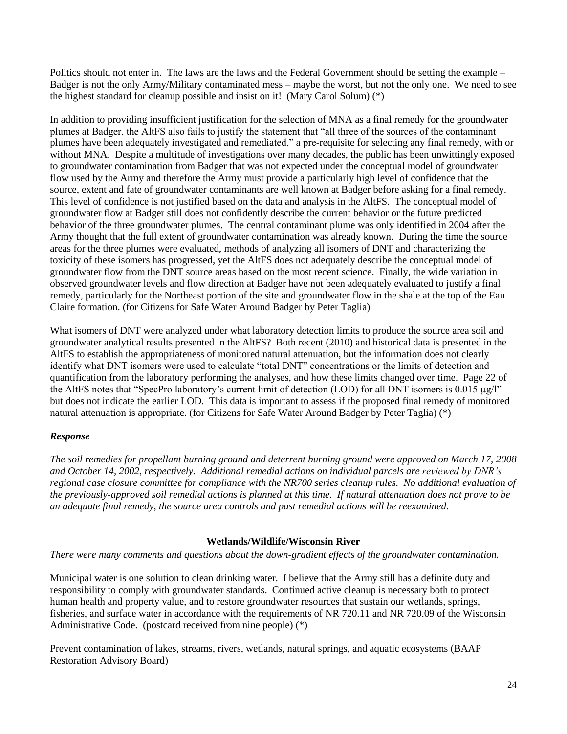Politics should not enter in. The laws are the laws and the Federal Government should be setting the example – Badger is not the only Army/Military contaminated mess – maybe the worst, but not the only one. We need to see the highest standard for cleanup possible and insist on it! (Mary Carol Solum) (\*)

In addition to providing insufficient justification for the selection of MNA as a final remedy for the groundwater plumes at Badger, the AltFS also fails to justify the statement that "all three of the sources of the contaminant plumes have been adequately investigated and remediated," a pre-requisite for selecting any final remedy, with or without MNA. Despite a multitude of investigations over many decades, the public has been unwittingly exposed to groundwater contamination from Badger that was not expected under the conceptual model of groundwater flow used by the Army and therefore the Army must provide a particularly high level of confidence that the source, extent and fate of groundwater contaminants are well known at Badger before asking for a final remedy. This level of confidence is not justified based on the data and analysis in the AltFS. The conceptual model of groundwater flow at Badger still does not confidently describe the current behavior or the future predicted behavior of the three groundwater plumes. The central contaminant plume was only identified in 2004 after the Army thought that the full extent of groundwater contamination was already known. During the time the source areas for the three plumes were evaluated, methods of analyzing all isomers of DNT and characterizing the toxicity of these isomers has progressed, yet the AltFS does not adequately describe the conceptual model of groundwater flow from the DNT source areas based on the most recent science. Finally, the wide variation in observed groundwater levels and flow direction at Badger have not been adequately evaluated to justify a final remedy, particularly for the Northeast portion of the site and groundwater flow in the shale at the top of the Eau Claire formation. (for Citizens for Safe Water Around Badger by Peter Taglia)

What isomers of DNT were analyzed under what laboratory detection limits to produce the source area soil and groundwater analytical results presented in the AltFS? Both recent (2010) and historical data is presented in the AltFS to establish the appropriateness of monitored natural attenuation, but the information does not clearly identify what DNT isomers were used to calculate "total DNT" concentrations or the limits of detection and quantification from the laboratory performing the analyses, and how these limits changed over time. Page 22 of the AltFS notes that "SpecPro laboratory's current limit of detection (LOD) for all DNT isomers is 0.015 µg/l" but does not indicate the earlier LOD. This data is important to assess if the proposed final remedy of monitored natural attenuation is appropriate. (for Citizens for Safe Water Around Badger by Peter Taglia) (\*)

# *Response*

*The soil remedies for propellant burning ground and deterrent burning ground were approved on March 17, 2008 and October 14, 2002, respectively. Additional remedial actions on individual parcels are reviewed by DNR's regional case closure committee for compliance with the NR700 series cleanup rules. No additional evaluation of the previously-approved soil remedial actions is planned at this time. If natural attenuation does not prove to be an adequate final remedy, the source area controls and past remedial actions will be reexamined.*

# **Wetlands/Wildlife/Wisconsin River**

*There were many comments and questions about the down-gradient effects of the groundwater contamination.*

Municipal water is one solution to clean drinking water. I believe that the Army still has a definite duty and responsibility to comply with groundwater standards. Continued active cleanup is necessary both to protect human health and property value, and to restore groundwater resources that sustain our wetlands, springs, fisheries, and surface water in accordance with the requirements of NR 720.11 and NR 720.09 of the Wisconsin Administrative Code. (postcard received from nine people) (\*)

Prevent contamination of lakes, streams, rivers, wetlands, natural springs, and aquatic ecosystems (BAAP Restoration Advisory Board)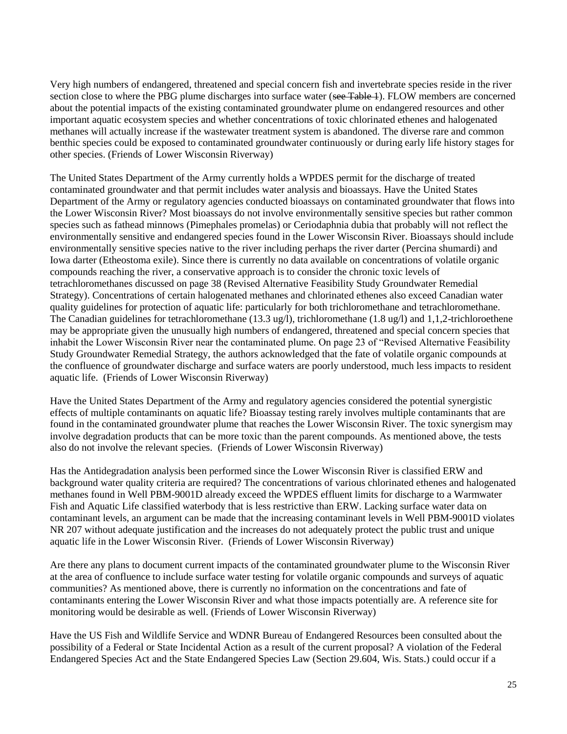Very high numbers of endangered, threatened and special concern fish and invertebrate species reside in the river section close to where the PBG plume discharges into surface water (see Table 1). FLOW members are concerned about the potential impacts of the existing contaminated groundwater plume on endangered resources and other important aquatic ecosystem species and whether concentrations of toxic chlorinated ethenes and halogenated methanes will actually increase if the wastewater treatment system is abandoned. The diverse rare and common benthic species could be exposed to contaminated groundwater continuously or during early life history stages for other species. (Friends of Lower Wisconsin Riverway)

The United States Department of the Army currently holds a WPDES permit for the discharge of treated contaminated groundwater and that permit includes water analysis and bioassays. Have the United States Department of the Army or regulatory agencies conducted bioassays on contaminated groundwater that flows into the Lower Wisconsin River? Most bioassays do not involve environmentally sensitive species but rather common species such as fathead minnows (Pimephales promelas) or Ceriodaphnia dubia that probably will not reflect the environmentally sensitive and endangered species found in the Lower Wisconsin River. Bioassays should include environmentally sensitive species native to the river including perhaps the river darter (Percina shumardi) and Iowa darter (Etheostoma exile). Since there is currently no data available on concentrations of volatile organic compounds reaching the river, a conservative approach is to consider the chronic toxic levels of tetrachloromethanes discussed on page 38 (Revised Alternative Feasibility Study Groundwater Remedial Strategy). Concentrations of certain halogenated methanes and chlorinated ethenes also exceed Canadian water quality guidelines for protection of aquatic life: particularly for both trichloromethane and tetrachloromethane. The Canadian guidelines for tetrachloromethane (13.3 ug/l), trichloromethane (1.8 ug/l) and 1,1,2-trichloroethene may be appropriate given the unusually high numbers of endangered, threatened and special concern species that inhabit the Lower Wisconsin River near the contaminated plume. On page 23 of "Revised Alternative Feasibility Study Groundwater Remedial Strategy, the authors acknowledged that the fate of volatile organic compounds at the confluence of groundwater discharge and surface waters are poorly understood, much less impacts to resident aquatic life. (Friends of Lower Wisconsin Riverway)

Have the United States Department of the Army and regulatory agencies considered the potential synergistic effects of multiple contaminants on aquatic life? Bioassay testing rarely involves multiple contaminants that are found in the contaminated groundwater plume that reaches the Lower Wisconsin River. The toxic synergism may involve degradation products that can be more toxic than the parent compounds. As mentioned above, the tests also do not involve the relevant species. (Friends of Lower Wisconsin Riverway)

Has the Antidegradation analysis been performed since the Lower Wisconsin River is classified ERW and background water quality criteria are required? The concentrations of various chlorinated ethenes and halogenated methanes found in Well PBM-9001D already exceed the WPDES effluent limits for discharge to a Warmwater Fish and Aquatic Life classified waterbody that is less restrictive than ERW. Lacking surface water data on contaminant levels, an argument can be made that the increasing contaminant levels in Well PBM-9001D violates NR 207 without adequate justification and the increases do not adequately protect the public trust and unique aquatic life in the Lower Wisconsin River. (Friends of Lower Wisconsin Riverway)

Are there any plans to document current impacts of the contaminated groundwater plume to the Wisconsin River at the area of confluence to include surface water testing for volatile organic compounds and surveys of aquatic communities? As mentioned above, there is currently no information on the concentrations and fate of contaminants entering the Lower Wisconsin River and what those impacts potentially are. A reference site for monitoring would be desirable as well. (Friends of Lower Wisconsin Riverway)

Have the US Fish and Wildlife Service and WDNR Bureau of Endangered Resources been consulted about the possibility of a Federal or State Incidental Action as a result of the current proposal? A violation of the Federal Endangered Species Act and the State Endangered Species Law (Section 29.604, Wis. Stats.) could occur if a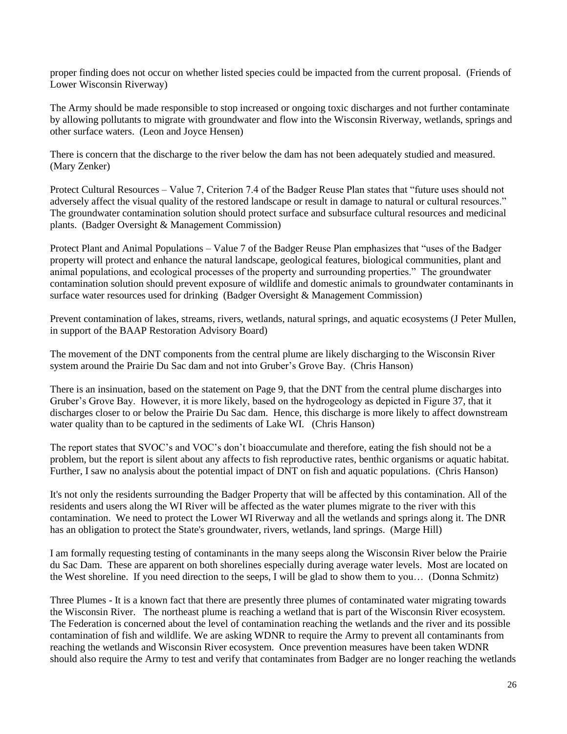proper finding does not occur on whether listed species could be impacted from the current proposal. (Friends of Lower Wisconsin Riverway)

The Army should be made responsible to stop increased or ongoing toxic discharges and not further contaminate by allowing pollutants to migrate with groundwater and flow into the Wisconsin Riverway, wetlands, springs and other surface waters. (Leon and Joyce Hensen)

There is concern that the discharge to the river below the dam has not been adequately studied and measured. (Mary Zenker)

Protect Cultural Resources – Value 7, Criterion 7.4 of the Badger Reuse Plan states that "future uses should not adversely affect the visual quality of the restored landscape or result in damage to natural or cultural resources." The groundwater contamination solution should protect surface and subsurface cultural resources and medicinal plants. (Badger Oversight & Management Commission)

Protect Plant and Animal Populations – Value 7 of the Badger Reuse Plan emphasizes that "uses of the Badger property will protect and enhance the natural landscape, geological features, biological communities, plant and animal populations, and ecological processes of the property and surrounding properties." The groundwater contamination solution should prevent exposure of wildlife and domestic animals to groundwater contaminants in surface water resources used for drinking (Badger Oversight & Management Commission)

Prevent contamination of lakes, streams, rivers, wetlands, natural springs, and aquatic ecosystems (J Peter Mullen, in support of the BAAP Restoration Advisory Board)

The movement of the DNT components from the central plume are likely discharging to the Wisconsin River system around the Prairie Du Sac dam and not into Gruber's Grove Bay. (Chris Hanson)

There is an insinuation, based on the statement on Page 9, that the DNT from the central plume discharges into Gruber's Grove Bay. However, it is more likely, based on the hydrogeology as depicted in Figure 37, that it discharges closer to or below the Prairie Du Sac dam. Hence, this discharge is more likely to affect downstream water quality than to be captured in the sediments of Lake WI. (Chris Hanson)

The report states that SVOC's and VOC's don't bioaccumulate and therefore, eating the fish should not be a problem, but the report is silent about any affects to fish reproductive rates, benthic organisms or aquatic habitat. Further, I saw no analysis about the potential impact of DNT on fish and aquatic populations. (Chris Hanson)

It's not only the residents surrounding the Badger Property that will be affected by this contamination. All of the residents and users along the WI River will be affected as the water plumes migrate to the river with this contamination. We need to protect the Lower WI Riverway and all the wetlands and springs along it. The DNR has an obligation to protect the State's groundwater, rivers, wetlands, land springs. (Marge Hill)

I am formally requesting testing of contaminants in the many seeps along the Wisconsin River below the Prairie du Sac Dam. These are apparent on both shorelines especially during average water levels. Most are located on the West shoreline. If you need direction to the seeps, I will be glad to show them to you… (Donna Schmitz)

Three Plumes - It is a known fact that there are presently three plumes of contaminated water migrating towards the Wisconsin River. The northeast plume is reaching a wetland that is part of the Wisconsin River ecosystem. The Federation is concerned about the level of contamination reaching the wetlands and the river and its possible contamination of fish and wildlife. We are asking WDNR to require the Army to prevent all contaminants from reaching the wetlands and Wisconsin River ecosystem. Once prevention measures have been taken WDNR should also require the Army to test and verify that contaminates from Badger are no longer reaching the wetlands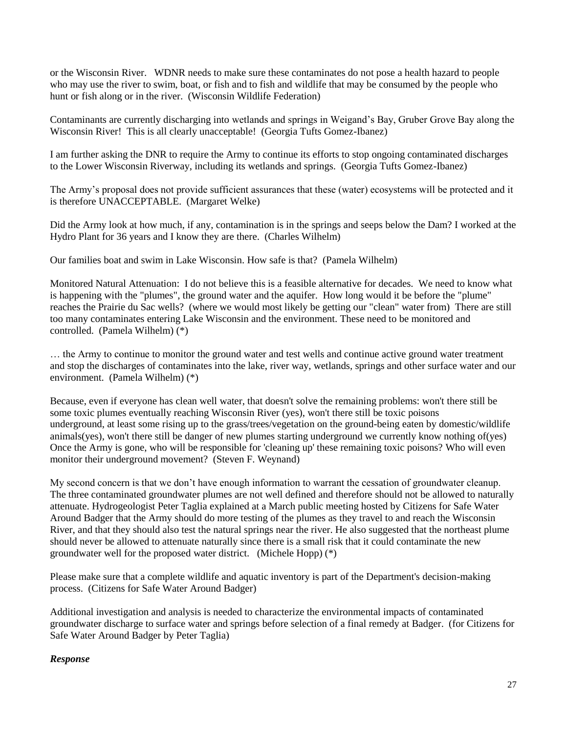or the Wisconsin River. WDNR needs to make sure these contaminates do not pose a health hazard to people who may use the river to swim, boat, or fish and to fish and wildlife that may be consumed by the people who hunt or fish along or in the river. (Wisconsin Wildlife Federation)

Contaminants are currently discharging into wetlands and springs in Weigand's Bay, Gruber Grove Bay along the Wisconsin River! This is all clearly unacceptable! (Georgia Tufts Gomez-Ibanez)

I am further asking the DNR to require the Army to continue its efforts to stop ongoing contaminated discharges to the Lower Wisconsin Riverway, including its wetlands and springs. (Georgia Tufts Gomez-Ibanez)

The Army's proposal does not provide sufficient assurances that these (water) ecosystems will be protected and it is therefore UNACCEPTABLE. (Margaret Welke)

Did the Army look at how much, if any, contamination is in the springs and seeps below the Dam? I worked at the Hydro Plant for 36 years and I know they are there. (Charles Wilhelm)

Our families boat and swim in Lake Wisconsin. How safe is that? (Pamela Wilhelm)

Monitored Natural Attenuation: I do not believe this is a feasible alternative for decades. We need to know what is happening with the "plumes", the ground water and the aquifer. How long would it be before the "plume" reaches the Prairie du Sac wells? (where we would most likely be getting our "clean" water from) There are still too many contaminates entering Lake Wisconsin and the environment. These need to be monitored and controlled. (Pamela Wilhelm) (\*)

… the Army to continue to monitor the ground water and test wells and continue active ground water treatment and stop the discharges of contaminates into the lake, river way, wetlands, springs and other surface water and our environment. (Pamela Wilhelm) (\*)

Because, even if everyone has clean well water, that doesn't solve the remaining problems: won't there still be some toxic plumes eventually reaching Wisconsin River (yes), won't there still be toxic poisons underground, at least some rising up to the grass/trees/vegetation on the ground-being eaten by domestic/wildlife animals(yes), won't there still be danger of new plumes starting underground we currently know nothing of(yes) Once the Army is gone, who will be responsible for 'cleaning up' these remaining toxic poisons? Who will even monitor their underground movement? (Steven F. Weynand)

My second concern is that we don't have enough information to warrant the cessation of groundwater cleanup. The three contaminated groundwater plumes are not well defined and therefore should not be allowed to naturally attenuate. Hydrogeologist Peter Taglia explained at a March public meeting hosted by Citizens for Safe Water Around Badger that the Army should do more testing of the plumes as they travel to and reach the Wisconsin River, and that they should also test the natural springs near the river. He also suggested that the northeast plume should never be allowed to attenuate naturally since there is a small risk that it could contaminate the new groundwater well for the proposed water district. (Michele Hopp) (\*)

Please make sure that a complete wildlife and aquatic inventory is part of the Department's decision-making process. (Citizens for Safe Water Around Badger)

Additional investigation and analysis is needed to characterize the environmental impacts of contaminated groundwater discharge to surface water and springs before selection of a final remedy at Badger. (for Citizens for Safe Water Around Badger by Peter Taglia)

### *Response*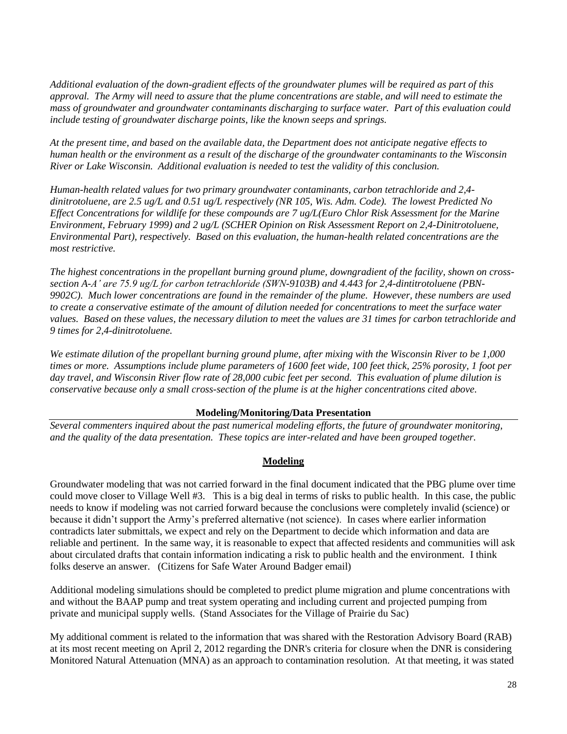*Additional evaluation of the down-gradient effects of the groundwater plumes will be required as part of this approval. The Army will need to assure that the plume concentrations are stable, and will need to estimate the mass of groundwater and groundwater contaminants discharging to surface water. Part of this evaluation could include testing of groundwater discharge points, like the known seeps and springs.*

*At the present time, and based on the available data, the Department does not anticipate negative effects to human health or the environment as a result of the discharge of the groundwater contaminants to the Wisconsin River or Lake Wisconsin. Additional evaluation is needed to test the validity of this conclusion.*

*Human-health related values for two primary groundwater contaminants, carbon tetrachloride and 2,4 dinitrotoluene, are 2.5 ug/L and 0.51 ug/L respectively (NR 105, Wis. Adm. Code). The lowest Predicted No Effect Concentrations for wildlife for these compounds are 7 ug/L(Euro Chlor Risk Assessment for the Marine Environment, February 1999) and 2 ug/L (SCHER Opinion on Risk Assessment Report on 2,4-Dinitrotoluene, Environmental Part), respectively. Based on this evaluation, the human-health related concentrations are the most restrictive.*

*The highest concentrations in the propellant burning ground plume, downgradient of the facility, shown on crosssection A-A' are 75.9 ug/L for carbon tetrachloride (SWN-9103B) and 4.443 for 2,4-dintitrotoluene (PBN-9902C). Much lower concentrations are found in the remainder of the plume. However, these numbers are used to create a conservative estimate of the amount of dilution needed for concentrations to meet the surface water values. Based on these values, the necessary dilution to meet the values are 31 times for carbon tetrachloride and 9 times for 2,4-dinitrotoluene.*

*We estimate dilution of the propellant burning ground plume, after mixing with the Wisconsin River to be 1,000 times or more. Assumptions include plume parameters of 1600 feet wide, 100 feet thick, 25% porosity, 1 foot per day travel, and Wisconsin River flow rate of 28,000 cubic feet per second. This evaluation of plume dilution is conservative because only a small cross-section of the plume is at the higher concentrations cited above.*

### **Modeling/Monitoring/Data Presentation**

*Several commenters inquired about the past numerical modeling efforts, the future of groundwater monitoring, and the quality of the data presentation. These topics are inter-related and have been grouped together.*

### **Modeling**

Groundwater modeling that was not carried forward in the final document indicated that the PBG plume over time could move closer to Village Well #3. This is a big deal in terms of risks to public health. In this case, the public needs to know if modeling was not carried forward because the conclusions were completely invalid (science) or because it didn't support the Army's preferred alternative (not science). In cases where earlier information contradicts later submittals, we expect and rely on the Department to decide which information and data are reliable and pertinent. In the same way, it is reasonable to expect that affected residents and communities will ask about circulated drafts that contain information indicating a risk to public health and the environment. I think folks deserve an answer. (Citizens for Safe Water Around Badger email)

Additional modeling simulations should be completed to predict plume migration and plume concentrations with and without the BAAP pump and treat system operating and including current and projected pumping from private and municipal supply wells. (Stand Associates for the Village of Prairie du Sac)

My additional comment is related to the information that was shared with the Restoration Advisory Board (RAB) at its most recent meeting on April 2, 2012 regarding the DNR's criteria for closure when the DNR is considering Monitored Natural Attenuation (MNA) as an approach to contamination resolution. At that meeting, it was stated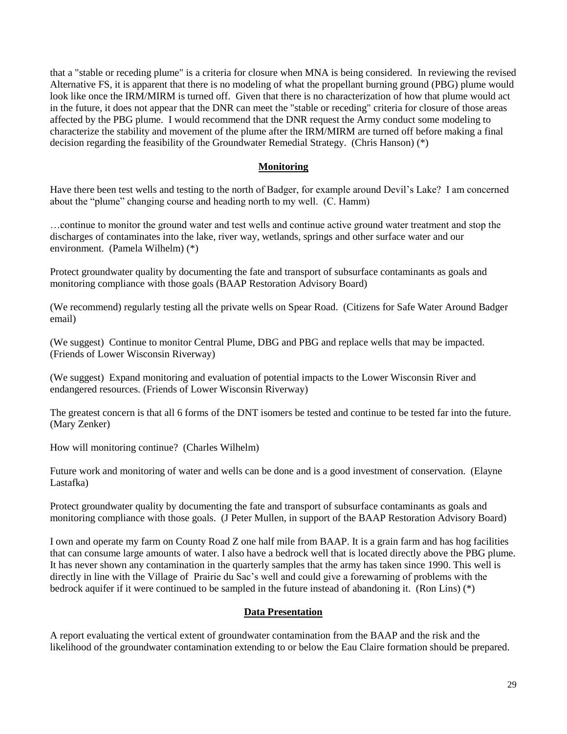that a "stable or receding plume" is a criteria for closure when MNA is being considered. In reviewing the revised Alternative FS, it is apparent that there is no modeling of what the propellant burning ground (PBG) plume would look like once the IRM/MIRM is turned off. Given that there is no characterization of how that plume would act in the future, it does not appear that the DNR can meet the "stable or receding" criteria for closure of those areas affected by the PBG plume. I would recommend that the DNR request the Army conduct some modeling to characterize the stability and movement of the plume after the IRM/MIRM are turned off before making a final decision regarding the feasibility of the Groundwater Remedial Strategy. (Chris Hanson) (\*)

### **Monitoring**

Have there been test wells and testing to the north of Badger, for example around Devil's Lake? I am concerned about the "plume" changing course and heading north to my well. (C. Hamm)

…continue to monitor the ground water and test wells and continue active ground water treatment and stop the discharges of contaminates into the lake, river way, wetlands, springs and other surface water and our environment. (Pamela Wilhelm) (\*)

Protect groundwater quality by documenting the fate and transport of subsurface contaminants as goals and monitoring compliance with those goals (BAAP Restoration Advisory Board)

(We recommend) regularly testing all the private wells on Spear Road. (Citizens for Safe Water Around Badger email)

(We suggest) Continue to monitor Central Plume, DBG and PBG and replace wells that may be impacted. (Friends of Lower Wisconsin Riverway)

(We suggest) Expand monitoring and evaluation of potential impacts to the Lower Wisconsin River and endangered resources. (Friends of Lower Wisconsin Riverway)

The greatest concern is that all 6 forms of the DNT isomers be tested and continue to be tested far into the future. (Mary Zenker)

How will monitoring continue? (Charles Wilhelm)

Future work and monitoring of water and wells can be done and is a good investment of conservation. (Elayne Lastafka)

Protect groundwater quality by documenting the fate and transport of subsurface contaminants as goals and monitoring compliance with those goals. (J Peter Mullen, in support of the BAAP Restoration Advisory Board)

I own and operate my farm on County Road Z one half mile from BAAP. It is a grain farm and has hog facilities that can consume large amounts of water. I also have a bedrock well that is located directly above the PBG plume. It has never shown any contamination in the quarterly samples that the army has taken since 1990. This well is directly in line with the Village of Prairie du Sac's well and could give a forewarning of problems with the bedrock aquifer if it were continued to be sampled in the future instead of abandoning it. (Ron Lins) (\*)

#### **Data Presentation**

A report evaluating the vertical extent of groundwater contamination from the BAAP and the risk and the likelihood of the groundwater contamination extending to or below the Eau Claire formation should be prepared.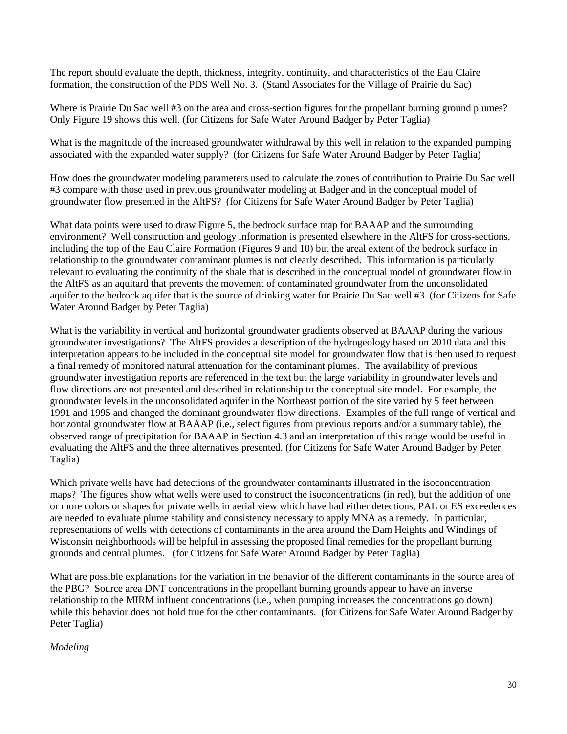The report should evaluate the depth, thickness, integrity, continuity, and characteristics of the Eau Claire formation, the construction of the PDS Well No. 3. (Stand Associates for the Village of Prairie du Sac)

Where is Prairie Du Sac well #3 on the area and cross-section figures for the propellant burning ground plumes? Only Figure 19 shows this well. (for Citizens for Safe Water Around Badger by Peter Taglia)

What is the magnitude of the increased groundwater withdrawal by this well in relation to the expanded pumping associated with the expanded water supply? (for Citizens for Safe Water Around Badger by Peter Taglia)

How does the groundwater modeling parameters used to calculate the zones of contribution to Prairie Du Sac well #3 compare with those used in previous groundwater modeling at Badger and in the conceptual model of groundwater flow presented in the AltFS? (for Citizens for Safe Water Around Badger by Peter Taglia)

What data points were used to draw Figure 5, the bedrock surface map for BAAAP and the surrounding environment? Well construction and geology information is presented elsewhere in the AltFS for cross-sections, including the top of the Eau Claire Formation (Figures 9 and 10) but the areal extent of the bedrock surface in relationship to the groundwater contaminant plumes is not clearly described. This information is particularly relevant to evaluating the continuity of the shale that is described in the conceptual model of groundwater flow in the AltFS as an aquitard that prevents the movement of contaminated groundwater from the unconsolidated aquifer to the bedrock aquifer that is the source of drinking water for Prairie Du Sac well #3. (for Citizens for Safe Water Around Badger by Peter Taglia)

What is the variability in vertical and horizontal groundwater gradients observed at BAAAP during the various groundwater investigations? The AltFS provides a description of the hydrogeology based on 2010 data and this interpretation appears to be included in the conceptual site model for groundwater flow that is then used to request a final remedy of monitored natural attenuation for the contaminant plumes. The availability of previous groundwater investigation reports are referenced in the text but the large variability in groundwater levels and flow directions are not presented and described in relationship to the conceptual site model. For example, the groundwater levels in the unconsolidated aquifer in the Northeast portion of the site varied by 5 feet between 1991 and 1995 and changed the dominant groundwater flow directions. Examples of the full range of vertical and horizontal groundwater flow at BAAAP (i.e., select figures from previous reports and/or a summary table), the observed range of precipitation for BAAAP in Section 4.3 and an interpretation of this range would be useful in evaluating the AltFS and the three alternatives presented. (for Citizens for Safe Water Around Badger by Peter Taglia)

Which private wells have had detections of the groundwater contaminants illustrated in the isoconcentration maps? The figures show what wells were used to construct the isoconcentrations (in red), but the addition of one or more colors or shapes for private wells in aerial view which have had either detections, PAL or ES exceedences are needed to evaluate plume stability and consistency necessary to apply MNA as a remedy. In particular, representations of wells with detections of contaminants in the area around the Dam Heights and Windings of Wisconsin neighborhoods will be helpful in assessing the proposed final remedies for the propellant burning grounds and central plumes. (for Citizens for Safe Water Around Badger by Peter Taglia)

What are possible explanations for the variation in the behavior of the different contaminants in the source area of the PBG? Source area DNT concentrations in the propellant burning grounds appear to have an inverse relationship to the MIRM influent concentrations (i.e., when pumping increases the concentrations go down) while this behavior does not hold true for the other contaminants. (for Citizens for Safe Water Around Badger by Peter Taglia)

# *Modeling*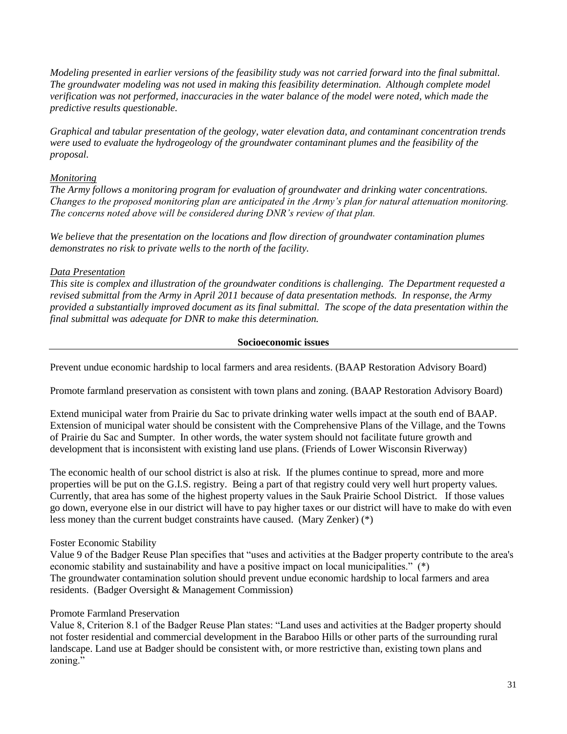*Modeling presented in earlier versions of the feasibility study was not carried forward into the final submittal. The groundwater modeling was not used in making this feasibility determination. Although complete model verification was not performed, inaccuracies in the water balance of the model were noted, which made the predictive results questionable.* 

*Graphical and tabular presentation of the geology, water elevation data, and contaminant concentration trends were used to evaluate the hydrogeology of the groundwater contaminant plumes and the feasibility of the proposal.*

### *Monitoring*

*The Army follows a monitoring program for evaluation of groundwater and drinking water concentrations. Changes to the proposed monitoring plan are anticipated in the Army's plan for natural attenuation monitoring. The concerns noted above will be considered during DNR's review of that plan.*

*We believe that the presentation on the locations and flow direction of groundwater contamination plumes demonstrates no risk to private wells to the north of the facility.*

# *Data Presentation*

*This site is complex and illustration of the groundwater conditions is challenging. The Department requested a revised submittal from the Army in April 2011 because of data presentation methods. In response, the Army provided a substantially improved document as its final submittal. The scope of the data presentation within the final submittal was adequate for DNR to make this determination.* 

#### **Socioeconomic issues**

Prevent undue economic hardship to local farmers and area residents. (BAAP Restoration Advisory Board)

Promote farmland preservation as consistent with town plans and zoning. (BAAP Restoration Advisory Board)

Extend municipal water from Prairie du Sac to private drinking water wells impact at the south end of BAAP. Extension of municipal water should be consistent with the Comprehensive Plans of the Village, and the Towns of Prairie du Sac and Sumpter. In other words, the water system should not facilitate future growth and development that is inconsistent with existing land use plans. (Friends of Lower Wisconsin Riverway)

The economic health of our school district is also at risk. If the plumes continue to spread, more and more properties will be put on the G.I.S. registry. Being a part of that registry could very well hurt property values. Currently, that area has some of the highest property values in the Sauk Prairie School District. If those values go down, everyone else in our district will have to pay higher taxes or our district will have to make do with even less money than the current budget constraints have caused. (Mary Zenker) (\*)

### Foster Economic Stability

Value 9 of the Badger Reuse Plan specifies that "uses and activities at the Badger property contribute to the area's economic stability and sustainability and have a positive impact on local municipalities." (\*) The groundwater contamination solution should prevent undue economic hardship to local farmers and area residents. (Badger Oversight & Management Commission)

### Promote Farmland Preservation

Value 8, Criterion 8.1 of the Badger Reuse Plan states: "Land uses and activities at the Badger property should not foster residential and commercial development in the Baraboo Hills or other parts of the surrounding rural landscape. Land use at Badger should be consistent with, or more restrictive than, existing town plans and zoning."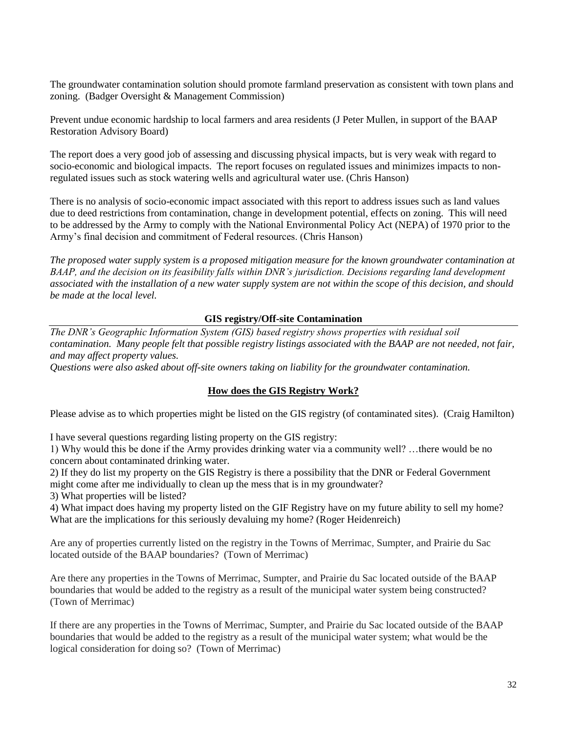The groundwater contamination solution should promote farmland preservation as consistent with town plans and zoning. (Badger Oversight & Management Commission)

Prevent undue economic hardship to local farmers and area residents (J Peter Mullen, in support of the BAAP Restoration Advisory Board)

The report does a very good job of assessing and discussing physical impacts, but is very weak with regard to socio-economic and biological impacts. The report focuses on regulated issues and minimizes impacts to nonregulated issues such as stock watering wells and agricultural water use. (Chris Hanson)

There is no analysis of socio-economic impact associated with this report to address issues such as land values due to deed restrictions from contamination, change in development potential, effects on zoning. This will need to be addressed by the Army to comply with the National Environmental Policy Act (NEPA) of 1970 prior to the Army's final decision and commitment of Federal resources. (Chris Hanson)

*The proposed water supply system is a proposed mitigation measure for the known groundwater contamination at BAAP, and the decision on its feasibility falls within DNR's jurisdiction. Decisions regarding land development associated with the installation of a new water supply system are not within the scope of this decision, and should be made at the local level.*

### **GIS registry/Off-site Contamination**

*The DNR's Geographic Information System (GIS) based registry shows properties with residual soil contamination. Many people felt that possible registry listings associated with the BAAP are not needed, not fair, and may affect property values.*

*Questions were also asked about off-site owners taking on liability for the groundwater contamination.*

#### **How does the GIS Registry Work?**

Please advise as to which properties might be listed on the GIS registry (of contaminated sites). (Craig Hamilton)

I have several questions regarding listing property on the GIS registry:

1) Why would this be done if the Army provides drinking water via a community well? …there would be no concern about contaminated drinking water.

2) If they do list my property on the GIS Registry is there a possibility that the DNR or Federal Government might come after me individually to clean up the mess that is in my groundwater?

3) What properties will be listed?

4) What impact does having my property listed on the GIF Registry have on my future ability to sell my home? What are the implications for this seriously devaluing my home? (Roger Heidenreich)

Are any of properties currently listed on the registry in the Towns of Merrimac, Sumpter, and Prairie du Sac located outside of the BAAP boundaries? (Town of Merrimac)

Are there any properties in the Towns of Merrimac, Sumpter, and Prairie du Sac located outside of the BAAP boundaries that would be added to the registry as a result of the municipal water system being constructed? (Town of Merrimac)

If there are any properties in the Towns of Merrimac, Sumpter, and Prairie du Sac located outside of the BAAP boundaries that would be added to the registry as a result of the municipal water system; what would be the logical consideration for doing so? (Town of Merrimac)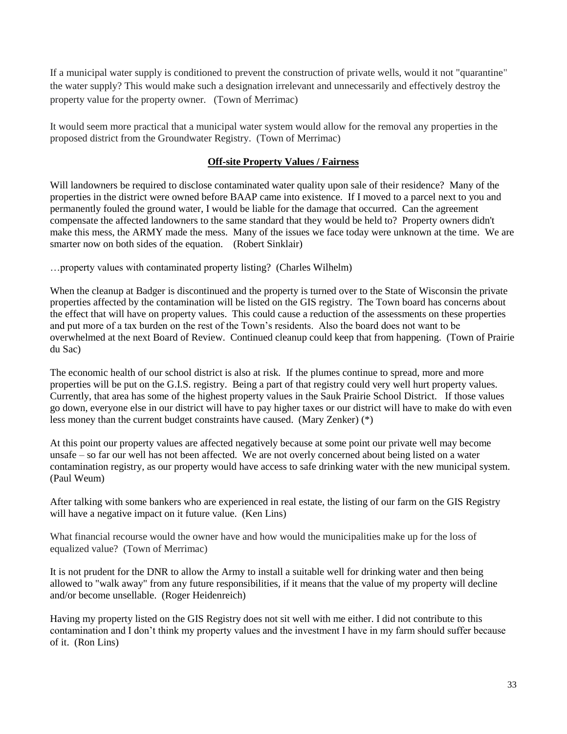If a municipal water supply is conditioned to prevent the construction of private wells, would it not "quarantine" the water supply? This would make such a designation irrelevant and unnecessarily and effectively destroy the property value for the property owner. (Town of Merrimac)

It would seem more practical that a municipal water system would allow for the removal any properties in the proposed district from the Groundwater Registry. (Town of Merrimac)

# **Off-site Property Values / Fairness**

Will landowners be required to disclose contaminated water quality upon sale of their residence? Many of the properties in the district were owned before BAAP came into existence. If I moved to a parcel next to you and permanently fouled the ground water, I would be liable for the damage that occurred. Can the agreement compensate the affected landowners to the same standard that they would be held to? Property owners didn't make this mess, the ARMY made the mess. Many of the issues we face today were unknown at the time. We are smarter now on both sides of the equation. (Robert Sinklair)

…property values with contaminated property listing? (Charles Wilhelm)

When the cleanup at Badger is discontinued and the property is turned over to the State of Wisconsin the private properties affected by the contamination will be listed on the GIS registry. The Town board has concerns about the effect that will have on property values. This could cause a reduction of the assessments on these properties and put more of a tax burden on the rest of the Town's residents. Also the board does not want to be overwhelmed at the next Board of Review. Continued cleanup could keep that from happening. (Town of Prairie du Sac)

The economic health of our school district is also at risk. If the plumes continue to spread, more and more properties will be put on the G.I.S. registry. Being a part of that registry could very well hurt property values. Currently, that area has some of the highest property values in the Sauk Prairie School District. If those values go down, everyone else in our district will have to pay higher taxes or our district will have to make do with even less money than the current budget constraints have caused. (Mary Zenker) (\*)

At this point our property values are affected negatively because at some point our private well may become unsafe – so far our well has not been affected. We are not overly concerned about being listed on a water contamination registry, as our property would have access to safe drinking water with the new municipal system. (Paul Weum)

After talking with some bankers who are experienced in real estate, the listing of our farm on the GIS Registry will have a negative impact on it future value. (Ken Lins)

What financial recourse would the owner have and how would the municipalities make up for the loss of equalized value? (Town of Merrimac)

It is not prudent for the DNR to allow the Army to install a suitable well for drinking water and then being allowed to "walk away" from any future responsibilities, if it means that the value of my property will decline and/or become unsellable. (Roger Heidenreich)

Having my property listed on the GIS Registry does not sit well with me either. I did not contribute to this contamination and I don't think my property values and the investment I have in my farm should suffer because of it. (Ron Lins)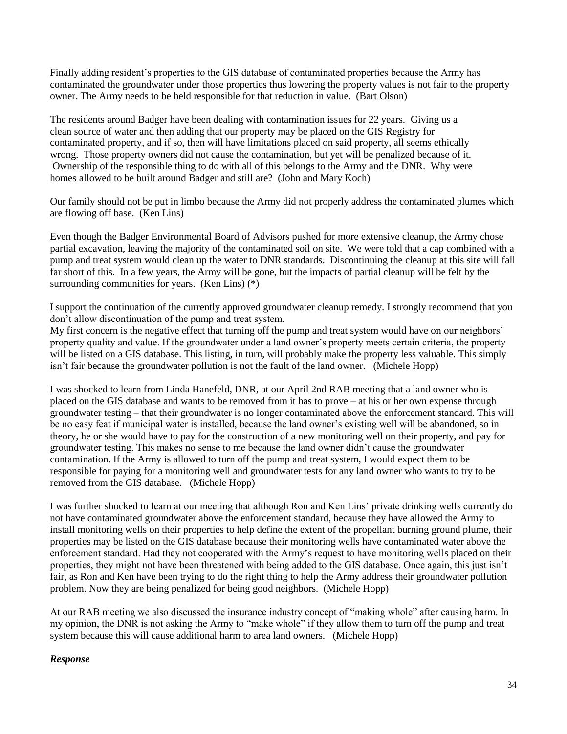Finally adding resident's properties to the GIS database of contaminated properties because the Army has contaminated the groundwater under those properties thus lowering the property values is not fair to the property owner. The Army needs to be held responsible for that reduction in value. (Bart Olson)

The residents around Badger have been dealing with contamination issues for 22 years. Giving us a clean source of water and then adding that our property may be placed on the GIS Registry for contaminated property, and if so, then will have limitations placed on said property, all seems ethically wrong. Those property owners did not cause the contamination, but yet will be penalized because of it. Ownership of the responsible thing to do with all of this belongs to the Army and the DNR. Why were homes allowed to be built around Badger and still are? (John and Mary Koch)

Our family should not be put in limbo because the Army did not properly address the contaminated plumes which are flowing off base. (Ken Lins)

Even though the Badger Environmental Board of Advisors pushed for more extensive cleanup, the Army chose partial excavation, leaving the majority of the contaminated soil on site. We were told that a cap combined with a pump and treat system would clean up the water to DNR standards. Discontinuing the cleanup at this site will fall far short of this. In a few years, the Army will be gone, but the impacts of partial cleanup will be felt by the surrounding communities for years. (Ken Lins) (\*)

I support the continuation of the currently approved groundwater cleanup remedy. I strongly recommend that you don't allow discontinuation of the pump and treat system.

My first concern is the negative effect that turning off the pump and treat system would have on our neighbors' property quality and value. If the groundwater under a land owner's property meets certain criteria, the property will be listed on a GIS database. This listing, in turn, will probably make the property less valuable. This simply isn't fair because the groundwater pollution is not the fault of the land owner. (Michele Hopp)

I was shocked to learn from Linda Hanefeld, DNR, at our April 2nd RAB meeting that a land owner who is placed on the GIS database and wants to be removed from it has to prove – at his or her own expense through groundwater testing – that their groundwater is no longer contaminated above the enforcement standard. This will be no easy feat if municipal water is installed, because the land owner's existing well will be abandoned, so in theory, he or she would have to pay for the construction of a new monitoring well on their property, and pay for groundwater testing. This makes no sense to me because the land owner didn't cause the groundwater contamination. If the Army is allowed to turn off the pump and treat system, I would expect them to be responsible for paying for a monitoring well and groundwater tests for any land owner who wants to try to be removed from the GIS database. (Michele Hopp)

I was further shocked to learn at our meeting that although Ron and Ken Lins' private drinking wells currently do not have contaminated groundwater above the enforcement standard, because they have allowed the Army to install monitoring wells on their properties to help define the extent of the propellant burning ground plume, their properties may be listed on the GIS database because their monitoring wells have contaminated water above the enforcement standard. Had they not cooperated with the Army's request to have monitoring wells placed on their properties, they might not have been threatened with being added to the GIS database. Once again, this just isn't fair, as Ron and Ken have been trying to do the right thing to help the Army address their groundwater pollution problem. Now they are being penalized for being good neighbors. (Michele Hopp)

At our RAB meeting we also discussed the insurance industry concept of "making whole" after causing harm. In my opinion, the DNR is not asking the Army to "make whole" if they allow them to turn off the pump and treat system because this will cause additional harm to area land owners. (Michele Hopp)

### *Response*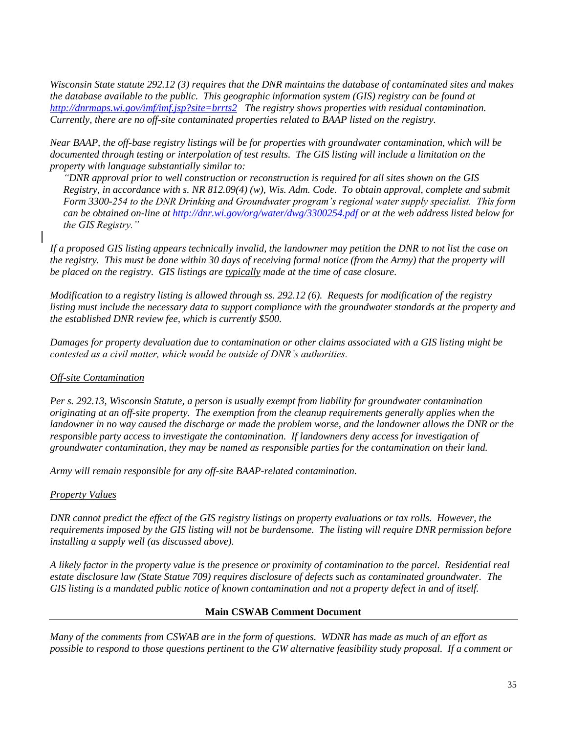*Wisconsin State statute 292.12 (3) requires that the DNR maintains the database of contaminated sites and makes the database available to the public. This geographic information system (GIS) registry can be found at <http://dnrmaps.wi.gov/imf/imf.jsp?site=brrts2>The registry shows properties with residual contamination. Currently, there are no off-site contaminated properties related to BAAP listed on the registry.*

*Near BAAP, the off-base registry listings will be for properties with groundwater contamination, which will be documented through testing or interpolation of test results. The GIS listing will include a limitation on the property with language substantially similar to:* 

*"DNR approval prior to well construction or reconstruction is required for all sites shown on the GIS Registry, in accordance with s. NR 812.09(4) (w), Wis. Adm. Code. To obtain approval, complete and submit Form 3300-254 to the DNR Drinking and Groundwater program's regional water supply specialist. This form can be obtained on-line at<http://dnr.wi.gov/org/water/dwg/3300254.pdf> or at the web address listed below for the GIS Registry."*

*If a proposed GIS listing appears technically invalid, the landowner may petition the DNR to not list the case on the registry. This must be done within 30 days of receiving formal notice (from the Army) that the property will be placed on the registry. GIS listings are typically made at the time of case closure.*

*Modification to a registry listing is allowed through ss. 292.12 (6). Requests for modification of the registry listing must include the necessary data to support compliance with the groundwater standards at the property and the established DNR review fee, which is currently \$500.*

*Damages for property devaluation due to contamination or other claims associated with a GIS listing might be contested as a civil matter, which would be outside of DNR's authorities.*

### *Off-site Contamination*

*Per s. 292.13, Wisconsin Statute, a person is usually exempt from liability for groundwater contamination originating at an off-site property. The exemption from the cleanup requirements generally applies when the landowner in no way caused the discharge or made the problem worse, and the landowner allows the DNR or the responsible party access to investigate the contamination. If landowners deny access for investigation of groundwater contamination, they may be named as responsible parties for the contamination on their land.* 

*Army will remain responsible for any off-site BAAP-related contamination.*

### *Property Values*

*DNR cannot predict the effect of the GIS registry listings on property evaluations or tax rolls. However, the requirements imposed by the GIS listing will not be burdensome. The listing will require DNR permission before installing a supply well (as discussed above).* 

*A likely factor in the property value is the presence or proximity of contamination to the parcel. Residential real estate disclosure law (State Statue 709) requires disclosure of defects such as contaminated groundwater. The GIS listing is a mandated public notice of known contamination and not a property defect in and of itself.*

### **Main CSWAB Comment Document**

*Many of the comments from CSWAB are in the form of questions. WDNR has made as much of an effort as possible to respond to those questions pertinent to the GW alternative feasibility study proposal. If a comment or*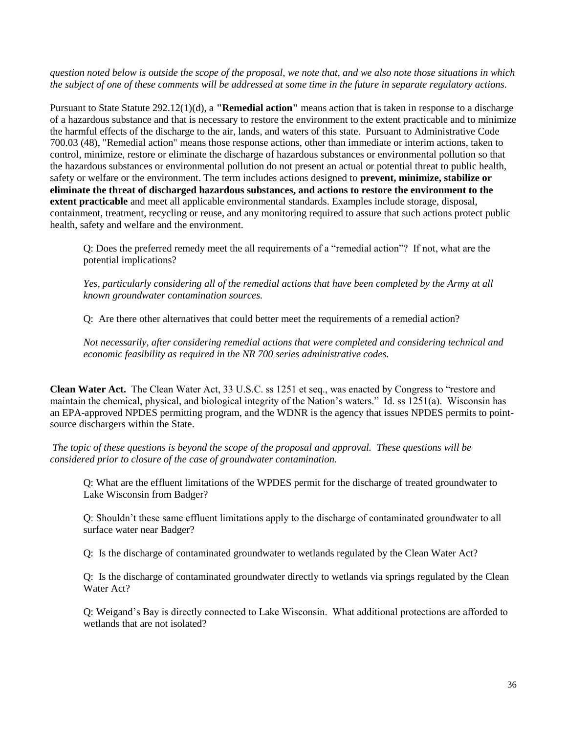*question noted below is outside the scope of the proposal, we note that, and we also note those situations in which the subject of one of these comments will be addressed at some time in the future in separate regulatory actions.*

Pursuant to State Statute 292.12(1)(d), a **"Remedial action"** means action that is taken in response to a discharge of a hazardous substance and that is necessary to restore the environment to the extent practicable and to minimize the harmful effects of the discharge to the air, lands, and waters of this state. Pursuant to Administrative Code 700.03 (48), "Remedial action" means those response actions, other than immediate or interim actions, taken to control, minimize, restore or eliminate the discharge of hazardous substances or environmental pollution so that the hazardous substances or environmental pollution do not present an actual or potential threat to public health, safety or welfare or the environment. The term includes actions designed to **prevent, minimize, stabilize or eliminate the threat of discharged hazardous substances, and actions to restore the environment to the extent practicable** and meet all applicable environmental standards. Examples include storage, disposal, containment, treatment, recycling or reuse, and any monitoring required to assure that such actions protect public health, safety and welfare and the environment.

Q: Does the preferred remedy meet the all requirements of a "remedial action"? If not, what are the potential implications?

*Yes, particularly considering all of the remedial actions that have been completed by the Army at all known groundwater contamination sources.*

Q: Are there other alternatives that could better meet the requirements of a remedial action?

*Not necessarily, after considering remedial actions that were completed and considering technical and economic feasibility as required in the NR 700 series administrative codes.*

**Clean Water Act.** The Clean Water Act, 33 U.S.C. ss 1251 et seq., was enacted by Congress to "restore and maintain the chemical, physical, and biological integrity of the Nation's waters." Id. ss 1251(a). Wisconsin has an EPA-approved NPDES permitting program, and the WDNR is the agency that issues NPDES permits to pointsource dischargers within the State.

*The topic of these questions is beyond the scope of the proposal and approval. These questions will be considered prior to closure of the case of groundwater contamination.*

Q: What are the effluent limitations of the WPDES permit for the discharge of treated groundwater to Lake Wisconsin from Badger?

Q: Shouldn't these same effluent limitations apply to the discharge of contaminated groundwater to all surface water near Badger?

Q: Is the discharge of contaminated groundwater to wetlands regulated by the Clean Water Act?

Q: Is the discharge of contaminated groundwater directly to wetlands via springs regulated by the Clean Water Act?

Q: Weigand's Bay is directly connected to Lake Wisconsin. What additional protections are afforded to wetlands that are not isolated?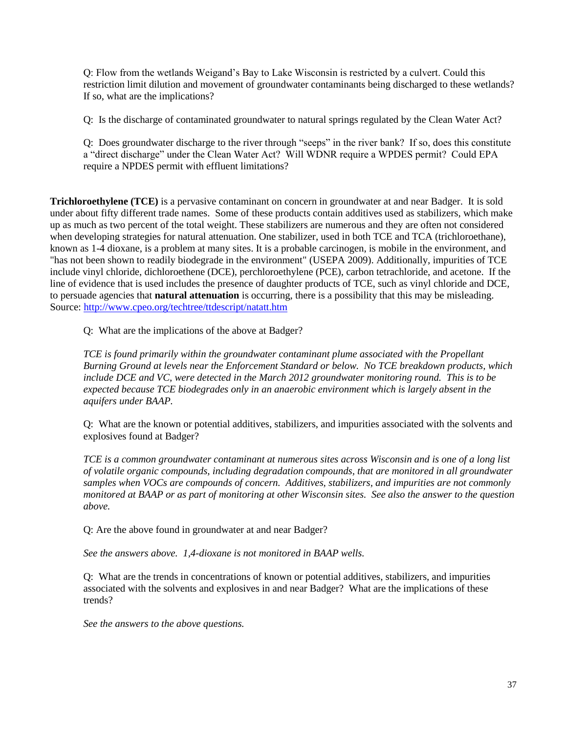Q: Flow from the wetlands Weigand's Bay to Lake Wisconsin is restricted by a culvert. Could this restriction limit dilution and movement of groundwater contaminants being discharged to these wetlands? If so, what are the implications?

Q: Is the discharge of contaminated groundwater to natural springs regulated by the Clean Water Act?

Q: Does groundwater discharge to the river through "seeps" in the river bank? If so, does this constitute a "direct discharge" under the Clean Water Act? Will WDNR require a WPDES permit? Could EPA require a NPDES permit with effluent limitations?

**Trichloroethylene (TCE)** is a pervasive contaminant on concern in groundwater at and near Badger. It is sold under about fifty different trade names. Some of these products contain additives used as stabilizers, which make up as much as two percent of the total weight. These stabilizers are numerous and they are often not considered when developing strategies for natural attenuation. One stabilizer, used in both TCE and TCA (trichloroethane), known as 1-4 dioxane, is a problem at many sites. It is a probable carcinogen, is mobile in the environment, and "has not been shown to readily biodegrade in the environment" (USEPA 2009). Additionally, impurities of TCE include vinyl chloride, dichloroethene (DCE), perchloroethylene (PCE), carbon tetrachloride, and acetone. If the line of evidence that is used includes the presence of daughter products of TCE, such as vinyl chloride and DCE, to persuade agencies that **natural attenuation** is occurring, there is a possibility that this may be misleading. Source:<http://www.cpeo.org/techtree/ttdescript/natatt.htm>

Q: What are the implications of the above at Badger?

*TCE is found primarily within the groundwater contaminant plume associated with the Propellant Burning Ground at levels near the Enforcement Standard or below. No TCE breakdown products, which include DCE and VC, were detected in the March 2012 groundwater monitoring round. This is to be expected because TCE biodegrades only in an anaerobic environment which is largely absent in the aquifers under BAAP.*

Q: What are the known or potential additives, stabilizers, and impurities associated with the solvents and explosives found at Badger?

*TCE is a common groundwater contaminant at numerous sites across Wisconsin and is one of a long list of volatile organic compounds, including degradation compounds, that are monitored in all groundwater samples when VOCs are compounds of concern. Additives, stabilizers, and impurities are not commonly monitored at BAAP or as part of monitoring at other Wisconsin sites. See also the answer to the question above.*

Q: Are the above found in groundwater at and near Badger?

*See the answers above. 1,4-dioxane is not monitored in BAAP wells.*

Q: What are the trends in concentrations of known or potential additives, stabilizers, and impurities associated with the solvents and explosives in and near Badger? What are the implications of these trends?

*See the answers to the above questions.*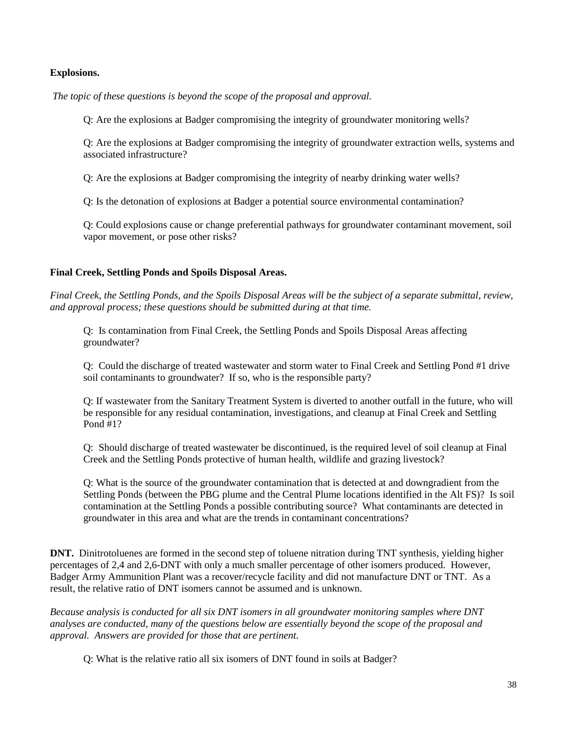### **Explosions.**

*The topic of these questions is beyond the scope of the proposal and approval.*

Q: Are the explosions at Badger compromising the integrity of groundwater monitoring wells?

Q: Are the explosions at Badger compromising the integrity of groundwater extraction wells, systems and associated infrastructure?

Q: Are the explosions at Badger compromising the integrity of nearby drinking water wells?

Q: Is the detonation of explosions at Badger a potential source environmental contamination?

Q: Could explosions cause or change preferential pathways for groundwater contaminant movement, soil vapor movement, or pose other risks?

### **Final Creek, Settling Ponds and Spoils Disposal Areas.**

*Final Creek, the Settling Ponds, and the Spoils Disposal Areas will be the subject of a separate submittal, review, and approval process; these questions should be submitted during at that time.*

Q: Is contamination from Final Creek, the Settling Ponds and Spoils Disposal Areas affecting groundwater?

Q: Could the discharge of treated wastewater and storm water to Final Creek and Settling Pond #1 drive soil contaminants to groundwater? If so, who is the responsible party?

Q: If wastewater from the Sanitary Treatment System is diverted to another outfall in the future, who will be responsible for any residual contamination, investigations, and cleanup at Final Creek and Settling Pond #1?

Q: Should discharge of treated wastewater be discontinued, is the required level of soil cleanup at Final Creek and the Settling Ponds protective of human health, wildlife and grazing livestock?

Q: What is the source of the groundwater contamination that is detected at and downgradient from the Settling Ponds (between the PBG plume and the Central Plume locations identified in the Alt FS)? Is soil contamination at the Settling Ponds a possible contributing source? What contaminants are detected in groundwater in this area and what are the trends in contaminant concentrations?

**DNT.** Dinitrotoluenes are formed in the second step of toluene nitration during TNT synthesis, yielding higher percentages of 2,4 and 2,6-DNT with only a much smaller percentage of other isomers produced. However, Badger Army Ammunition Plant was a recover/recycle facility and did not manufacture DNT or TNT. As a result, the relative ratio of DNT isomers cannot be assumed and is unknown.

*Because analysis is conducted for all six DNT isomers in all groundwater monitoring samples where DNT analyses are conducted, many of the questions below are essentially beyond the scope of the proposal and approval. Answers are provided for those that are pertinent.*

Q: What is the relative ratio all six isomers of DNT found in soils at Badger?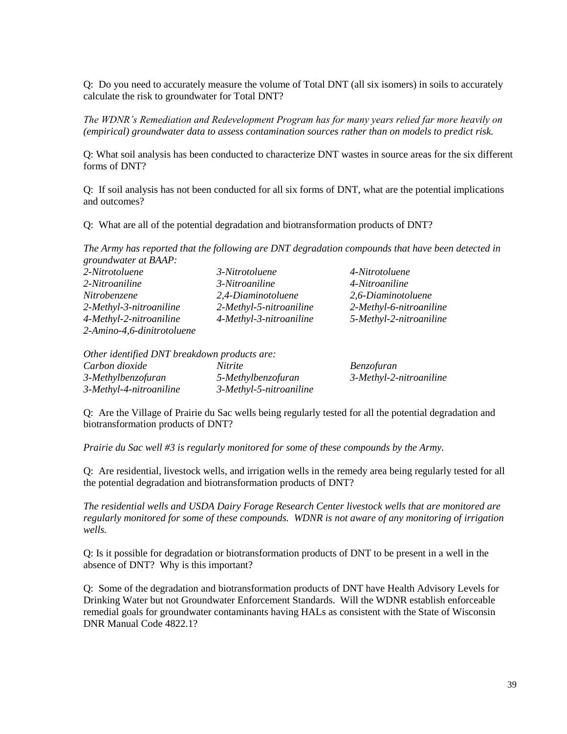Q: Do you need to accurately measure the volume of Total DNT (all six isomers) in soils to accurately calculate the risk to groundwater for Total DNT?

*The WDNR's Remediation and Redevelopment Program has for many years relied far more heavily on (empirical) groundwater data to assess contamination sources rather than on models to predict risk.*

Q: What soil analysis has been conducted to characterize DNT wastes in source areas for the six different forms of DNT?

Q: If soil analysis has not been conducted for all six forms of DNT, what are the potential implications and outcomes?

Q: What are all of the potential degradation and biotransformation products of DNT?

*The Army has reported that the following are DNT degradation compounds that have been detected in groundwater at BAAP:*

| 2-Nitrotoluene             | 3-Nitrotoluene          | 4-Nitrotoluene          |
|----------------------------|-------------------------|-------------------------|
| 2-Nitroaniline             | 3-Nitroaniline          | 4-Nitroaniline          |
| Nitrobenzene               | 2,4-Diaminotoluene      | 2,6-Diaminotoluene      |
| 2-Methyl-3-nitroaniline    | 2-Methyl-5-nitroaniline | 2-Methyl-6-nitroaniline |
| 4-Methyl-2-nitroaniline    | 4-Methyl-3-nitroaniline | 5-Methyl-2-nitroaniline |
| 2-Amino-4,6-dinitrotoluene |                         |                         |

| Other identified DNT breakdown products are: |                         |                         |  |
|----------------------------------------------|-------------------------|-------------------------|--|
| Carbon dioxide                               | <i>Nitrite</i>          | <i>Benzofuran</i>       |  |
| 3-Methylbenzofuran                           | 5-Methylbenzofuran      | 3-Methyl-2-nitroaniline |  |
| 3-Methyl-4-nitroaniline                      | 3-Methyl-5-nitroaniline |                         |  |

Q: Are the Village of Prairie du Sac wells being regularly tested for all the potential degradation and biotransformation products of DNT?

*Prairie du Sac well #3 is regularly monitored for some of these compounds by the Army.*

Q: Are residential, livestock wells, and irrigation wells in the remedy area being regularly tested for all the potential degradation and biotransformation products of DNT?

*The residential wells and USDA Dairy Forage Research Center livestock wells that are monitored are regularly monitored for some of these compounds. WDNR is not aware of any monitoring of irrigation wells.*

Q: Is it possible for degradation or biotransformation products of DNT to be present in a well in the absence of DNT? Why is this important?

Q: Some of the degradation and biotransformation products of DNT have Health Advisory Levels for Drinking Water but not Groundwater Enforcement Standards. Will the WDNR establish enforceable remedial goals for groundwater contaminants having HALs as consistent with the State of Wisconsin DNR Manual Code 4822.1?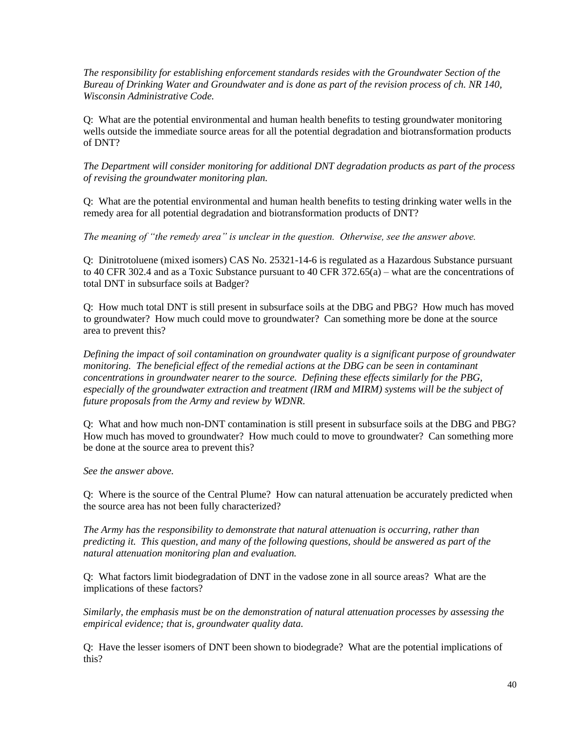*The responsibility for establishing enforcement standards resides with the Groundwater Section of the Bureau of Drinking Water and Groundwater and is done as part of the revision process of ch. NR 140, Wisconsin Administrative Code.*

Q: What are the potential environmental and human health benefits to testing groundwater monitoring wells outside the immediate source areas for all the potential degradation and biotransformation products of DNT?

*The Department will consider monitoring for additional DNT degradation products as part of the process of revising the groundwater monitoring plan.*

Q: What are the potential environmental and human health benefits to testing drinking water wells in the remedy area for all potential degradation and biotransformation products of DNT?

*The meaning of "the remedy area" is unclear in the question. Otherwise, see the answer above.*

Q: Dinitrotoluene (mixed isomers) CAS No. 25321-14-6 is regulated as a Hazardous Substance pursuant to 40 CFR 302.4 and as a Toxic Substance pursuant to 40 CFR 372.65(a) – what are the concentrations of total DNT in subsurface soils at Badger?

Q: How much total DNT is still present in subsurface soils at the DBG and PBG? How much has moved to groundwater? How much could move to groundwater? Can something more be done at the source area to prevent this?

*Defining the impact of soil contamination on groundwater quality is a significant purpose of groundwater monitoring. The beneficial effect of the remedial actions at the DBG can be seen in contaminant concentrations in groundwater nearer to the source. Defining these effects similarly for the PBG, especially of the groundwater extraction and treatment (IRM and MIRM) systems will be the subject of future proposals from the Army and review by WDNR.*

Q: What and how much non-DNT contamination is still present in subsurface soils at the DBG and PBG? How much has moved to groundwater? How much could to move to groundwater? Can something more be done at the source area to prevent this?

*See the answer above.*

Q: Where is the source of the Central Plume? How can natural attenuation be accurately predicted when the source area has not been fully characterized?

*The Army has the responsibility to demonstrate that natural attenuation is occurring, rather than predicting it. This question, and many of the following questions, should be answered as part of the natural attenuation monitoring plan and evaluation.*

Q: What factors limit biodegradation of DNT in the vadose zone in all source areas? What are the implications of these factors?

*Similarly, the emphasis must be on the demonstration of natural attenuation processes by assessing the empirical evidence; that is, groundwater quality data.*

Q: Have the lesser isomers of DNT been shown to biodegrade? What are the potential implications of this?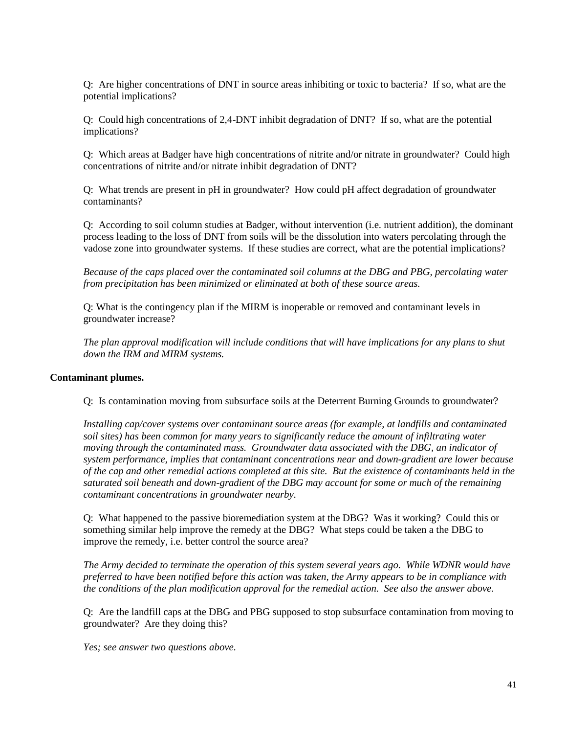Q: Are higher concentrations of DNT in source areas inhibiting or toxic to bacteria? If so, what are the potential implications?

Q: Could high concentrations of 2,4-DNT inhibit degradation of DNT? If so, what are the potential implications?

Q: Which areas at Badger have high concentrations of nitrite and/or nitrate in groundwater? Could high concentrations of nitrite and/or nitrate inhibit degradation of DNT?

Q: What trends are present in pH in groundwater? How could pH affect degradation of groundwater contaminants?

Q: According to soil column studies at Badger, without intervention (i.e. nutrient addition), the dominant process leading to the loss of DNT from soils will be the dissolution into waters percolating through the vadose zone into groundwater systems. If these studies are correct, what are the potential implications?

*Because of the caps placed over the contaminated soil columns at the DBG and PBG, percolating water from precipitation has been minimized or eliminated at both of these source areas.*

Q: What is the contingency plan if the MIRM is inoperable or removed and contaminant levels in groundwater increase?

*The plan approval modification will include conditions that will have implications for any plans to shut down the IRM and MIRM systems.*

### **Contaminant plumes.**

Q: Is contamination moving from subsurface soils at the Deterrent Burning Grounds to groundwater?

*Installing cap/cover systems over contaminant source areas (for example, at landfills and contaminated soil sites) has been common for many years to significantly reduce the amount of infiltrating water moving through the contaminated mass. Groundwater data associated with the DBG, an indicator of system performance, implies that contaminant concentrations near and down-gradient are lower because of the cap and other remedial actions completed at this site. But the existence of contaminants held in the saturated soil beneath and down-gradient of the DBG may account for some or much of the remaining contaminant concentrations in groundwater nearby.*

Q: What happened to the passive bioremediation system at the DBG? Was it working? Could this or something similar help improve the remedy at the DBG? What steps could be taken a the DBG to improve the remedy, i.e. better control the source area?

*The Army decided to terminate the operation of this system several years ago. While WDNR would have preferred to have been notified before this action was taken, the Army appears to be in compliance with the conditions of the plan modification approval for the remedial action. See also the answer above.*

Q: Are the landfill caps at the DBG and PBG supposed to stop subsurface contamination from moving to groundwater? Are they doing this?

*Yes; see answer two questions above.*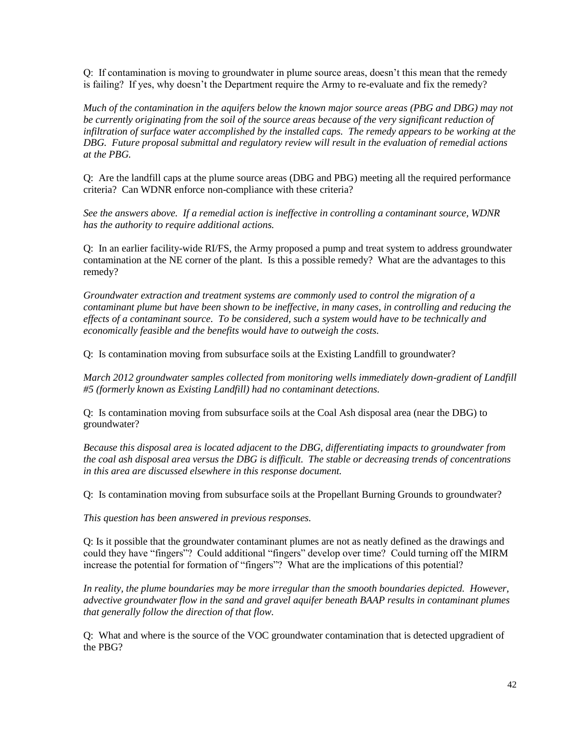Q: If contamination is moving to groundwater in plume source areas, doesn't this mean that the remedy is failing? If yes, why doesn't the Department require the Army to re-evaluate and fix the remedy?

*Much of the contamination in the aquifers below the known major source areas (PBG and DBG) may not be currently originating from the soil of the source areas because of the very significant reduction of infiltration of surface water accomplished by the installed caps. The remedy appears to be working at the DBG. Future proposal submittal and regulatory review will result in the evaluation of remedial actions at the PBG.*

Q: Are the landfill caps at the plume source areas (DBG and PBG) meeting all the required performance criteria? Can WDNR enforce non-compliance with these criteria?

*See the answers above. If a remedial action is ineffective in controlling a contaminant source, WDNR has the authority to require additional actions.*

Q: In an earlier facility-wide RI/FS, the Army proposed a pump and treat system to address groundwater contamination at the NE corner of the plant. Is this a possible remedy? What are the advantages to this remedy?

*Groundwater extraction and treatment systems are commonly used to control the migration of a contaminant plume but have been shown to be ineffective, in many cases, in controlling and reducing the effects of a contaminant source. To be considered, such a system would have to be technically and economically feasible and the benefits would have to outweigh the costs.*

Q: Is contamination moving from subsurface soils at the Existing Landfill to groundwater?

*March 2012 groundwater samples collected from monitoring wells immediately down-gradient of Landfill #5 (formerly known as Existing Landfill) had no contaminant detections.*

Q: Is contamination moving from subsurface soils at the Coal Ash disposal area (near the DBG) to groundwater?

*Because this disposal area is located adjacent to the DBG, differentiating impacts to groundwater from the coal ash disposal area versus the DBG is difficult. The stable or decreasing trends of concentrations in this area are discussed elsewhere in this response document.*

Q: Is contamination moving from subsurface soils at the Propellant Burning Grounds to groundwater?

*This question has been answered in previous responses.*

Q: Is it possible that the groundwater contaminant plumes are not as neatly defined as the drawings and could they have "fingers"? Could additional "fingers" develop over time? Could turning off the MIRM increase the potential for formation of "fingers"? What are the implications of this potential?

In reality, the plume boundaries may be more irregular than the smooth boundaries depicted. However, *advective groundwater flow in the sand and gravel aquifer beneath BAAP results in contaminant plumes that generally follow the direction of that flow.*

Q: What and where is the source of the VOC groundwater contamination that is detected upgradient of the PBG?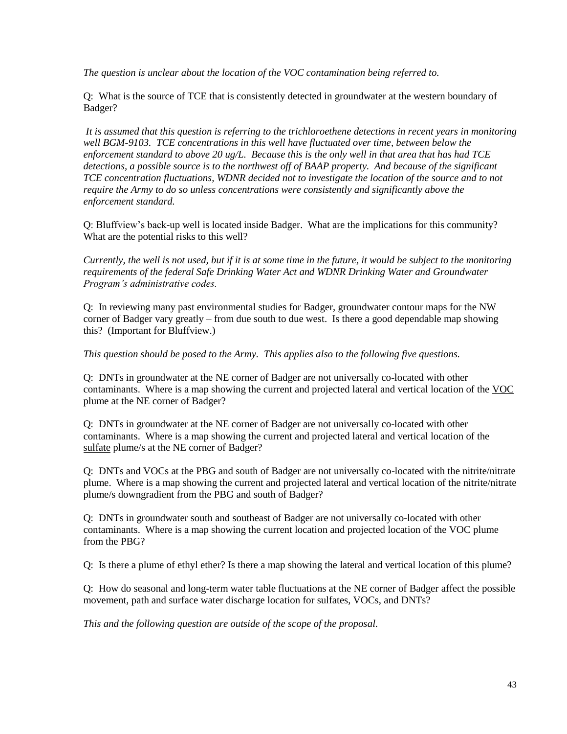*The question is unclear about the location of the VOC contamination being referred to.*

Q: What is the source of TCE that is consistently detected in groundwater at the western boundary of Badger?

*It is assumed that this question is referring to the trichloroethene detections in recent years in monitoring well BGM-9103. TCE concentrations in this well have fluctuated over time, between below the enforcement standard to above 20 ug/L. Because this is the only well in that area that has had TCE detections, a possible source is to the northwest off of BAAP property. And because of the significant TCE concentration fluctuations, WDNR decided not to investigate the location of the source and to not require the Army to do so unless concentrations were consistently and significantly above the enforcement standard.*

Q: Bluffview's back-up well is located inside Badger. What are the implications for this community? What are the potential risks to this well?

*Currently, the well is not used, but if it is at some time in the future, it would be subject to the monitoring requirements of the federal Safe Drinking Water Act and WDNR Drinking Water and Groundwater Program's administrative codes.*

Q: In reviewing many past environmental studies for Badger, groundwater contour maps for the NW corner of Badger vary greatly – from due south to due west. Is there a good dependable map showing this? (Important for Bluffview.)

*This question should be posed to the Army. This applies also to the following five questions.*

Q: DNTs in groundwater at the NE corner of Badger are not universally co-located with other contaminants. Where is a map showing the current and projected lateral and vertical location of the VOC plume at the NE corner of Badger?

Q: DNTs in groundwater at the NE corner of Badger are not universally co-located with other contaminants. Where is a map showing the current and projected lateral and vertical location of the sulfate plume/s at the NE corner of Badger?

Q: DNTs and VOCs at the PBG and south of Badger are not universally co-located with the nitrite/nitrate plume. Where is a map showing the current and projected lateral and vertical location of the nitrite/nitrate plume/s downgradient from the PBG and south of Badger?

Q: DNTs in groundwater south and southeast of Badger are not universally co-located with other contaminants. Where is a map showing the current location and projected location of the VOC plume from the PBG?

Q: Is there a plume of ethyl ether? Is there a map showing the lateral and vertical location of this plume?

Q: How do seasonal and long-term water table fluctuations at the NE corner of Badger affect the possible movement, path and surface water discharge location for sulfates, VOCs, and DNTs?

*This and the following question are outside of the scope of the proposal.*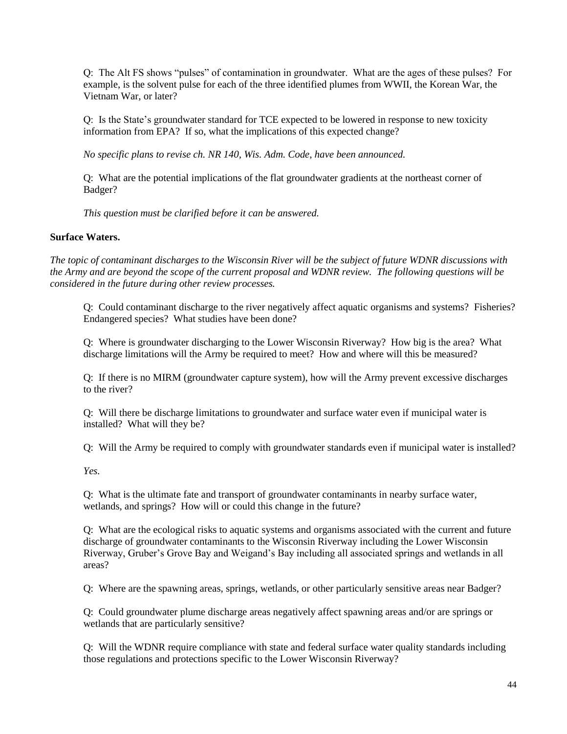Q: The Alt FS shows "pulses" of contamination in groundwater. What are the ages of these pulses? For example, is the solvent pulse for each of the three identified plumes from WWII, the Korean War, the Vietnam War, or later?

Q: Is the State's groundwater standard for TCE expected to be lowered in response to new toxicity information from EPA? If so, what the implications of this expected change?

*No specific plans to revise ch. NR 140, Wis. Adm. Code, have been announced.*

Q: What are the potential implications of the flat groundwater gradients at the northeast corner of Badger?

*This question must be clarified before it can be answered.*

# **Surface Waters.**

*The topic of contaminant discharges to the Wisconsin River will be the subject of future WDNR discussions with the Army and are beyond the scope of the current proposal and WDNR review. The following questions will be considered in the future during other review processes.*

Q: Could contaminant discharge to the river negatively affect aquatic organisms and systems? Fisheries? Endangered species? What studies have been done?

Q: Where is groundwater discharging to the Lower Wisconsin Riverway? How big is the area? What discharge limitations will the Army be required to meet? How and where will this be measured?

Q: If there is no MIRM (groundwater capture system), how will the Army prevent excessive discharges to the river?

Q: Will there be discharge limitations to groundwater and surface water even if municipal water is installed? What will they be?

Q: Will the Army be required to comply with groundwater standards even if municipal water is installed?

*Yes.*

Q: What is the ultimate fate and transport of groundwater contaminants in nearby surface water, wetlands, and springs? How will or could this change in the future?

Q: What are the ecological risks to aquatic systems and organisms associated with the current and future discharge of groundwater contaminants to the Wisconsin Riverway including the Lower Wisconsin Riverway, Gruber's Grove Bay and Weigand's Bay including all associated springs and wetlands in all areas?

Q: Where are the spawning areas, springs, wetlands, or other particularly sensitive areas near Badger?

Q: Could groundwater plume discharge areas negatively affect spawning areas and/or are springs or wetlands that are particularly sensitive?

Q: Will the WDNR require compliance with state and federal surface water quality standards including those regulations and protections specific to the Lower Wisconsin Riverway?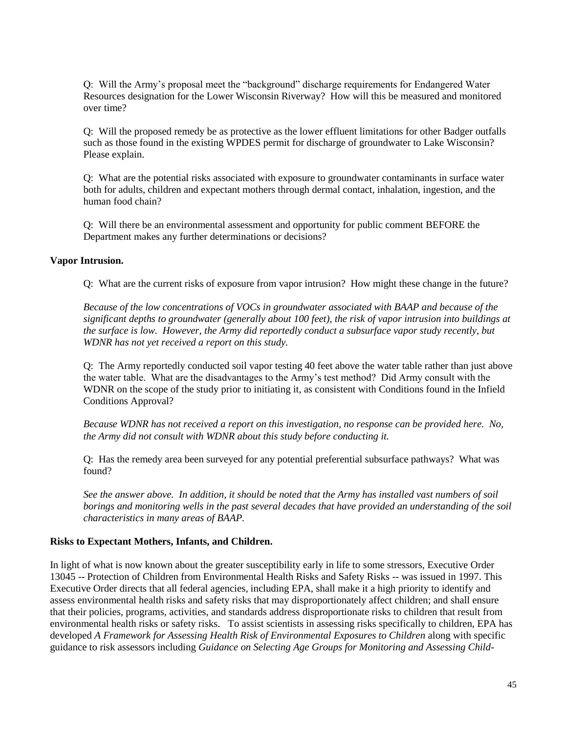Q: Will the Army's proposal meet the "background" discharge requirements for Endangered Water Resources designation for the Lower Wisconsin Riverway? How will this be measured and monitored over time?

Q: Will the proposed remedy be as protective as the lower effluent limitations for other Badger outfalls such as those found in the existing WPDES permit for discharge of groundwater to Lake Wisconsin? Please explain.

Q: What are the potential risks associated with exposure to groundwater contaminants in surface water both for adults, children and expectant mothers through dermal contact, inhalation, ingestion, and the human food chain?

Q: Will there be an environmental assessment and opportunity for public comment BEFORE the Department makes any further determinations or decisions?

#### **Vapor Intrusion.**

Q: What are the current risks of exposure from vapor intrusion? How might these change in the future?

*Because of the low concentrations of VOCs in groundwater associated with BAAP and because of the significant depths to groundwater (generally about 100 feet), the risk of vapor intrusion into buildings at the surface is low. However, the Army did reportedly conduct a subsurface vapor study recently, but WDNR has not yet received a report on this study.*

Q: The Army reportedly conducted soil vapor testing 40 feet above the water table rather than just above the water table. What are the disadvantages to the Army's test method? Did Army consult with the WDNR on the scope of the study prior to initiating it, as consistent with Conditions found in the Infield Conditions Approval?

*Because WDNR has not received a report on this investigation, no response can be provided here. No, the Army did not consult with WDNR about this study before conducting it.*

Q: Has the remedy area been surveyed for any potential preferential subsurface pathways? What was found?

*See the answer above. In addition, it should be noted that the Army has installed vast numbers of soil borings and monitoring wells in the past several decades that have provided an understanding of the soil characteristics in many areas of BAAP.*

### **Risks to Expectant Mothers, Infants, and Children.**

In light of what is now known about the greater susceptibility early in life to some stressors, Executive Order 13045 -- Protection of Children from Environmental Health Risks and Safety Risks -- was issued in 1997. This Executive Order directs that all federal agencies, including EPA, shall make it a high priority to identify and assess environmental health risks and safety risks that may disproportionately affect children; and shall ensure that their policies, programs, activities, and standards address disproportionate risks to children that result from environmental health risks or safety risks. To assist scientists in assessing risks specifically to children, EPA has developed *A Framework for Assessing Health Risk of Environmental Exposures to Children* along with specific guidance to risk assessors including *Guidance on Selecting Age Groups for Monitoring and Assessing Child-*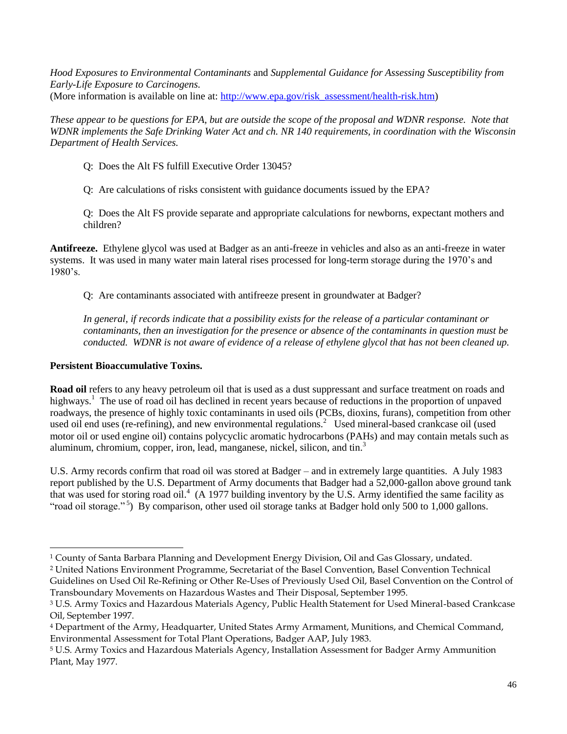*Hood Exposures to Environmental Contaminants* and *Supplemental Guidance for Assessing Susceptibility from Early-Life Exposure to Carcinogens.*  (More information is available on line at: [http://www.epa.gov/risk\\_assessment/health-risk.htm\)](http://www.epa.gov/risk_assessment/health-risk.htm)

*These appear to be questions for EPA, but are outside the scope of the proposal and WDNR response. Note that WDNR implements the Safe Drinking Water Act and ch. NR 140 requirements, in coordination with the Wisconsin Department of Health Services.*

Q: Does the Alt FS fulfill Executive Order 13045?

Q: Are calculations of risks consistent with guidance documents issued by the EPA?

Q: Does the Alt FS provide separate and appropriate calculations for newborns, expectant mothers and children?

**Antifreeze.** Ethylene glycol was used at Badger as an anti-freeze in vehicles and also as an anti-freeze in water systems. It was used in many water main lateral rises processed for long-term storage during the 1970's and 1980's.

Q: Are contaminants associated with antifreeze present in groundwater at Badger?

*In general, if records indicate that a possibility exists for the release of a particular contaminant or contaminants, then an investigation for the presence or absence of the contaminants in question must be conducted. WDNR is not aware of evidence of a release of ethylene glycol that has not been cleaned up.*

# **Persistent Bioaccumulative Toxins.**

 $\overline{a}$ 

**Road oil** refers to any heavy petroleum oil that is used as a dust suppressant and surface treatment on roads and highways.<sup>1</sup> The use of road oil has declined in recent years because of reductions in the proportion of unpaved roadways, the presence of highly toxic contaminants in used oils (PCBs, dioxins, furans), competition from other used oil end uses (re-refining), and new environmental regulations.<sup>2</sup> Used mineral-based crankcase oil (used motor oil or used engine oil) contains polycyclic aromatic hydrocarbons (PAHs) and may contain metals such as aluminum, chromium, copper, iron, lead, manganese, nickel, silicon, and tin.<sup>3</sup>

U.S. Army records confirm that road oil was stored at Badger – and in extremely large quantities. A July 1983 report published by the U.S. Department of Army documents that Badger had a 52,000-gallon above ground tank that was used for storing road oil.<sup>4</sup> (A 1977 building inventory by the U.S. Army identified the same facility as "road oil storage."<sup>5</sup>) By comparison, other used oil storage tanks at Badger hold only 500 to 1,000 gallons.

<sup>1</sup> County of Santa Barbara Planning and Development Energy Division, Oil and Gas Glossary, undated.

<sup>2</sup> United Nations Environment Programme, Secretariat of the Basel Convention, Basel Convention Technical Guidelines on Used Oil Re-Refining or Other Re-Uses of Previously Used Oil, Basel Convention on the Control of Transboundary Movements on Hazardous Wastes and Their Disposal, September 1995.

<sup>3</sup> U.S. Army Toxics and Hazardous Materials Agency, Public Health Statement for Used Mineral-based Crankcase Oil, September 1997.

<sup>4</sup> Department of the Army, Headquarter, United States Army Armament, Munitions, and Chemical Command, Environmental Assessment for Total Plant Operations, Badger AAP, July 1983.

<sup>5</sup> U.S. Army Toxics and Hazardous Materials Agency, Installation Assessment for Badger Army Ammunition Plant, May 1977.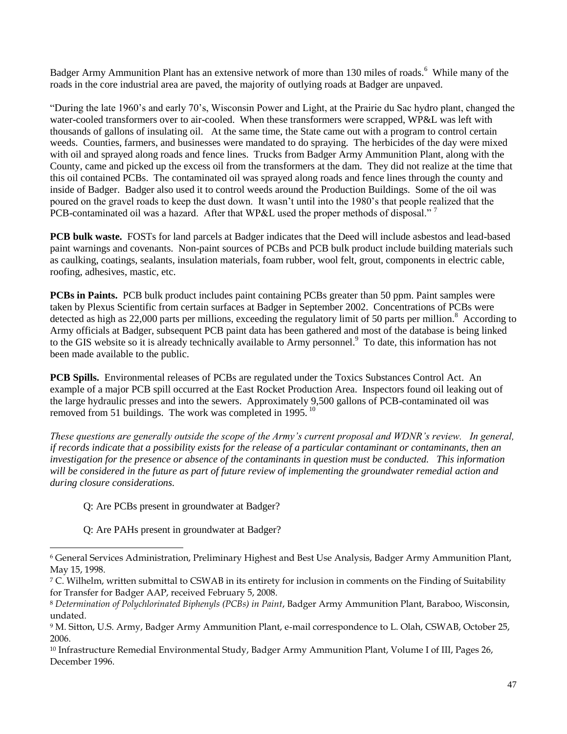Badger Army Ammunition Plant has an extensive network of more than 130 miles of roads.<sup>6</sup> While many of the roads in the core industrial area are paved, the majority of outlying roads at Badger are unpaved.

"During the late 1960's and early 70's, Wisconsin Power and Light, at the Prairie du Sac hydro plant, changed the water-cooled transformers over to air-cooled. When these transformers were scrapped, WP&L was left with thousands of gallons of insulating oil. At the same time, the State came out with a program to control certain weeds. Counties, farmers, and businesses were mandated to do spraying. The herbicides of the day were mixed with oil and sprayed along roads and fence lines. Trucks from Badger Army Ammunition Plant, along with the County, came and picked up the excess oil from the transformers at the dam. They did not realize at the time that this oil contained PCBs. The contaminated oil was sprayed along roads and fence lines through the county and inside of Badger. Badger also used it to control weeds around the Production Buildings. Some of the oil was poured on the gravel roads to keep the dust down. It wasn't until into the 1980's that people realized that the PCB-contaminated oil was a hazard. After that WP&L used the proper methods of disposal."<sup>7</sup>

**PCB bulk waste.** FOSTs for land parcels at Badger indicates that the Deed will include asbestos and lead-based paint warnings and covenants. Non-paint sources of PCBs and PCB bulk product include building materials such as caulking, coatings, sealants, insulation materials, foam rubber, wool felt, grout, components in electric cable, roofing, adhesives, mastic, etc.

**PCBs in Paints.** PCB bulk product includes paint containing PCBs greater than 50 ppm. Paint samples were taken by Plexus Scientific from certain surfaces at Badger in September 2002. Concentrations of PCBs were detected as high as 22,000 parts per millions, exceeding the regulatory limit of 50 parts per million.<sup>8</sup> According to Army officials at Badger, subsequent PCB paint data has been gathered and most of the database is being linked to the GIS website so it is already technically available to Army personnel.<sup>9</sup> To date, this information has not been made available to the public.

**PCB Spills.** Environmental releases of PCBs are regulated under the Toxics Substances Control Act. An example of a major PCB spill occurred at the East Rocket Production Area. Inspectors found oil leaking out of the large hydraulic presses and into the sewers. Approximately 9,500 gallons of PCB-contaminated oil was removed from 51 buildings. The work was completed in 1995.<sup>10</sup>

*These questions are generally outside the scope of the Army's current proposal and WDNR's review. In general, if records indicate that a possibility exists for the release of a particular contaminant or contaminants, then an investigation for the presence or absence of the contaminants in question must be conducted. This information will be considered in the future as part of future review of implementing the groundwater remedial action and during closure considerations.*

Q: Are PCBs present in groundwater at Badger?

Q: Are PAHs present in groundwater at Badger?

 $\overline{a}$ 

<sup>6</sup> General Services Administration, Preliminary Highest and Best Use Analysis, Badger Army Ammunition Plant, May 15, 1998.

<sup>7</sup> C. Wilhelm, written submittal to CSWAB in its entirety for inclusion in comments on the Finding of Suitability for Transfer for Badger AAP, received February 5, 2008.

<sup>8</sup> *Determination of Polychlorinated Biphenyls (PCBs) in Paint*, Badger Army Ammunition Plant, Baraboo, Wisconsin, undated.

<sup>9</sup> M. Sitton, U.S. Army, Badger Army Ammunition Plant, e-mail correspondence to L. Olah, CSWAB, October 25, 2006.

<sup>10</sup> Infrastructure Remedial Environmental Study, Badger Army Ammunition Plant, Volume I of III, Pages 26, December 1996.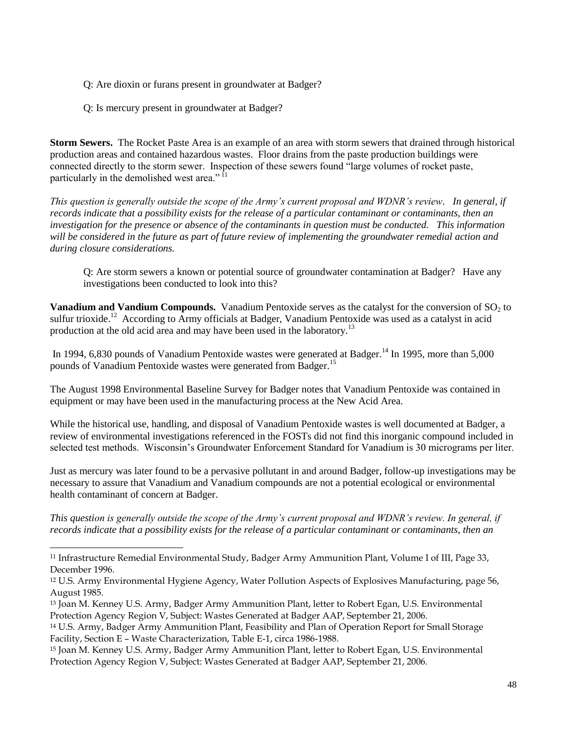Q: Are dioxin or furans present in groundwater at Badger?

Q: Is mercury present in groundwater at Badger?

 $\overline{a}$ 

**Storm Sewers.** The Rocket Paste Area is an example of an area with storm sewers that drained through historical production areas and contained hazardous wastes. Floor drains from the paste production buildings were connected directly to the storm sewer. Inspection of these sewers found "large volumes of rocket paste, particularly in the demolished west area."<sup>11</sup>

*This question is generally outside the scope of the Army's current proposal and WDNR's review. In general, if records indicate that a possibility exists for the release of a particular contaminant or contaminants, then an investigation for the presence or absence of the contaminants in question must be conducted. This information will be considered in the future as part of future review of implementing the groundwater remedial action and during closure considerations.*

Q: Are storm sewers a known or potential source of groundwater contamination at Badger? Have any investigations been conducted to look into this?

**Vanadium and Vandium Compounds.** Vanadium Pentoxide serves as the catalyst for the conversion of SO<sub>2</sub> to sulfur trioxide.<sup>12</sup> According to Army officials at Badger, Vanadium Pentoxide was used as a catalyst in acid production at the old acid area and may have been used in the laboratory.<sup>13</sup>

In 1994, 6,830 pounds of Vanadium Pentoxide wastes were generated at Badger.<sup>14</sup> In 1995, more than 5,000 pounds of Vanadium Pentoxide wastes were generated from Badger.<sup>15</sup>

The August 1998 Environmental Baseline Survey for Badger notes that Vanadium Pentoxide was contained in equipment or may have been used in the manufacturing process at the New Acid Area.

While the historical use, handling, and disposal of Vanadium Pentoxide wastes is well documented at Badger, a review of environmental investigations referenced in the FOSTs did not find this inorganic compound included in selected test methods. Wisconsin's Groundwater Enforcement Standard for Vanadium is 30 micrograms per liter.

Just as mercury was later found to be a pervasive pollutant in and around Badger, follow-up investigations may be necessary to assure that Vanadium and Vanadium compounds are not a potential ecological or environmental health contaminant of concern at Badger.

*This question is generally outside the scope of the Army's current proposal and WDNR's review. In general, if records indicate that a possibility exists for the release of a particular contaminant or contaminants, then an* 

<sup>11</sup> Infrastructure Remedial Environmental Study, Badger Army Ammunition Plant, Volume I of III, Page 33, December 1996.

<sup>12</sup> U.S. Army Environmental Hygiene Agency, Water Pollution Aspects of Explosives Manufacturing, page 56, August 1985.

<sup>13</sup> Joan M. Kenney U.S. Army, Badger Army Ammunition Plant, letter to Robert Egan, U.S. Environmental Protection Agency Region V, Subject: Wastes Generated at Badger AAP, September 21, 2006.

<sup>14</sup> U.S. Army, Badger Army Ammunition Plant, Feasibility and Plan of Operation Report for Small Storage Facility, Section E – Waste Characterization, Table E-1, circa 1986-1988.

<sup>15</sup> Joan M. Kenney U.S. Army, Badger Army Ammunition Plant, letter to Robert Egan, U.S. Environmental Protection Agency Region V, Subject: Wastes Generated at Badger AAP, September 21, 2006.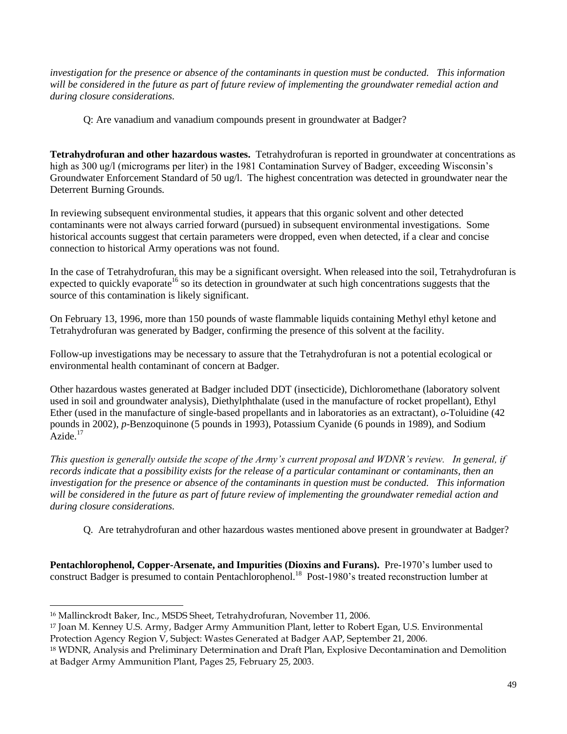*investigation for the presence or absence of the contaminants in question must be conducted. This information will be considered in the future as part of future review of implementing the groundwater remedial action and during closure considerations.*

Q: Are vanadium and vanadium compounds present in groundwater at Badger?

**Tetrahydrofuran and other hazardous wastes.** Tetrahydrofuran is reported in groundwater at concentrations as high as 300 ug/l (micrograms per liter) in the 1981 Contamination Survey of Badger, exceeding Wisconsin's Groundwater Enforcement Standard of 50 ug/l. The highest concentration was detected in groundwater near the Deterrent Burning Grounds.

In reviewing subsequent environmental studies, it appears that this organic solvent and other detected contaminants were not always carried forward (pursued) in subsequent environmental investigations. Some historical accounts suggest that certain parameters were dropped, even when detected, if a clear and concise connection to historical Army operations was not found.

In the case of Tetrahydrofuran, this may be a significant oversight. When released into the soil, Tetrahydrofuran is expected to quickly evaporate<sup>16</sup> so its detection in groundwater at such high concentrations suggests that the source of this contamination is likely significant.

On February 13, 1996, more than 150 pounds of waste flammable liquids containing Methyl ethyl ketone and Tetrahydrofuran was generated by Badger, confirming the presence of this solvent at the facility.

Follow-up investigations may be necessary to assure that the Tetrahydrofuran is not a potential ecological or environmental health contaminant of concern at Badger.

Other hazardous wastes generated at Badger included DDT (insecticide), Dichloromethane (laboratory solvent used in soil and groundwater analysis), Diethylphthalate (used in the manufacture of rocket propellant), Ethyl Ether (used in the manufacture of single-based propellants and in laboratories as an extractant), *o*-Toluidine (42 pounds in 2002), *p*-Benzoquinone (5 pounds in 1993), Potassium Cyanide (6 pounds in 1989), and Sodium  $\text{Azide}$ <sup>17</sup>

*This question is generally outside the scope of the Army's current proposal and WDNR's review. In general, if records indicate that a possibility exists for the release of a particular contaminant or contaminants, then an investigation for the presence or absence of the contaminants in question must be conducted. This information will be considered in the future as part of future review of implementing the groundwater remedial action and during closure considerations.*

Q. Are tetrahydrofuran and other hazardous wastes mentioned above present in groundwater at Badger?

**Pentachlorophenol, Copper-Arsenate, and Impurities (Dioxins and Furans).** Pre-1970's lumber used to construct Badger is presumed to contain Pentachlorophenol.<sup>18</sup> Post-1980's treated reconstruction lumber at

l

<sup>16</sup> Mallinckrodt Baker, Inc., MSDS Sheet, Tetrahydrofuran, November 11, 2006.

<sup>17</sup> Joan M. Kenney U.S. Army, Badger Army Ammunition Plant, letter to Robert Egan, U.S. Environmental Protection Agency Region V, Subject: Wastes Generated at Badger AAP, September 21, 2006.

<sup>18</sup> WDNR, Analysis and Preliminary Determination and Draft Plan, Explosive Decontamination and Demolition at Badger Army Ammunition Plant, Pages 25, February 25, 2003.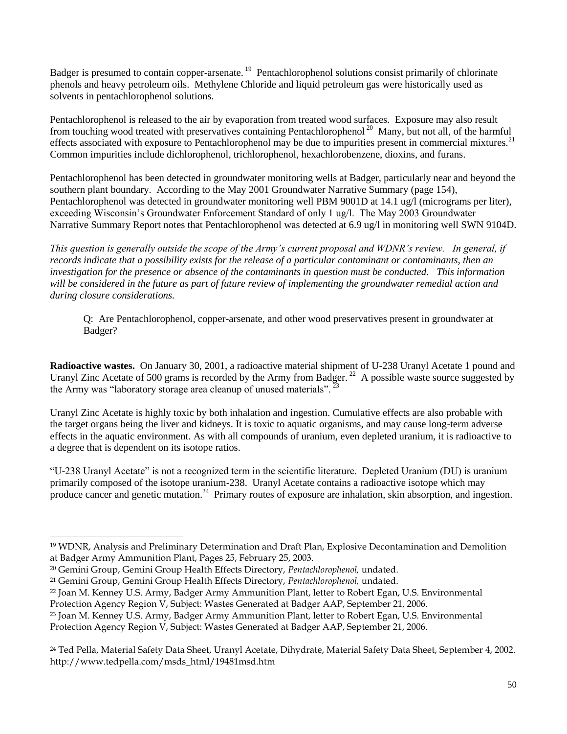Badger is presumed to contain copper-arsenate.<sup>19</sup> Pentachlorophenol solutions consist primarily of chlorinate phenols and heavy petroleum oils. Methylene Chloride and liquid petroleum gas were historically used as solvents in pentachlorophenol solutions.

Pentachlorophenol is released to the air by evaporation from treated wood surfaces. Exposure may also result from touching wood treated with preservatives containing Pentachlorophenol<sup>20</sup> Many, but not all, of the harmful effects associated with exposure to Pentachlorophenol may be due to impurities present in commercial mixtures.<sup>21</sup> Common impurities include dichlorophenol, trichlorophenol, hexachlorobenzene, dioxins, and furans.

Pentachlorophenol has been detected in groundwater monitoring wells at Badger, particularly near and beyond the southern plant boundary. According to the May 2001 Groundwater Narrative Summary (page 154), Pentachlorophenol was detected in groundwater monitoring well PBM 9001D at 14.1 ug/l (micrograms per liter), exceeding Wisconsin's Groundwater Enforcement Standard of only 1 ug/l. The May 2003 Groundwater Narrative Summary Report notes that Pentachlorophenol was detected at 6.9 ug/l in monitoring well SWN 9104D.

*This question is generally outside the scope of the Army's current proposal and WDNR's review. In general, if records indicate that a possibility exists for the release of a particular contaminant or contaminants, then an investigation for the presence or absence of the contaminants in question must be conducted. This information will be considered in the future as part of future review of implementing the groundwater remedial action and during closure considerations.*

Q: Are Pentachlorophenol, copper-arsenate, and other wood preservatives present in groundwater at Badger?

**Radioactive wastes.** On January 30, 2001, a radioactive material shipment of U-238 Uranyl Acetate 1 pound and Uranyl Zinc Acetate of 500 grams is recorded by the Army from Badger.<sup>22</sup> A possible waste source suggested by the Army was "laboratory storage area cleanup of unused materials".<sup>23</sup>

Uranyl Zinc Acetate is highly toxic by both inhalation and ingestion. Cumulative effects are also probable with the target organs being the liver and kidneys. It is toxic to aquatic organisms, and may cause long-term adverse effects in the aquatic environment. As with all compounds of uranium, even depleted uranium, it is radioactive to a degree that is dependent on its isotope ratios.

"U-238 Uranyl Acetate" is not a recognized term in the scientific literature. Depleted Uranium (DU) is uranium primarily composed of the isotope uranium-238. Uranyl Acetate contains a radioactive isotope which may produce cancer and genetic mutation.<sup>24</sup> Primary routes of exposure are inhalation, skin absorption, and ingestion.

 $\overline{a}$ 

<sup>19</sup> WDNR, Analysis and Preliminary Determination and Draft Plan, Explosive Decontamination and Demolition at Badger Army Ammunition Plant, Pages 25, February 25, 2003.

<sup>20</sup> Gemini Group, Gemini Group Health Effects Directory, *Pentachlorophenol,* undated.

<sup>21</sup> Gemini Group, Gemini Group Health Effects Directory, *Pentachlorophenol,* undated.

<sup>22</sup> Joan M. Kenney U.S. Army, Badger Army Ammunition Plant, letter to Robert Egan, U.S. Environmental Protection Agency Region V, Subject: Wastes Generated at Badger AAP, September 21, 2006.

<sup>23</sup> Joan M. Kenney U.S. Army, Badger Army Ammunition Plant, letter to Robert Egan, U.S. Environmental Protection Agency Region V, Subject: Wastes Generated at Badger AAP, September 21, 2006.

<sup>&</sup>lt;sup>24</sup> Ted Pella, Material Safety Data Sheet, Uranyl Acetate, Dihydrate, Material Safety Data Sheet, September 4, 2002. http://www.tedpella.com/msds\_html/19481msd.htm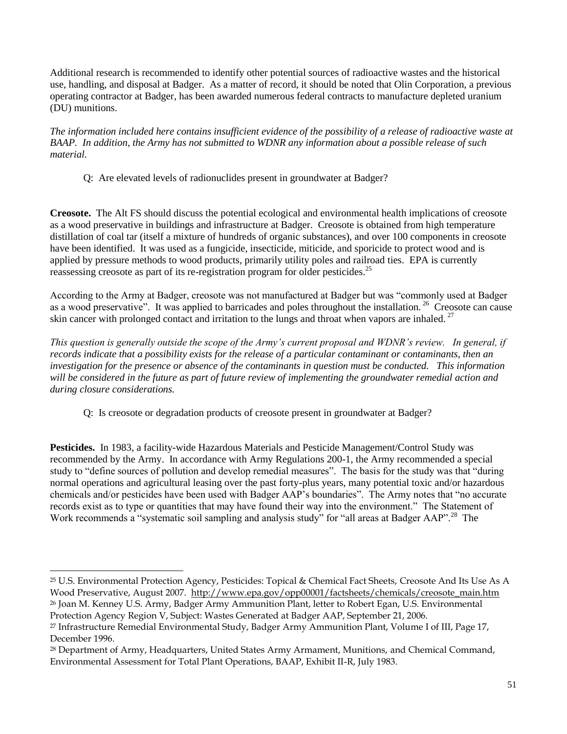Additional research is recommended to identify other potential sources of radioactive wastes and the historical use, handling, and disposal at Badger. As a matter of record, it should be noted that Olin Corporation, a previous operating contractor at Badger, has been awarded numerous federal contracts to manufacture depleted uranium (DU) munitions.

*The information included here contains insufficient evidence of the possibility of a release of radioactive waste at BAAP. In addition, the Army has not submitted to WDNR any information about a possible release of such material.*

Q: Are elevated levels of radionuclides present in groundwater at Badger?

**Creosote.** The Alt FS should discuss the potential ecological and environmental health implications of creosote as a wood preservative in buildings and infrastructure at Badger. Creosote is obtained from high temperature distillation of coal tar (itself a mixture of hundreds of organic substances), and over 100 components in creosote have been identified. It was used as a fungicide, insecticide, miticide, and sporicide to protect wood and is applied by pressure methods to wood products, primarily utility poles and railroad ties. EPA is currently reassessing creosote as part of its re-registration program for older pesticides.<sup>25</sup>

According to the Army at Badger, creosote was not manufactured at Badger but was "commonly used at Badger as a wood preservative". It was applied to barricades and poles throughout the installation.<sup>26</sup> Creosote can cause skin cancer with prolonged contact and irritation to the lungs and throat when vapors are inhaled.  $27$ 

*This question is generally outside the scope of the Army's current proposal and WDNR's review. In general, if records indicate that a possibility exists for the release of a particular contaminant or contaminants, then an investigation for the presence or absence of the contaminants in question must be conducted. This information will be considered in the future as part of future review of implementing the groundwater remedial action and during closure considerations.*

Q: Is creosote or degradation products of creosote present in groundwater at Badger?

**Pesticides.** In 1983, a facility-wide Hazardous Materials and Pesticide Management/Control Study was recommended by the Army. In accordance with Army Regulations 200-1, the Army recommended a special study to "define sources of pollution and develop remedial measures". The basis for the study was that "during normal operations and agricultural leasing over the past forty-plus years, many potential toxic and/or hazardous chemicals and/or pesticides have been used with Badger AAP's boundaries". The Army notes that "no accurate records exist as to type or quantities that may have found their way into the environment." The Statement of Work recommends a "systematic soil sampling and analysis study" for "all areas at Badger AAP".<sup>28</sup> The

l

<sup>25</sup> U.S. Environmental Protection Agency, Pesticides: Topical & Chemical Fact Sheets, Creosote And Its Use As A Wood Preservative, August 2007. http://www.epa.gov/opp00001/factsheets/chemicals/creosote\_main.htm

<sup>26</sup> Joan M. Kenney U.S. Army, Badger Army Ammunition Plant, letter to Robert Egan, U.S. Environmental Protection Agency Region V, Subject: Wastes Generated at Badger AAP, September 21, 2006.

<sup>27</sup> Infrastructure Remedial Environmental Study, Badger Army Ammunition Plant, Volume I of III, Page 17, December 1996.

<sup>28</sup> Department of Army, Headquarters, United States Army Armament, Munitions, and Chemical Command, Environmental Assessment for Total Plant Operations, BAAP, Exhibit II-R, July 1983.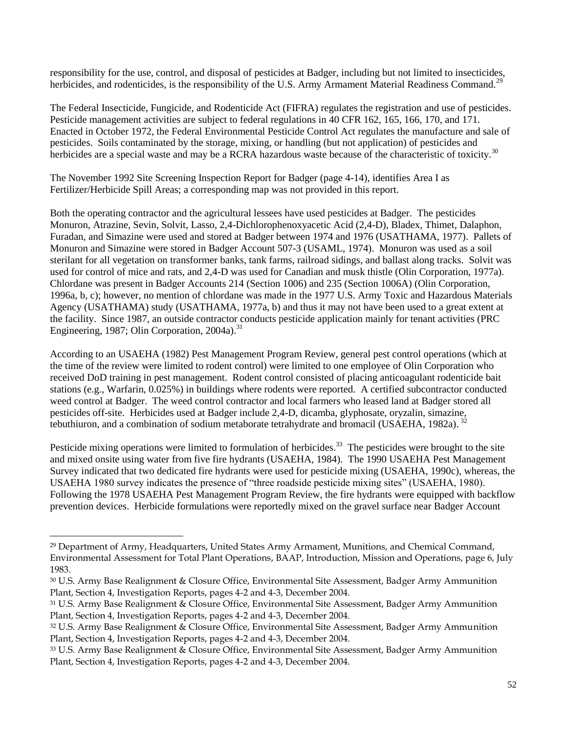responsibility for the use, control, and disposal of pesticides at Badger, including but not limited to insecticides, herbicides, and rodenticides, is the responsibility of the U.S. Army Armament Material Readiness Command.<sup>29</sup>

The Federal Insecticide, Fungicide, and Rodenticide Act (FIFRA) regulates the registration and use of pesticides. Pesticide management activities are subject to federal regulations in 40 CFR 162, 165, 166, 170, and 171. Enacted in October 1972, the Federal Environmental Pesticide Control Act regulates the manufacture and sale of pesticides. Soils contaminated by the storage, mixing, or handling (but not application) of pesticides and herbicides are a special waste and may be a RCRA hazardous waste because of the characteristic of toxicity.<sup>30</sup>

The November 1992 Site Screening Inspection Report for Badger (page 4-14), identifies Area I as Fertilizer/Herbicide Spill Areas; a corresponding map was not provided in this report.

Both the operating contractor and the agricultural lessees have used pesticides at Badger. The pesticides Monuron, Atrazine, Sevin, Solvit, Lasso, 2,4-Dichlorophenoxyacetic Acid (2,4-D), Bladex, Thimet, Dalaphon, Furadan, and Simazine were used and stored at Badger between 1974 and 1976 (USATHAMA, 1977). Pallets of Monuron and Simazine were stored in Badger Account 507-3 (USAML, 1974). Monuron was used as a soil sterilant for all vegetation on transformer banks, tank farms, railroad sidings, and ballast along tracks. Solvit was used for control of mice and rats, and 2,4-D was used for Canadian and musk thistle (Olin Corporation, 1977a). Chlordane was present in Badger Accounts 214 (Section 1006) and 235 (Section 1006A) (Olin Corporation, 1996a, b, c); however, no mention of chlordane was made in the 1977 U.S. Army Toxic and Hazardous Materials Agency (USATHAMA) study (USATHAMA, 1977a, b) and thus it may not have been used to a great extent at the facility. Since 1987, an outside contractor conducts pesticide application mainly for tenant activities (PRC Engineering, 1987; Olin Corporation, 2004a).<sup>31</sup>

According to an USAEHA (1982) Pest Management Program Review, general pest control operations (which at the time of the review were limited to rodent control) were limited to one employee of Olin Corporation who received DoD training in pest management. Rodent control consisted of placing anticoagulant rodenticide bait stations (e.g., Warfarin, 0.025%) in buildings where rodents were reported. A certified subcontractor conducted weed control at Badger. The weed control contractor and local farmers who leased land at Badger stored all pesticides off-site. Herbicides used at Badger include 2,4-D, dicamba, glyphosate, oryzalin, simazine, tebuthiuron, and a combination of sodium metaborate tetrahydrate and bromacil (USAEHA, 1982a).  $32$ 

Pesticide mixing operations were limited to formulation of herbicides.<sup>33</sup> The pesticides were brought to the site and mixed onsite using water from five fire hydrants (USAEHA, 1984). The 1990 USAEHA Pest Management Survey indicated that two dedicated fire hydrants were used for pesticide mixing (USAEHA, 1990c), whereas, the USAEHA 1980 survey indicates the presence of "three roadside pesticide mixing sites" (USAEHA, 1980). Following the 1978 USAEHA Pest Management Program Review, the fire hydrants were equipped with backflow prevention devices. Herbicide formulations were reportedly mixed on the gravel surface near Badger Account

 $\overline{a}$ 

<sup>29</sup> Department of Army, Headquarters, United States Army Armament, Munitions, and Chemical Command, Environmental Assessment for Total Plant Operations, BAAP, Introduction, Mission and Operations, page 6, July 1983.

<sup>30</sup> U.S. Army Base Realignment & Closure Office, Environmental Site Assessment, Badger Army Ammunition Plant, Section 4, Investigation Reports, pages 4-2 and 4-3, December 2004.

<sup>31</sup> U.S. Army Base Realignment & Closure Office, Environmental Site Assessment, Badger Army Ammunition Plant, Section 4, Investigation Reports, pages 4-2 and 4-3, December 2004.

<sup>32</sup> U.S. Army Base Realignment & Closure Office, Environmental Site Assessment, Badger Army Ammunition Plant, Section 4, Investigation Reports, pages 4-2 and 4-3, December 2004.

<sup>33</sup> U.S. Army Base Realignment & Closure Office, Environmental Site Assessment, Badger Army Ammunition Plant, Section 4, Investigation Reports, pages 4-2 and 4-3, December 2004.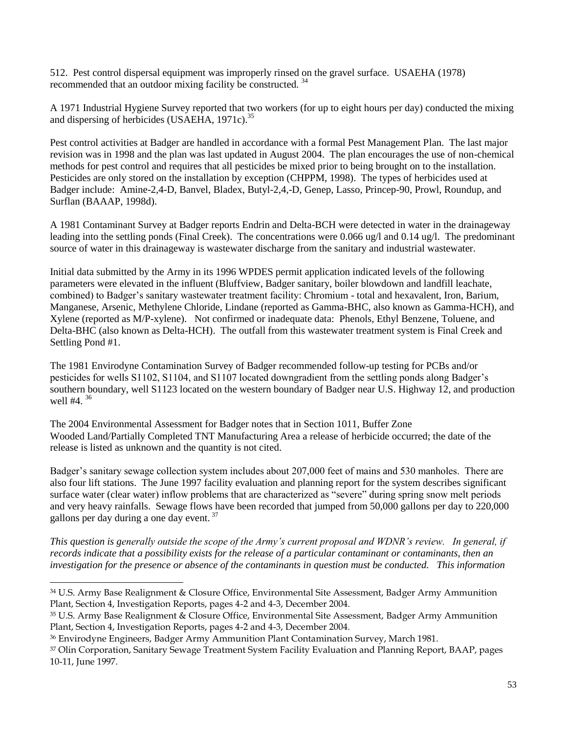512. Pest control dispersal equipment was improperly rinsed on the gravel surface. USAEHA (1978) recommended that an outdoor mixing facility be constructed. <sup>34</sup>

A 1971 Industrial Hygiene Survey reported that two workers (for up to eight hours per day) conducted the mixing and dispersing of herbicides (USAEHA,  $1971c$ ).<sup>35</sup>

Pest control activities at Badger are handled in accordance with a formal Pest Management Plan. The last major revision was in 1998 and the plan was last updated in August 2004. The plan encourages the use of non-chemical methods for pest control and requires that all pesticides be mixed prior to being brought on to the installation. Pesticides are only stored on the installation by exception (CHPPM, 1998). The types of herbicides used at Badger include: Amine-2,4-D, Banvel, Bladex, Butyl-2,4,-D, Genep, Lasso, Princep-90, Prowl, Roundup, and Surflan (BAAAP, 1998d).

A 1981 Contaminant Survey at Badger reports Endrin and Delta-BCH were detected in water in the drainageway leading into the settling ponds (Final Creek). The concentrations were 0.066 ug/l and 0.14 ug/l. The predominant source of water in this drainageway is wastewater discharge from the sanitary and industrial wastewater.

Initial data submitted by the Army in its 1996 WPDES permit application indicated levels of the following parameters were elevated in the influent (Bluffview, Badger sanitary, boiler blowdown and landfill leachate, combined) to Badger's sanitary wastewater treatment facility: Chromium - total and hexavalent, Iron, Barium, Manganese, Arsenic, Methylene Chloride, Lindane (reported as Gamma-BHC, also known as Gamma-HCH), and Xylene (reported as M/P-xylene). Not confirmed or inadequate data: Phenols, Ethyl Benzene, Toluene, and Delta-BHC (also known as Delta-HCH). The outfall from this wastewater treatment system is Final Creek and Settling Pond #1.

The 1981 Envirodyne Contamination Survey of Badger recommended follow-up testing for PCBs and/or pesticides for wells S1102, S1104, and S1107 located downgradient from the settling ponds along Badger's southern boundary, well S1123 located on the western boundary of Badger near U.S. Highway 12, and production well #4.<sup>36</sup>

The 2004 Environmental Assessment for Badger notes that in Section 1011, Buffer Zone Wooded Land/Partially Completed TNT Manufacturing Area a release of herbicide occurred; the date of the release is listed as unknown and the quantity is not cited.

Badger's sanitary sewage collection system includes about 207,000 feet of mains and 530 manholes. There are also four lift stations. The June 1997 facility evaluation and planning report for the system describes significant surface water (clear water) inflow problems that are characterized as "severe" during spring snow melt periods and very heavy rainfalls. Sewage flows have been recorded that jumped from 50,000 gallons per day to 220,000 gallons per day during a one day event. <sup>37</sup>

*This question is generally outside the scope of the Army's current proposal and WDNR's review. In general, if records indicate that a possibility exists for the release of a particular contaminant or contaminants, then an investigation for the presence or absence of the contaminants in question must be conducted. This information* 

 $\overline{a}$ 

<sup>34</sup> U.S. Army Base Realignment & Closure Office, Environmental Site Assessment, Badger Army Ammunition Plant, Section 4, Investigation Reports, pages 4-2 and 4-3, December 2004.

<sup>35</sup> U.S. Army Base Realignment & Closure Office, Environmental Site Assessment, Badger Army Ammunition Plant, Section 4, Investigation Reports, pages 4-2 and 4-3, December 2004.

<sup>36</sup> Envirodyne Engineers, Badger Army Ammunition Plant Contamination Survey, March 1981.

<sup>37</sup> Olin Corporation, Sanitary Sewage Treatment System Facility Evaluation and Planning Report, BAAP, pages 10-11, June 1997.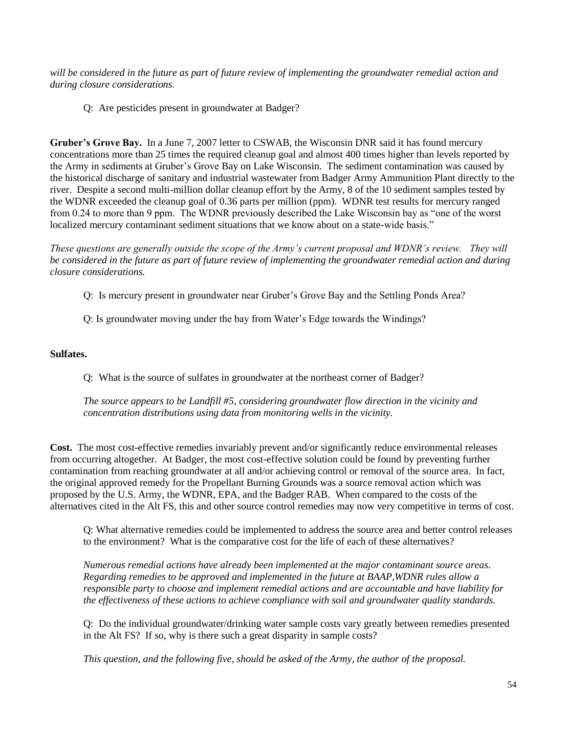*will be considered in the future as part of future review of implementing the groundwater remedial action and during closure considerations.*

Q: Are pesticides present in groundwater at Badger?

**Gruber's Grove Bay.** In a June 7, 2007 letter to CSWAB, the Wisconsin DNR said it has found mercury concentrations more than 25 times the required cleanup goal and almost 400 times higher than levels reported by the Army in sediments at Gruber's Grove Bay on Lake Wisconsin. The sediment contamination was caused by the historical discharge of sanitary and industrial wastewater from Badger Army Ammunition Plant directly to the river. Despite a second multi-million dollar cleanup effort by the Army, 8 of the 10 sediment samples tested by the WDNR exceeded the cleanup goal of 0.36 parts per million (ppm). WDNR test results for mercury ranged from 0.24 to more than 9 ppm. The WDNR previously described the Lake Wisconsin bay as "one of the worst localized mercury contaminant sediment situations that we know about on a state-wide basis."

*These questions are generally outside the scope of the Army's current proposal and WDNR's review. They will be considered in the future as part of future review of implementing the groundwater remedial action and during closure considerations.*

- Q: Is mercury present in groundwater near Gruber's Grove Bay and the Settling Ponds Area?
- Q: Is groundwater moving under the bay from Water's Edge towards the Windings?

### **Sulfates.**

Q: What is the source of sulfates in groundwater at the northeast corner of Badger?

*The source appears to be Landfill #5, considering groundwater flow direction in the vicinity and concentration distributions using data from monitoring wells in the vicinity.*

**Cost.** The most cost-effective remedies invariably prevent and/or significantly reduce environmental releases from occurring altogether. At Badger, the most cost-effective solution could be found by preventing further contamination from reaching groundwater at all and/or achieving control or removal of the source area. In fact, the original approved remedy for the Propellant Burning Grounds was a source removal action which was proposed by the U.S. Army, the WDNR, EPA, and the Badger RAB. When compared to the costs of the alternatives cited in the Alt FS, this and other source control remedies may now very competitive in terms of cost.

Q: What alternative remedies could be implemented to address the source area and better control releases to the environment? What is the comparative cost for the life of each of these alternatives?

*Numerous remedial actions have already been implemented at the major contaminant source areas. Regarding remedies to be approved and implemented in the future at BAAP,WDNR rules allow a responsible party to choose and implement remedial actions and are accountable and have liability for the effectiveness of these actions to achieve compliance with soil and groundwater quality standards.*

Q: Do the individual groundwater/drinking water sample costs vary greatly between remedies presented in the Alt FS? If so, why is there such a great disparity in sample costs?

*This question, and the following five, should be asked of the Army, the author of the proposal.*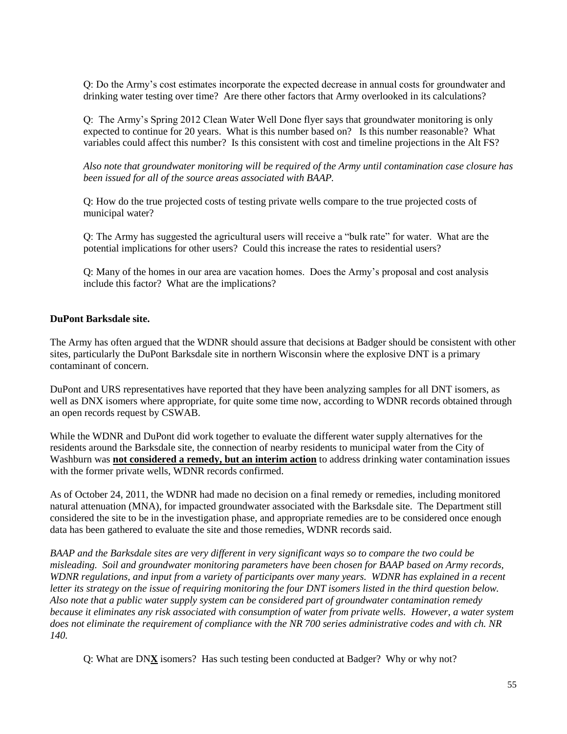Q: Do the Army's cost estimates incorporate the expected decrease in annual costs for groundwater and drinking water testing over time? Are there other factors that Army overlooked in its calculations?

Q: The Army's Spring 2012 Clean Water Well Done flyer says that groundwater monitoring is only expected to continue for 20 years. What is this number based on? Is this number reasonable? What variables could affect this number? Is this consistent with cost and timeline projections in the Alt FS?

*Also note that groundwater monitoring will be required of the Army until contamination case closure has been issued for all of the source areas associated with BAAP.*

Q: How do the true projected costs of testing private wells compare to the true projected costs of municipal water?

Q: The Army has suggested the agricultural users will receive a "bulk rate" for water. What are the potential implications for other users? Could this increase the rates to residential users?

Q: Many of the homes in our area are vacation homes. Does the Army's proposal and cost analysis include this factor? What are the implications?

### **DuPont Barksdale site.**

The Army has often argued that the WDNR should assure that decisions at Badger should be consistent with other sites, particularly the DuPont Barksdale site in northern Wisconsin where the explosive DNT is a primary contaminant of concern.

DuPont and URS representatives have reported that they have been analyzing samples for all DNT isomers, as well as DNX isomers where appropriate, for quite some time now, according to WDNR records obtained through an open records request by CSWAB.

While the WDNR and DuPont did work together to evaluate the different water supply alternatives for the residents around the Barksdale site, the connection of nearby residents to municipal water from the City of Washburn was **not considered a remedy, but an interim action** to address drinking water contamination issues with the former private wells, WDNR records confirmed.

As of October 24, 2011, the WDNR had made no decision on a final remedy or remedies, including monitored natural attenuation (MNA), for impacted groundwater associated with the Barksdale site. The Department still considered the site to be in the investigation phase, and appropriate remedies are to be considered once enough data has been gathered to evaluate the site and those remedies, WDNR records said.

*BAAP and the Barksdale sites are very different in very significant ways so to compare the two could be misleading. Soil and groundwater monitoring parameters have been chosen for BAAP based on Army records, WDNR regulations, and input from a variety of participants over many years. WDNR has explained in a recent letter its strategy on the issue of requiring monitoring the four DNT isomers listed in the third question below. Also note that a public water supply system can be considered part of groundwater contamination remedy because it eliminates any risk associated with consumption of water from private wells. However, a water system does not eliminate the requirement of compliance with the NR 700 series administrative codes and with ch. NR 140.*

Q: What are DN**X** isomers? Has such testing been conducted at Badger? Why or why not?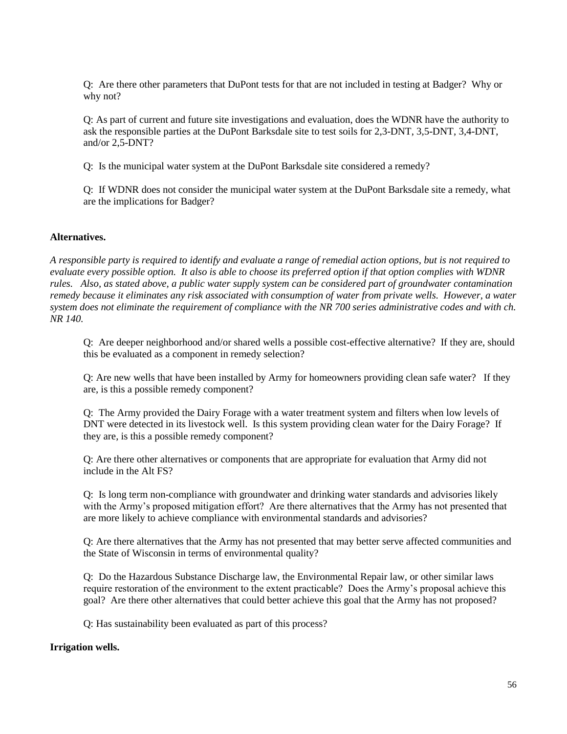Q: Are there other parameters that DuPont tests for that are not included in testing at Badger? Why or why not?

Q: As part of current and future site investigations and evaluation, does the WDNR have the authority to ask the responsible parties at the DuPont Barksdale site to test soils for 2,3-DNT, 3,5-DNT, 3,4-DNT, and/or 2,5-DNT?

Q: Is the municipal water system at the DuPont Barksdale site considered a remedy?

Q: If WDNR does not consider the municipal water system at the DuPont Barksdale site a remedy, what are the implications for Badger?

### **Alternatives.**

*A responsible party is required to identify and evaluate a range of remedial action options, but is not required to evaluate every possible option. It also is able to choose its preferred option if that option complies with WDNR rules. Also, as stated above, a public water supply system can be considered part of groundwater contamination remedy because it eliminates any risk associated with consumption of water from private wells. However, a water system does not eliminate the requirement of compliance with the NR 700 series administrative codes and with ch. NR 140.*

Q: Are deeper neighborhood and/or shared wells a possible cost-effective alternative? If they are, should this be evaluated as a component in remedy selection?

Q: Are new wells that have been installed by Army for homeowners providing clean safe water? If they are, is this a possible remedy component?

Q: The Army provided the Dairy Forage with a water treatment system and filters when low levels of DNT were detected in its livestock well. Is this system providing clean water for the Dairy Forage? If they are, is this a possible remedy component?

Q: Are there other alternatives or components that are appropriate for evaluation that Army did not include in the Alt FS?

Q: Is long term non-compliance with groundwater and drinking water standards and advisories likely with the Army's proposed mitigation effort? Are there alternatives that the Army has not presented that are more likely to achieve compliance with environmental standards and advisories?

Q: Are there alternatives that the Army has not presented that may better serve affected communities and the State of Wisconsin in terms of environmental quality?

Q: Do the Hazardous Substance Discharge law, the Environmental Repair law, or other similar laws require restoration of the environment to the extent practicable? Does the Army's proposal achieve this goal? Are there other alternatives that could better achieve this goal that the Army has not proposed?

Q: Has sustainability been evaluated as part of this process?

#### **Irrigation wells.**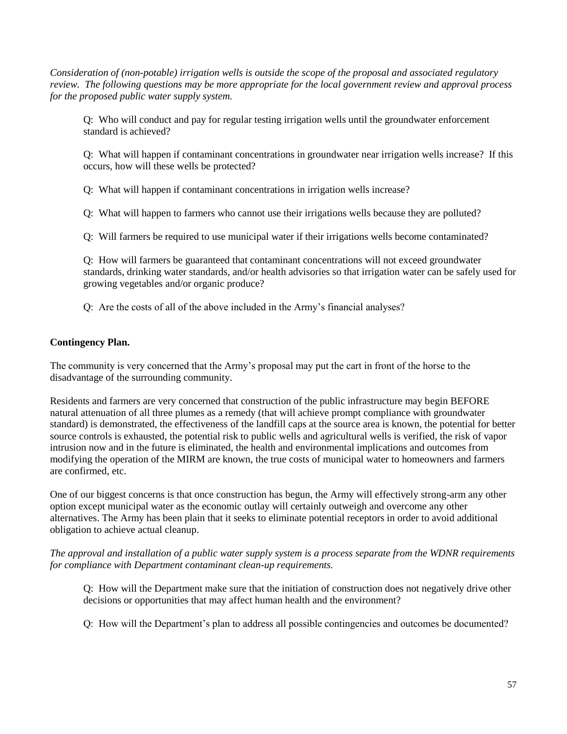*Consideration of (non-potable) irrigation wells is outside the scope of the proposal and associated regulatory review. The following questions may be more appropriate for the local government review and approval process for the proposed public water supply system.*

Q: Who will conduct and pay for regular testing irrigation wells until the groundwater enforcement standard is achieved?

Q: What will happen if contaminant concentrations in groundwater near irrigation wells increase? If this occurs, how will these wells be protected?

Q: What will happen if contaminant concentrations in irrigation wells increase?

Q: What will happen to farmers who cannot use their irrigations wells because they are polluted?

Q: Will farmers be required to use municipal water if their irrigations wells become contaminated?

Q: How will farmers be guaranteed that contaminant concentrations will not exceed groundwater standards, drinking water standards, and/or health advisories so that irrigation water can be safely used for growing vegetables and/or organic produce?

Q: Are the costs of all of the above included in the Army's financial analyses?

# **Contingency Plan.**

The community is very concerned that the Army's proposal may put the cart in front of the horse to the disadvantage of the surrounding community.

Residents and farmers are very concerned that construction of the public infrastructure may begin BEFORE natural attenuation of all three plumes as a remedy (that will achieve prompt compliance with groundwater standard) is demonstrated, the effectiveness of the landfill caps at the source area is known, the potential for better source controls is exhausted, the potential risk to public wells and agricultural wells is verified, the risk of vapor intrusion now and in the future is eliminated, the health and environmental implications and outcomes from modifying the operation of the MIRM are known, the true costs of municipal water to homeowners and farmers are confirmed, etc.

One of our biggest concerns is that once construction has begun, the Army will effectively strong-arm any other option except municipal water as the economic outlay will certainly outweigh and overcome any other alternatives. The Army has been plain that it seeks to eliminate potential receptors in order to avoid additional obligation to achieve actual cleanup.

*The approval and installation of a public water supply system is a process separate from the WDNR requirements for compliance with Department contaminant clean-up requirements.*

Q: How will the Department make sure that the initiation of construction does not negatively drive other decisions or opportunities that may affect human health and the environment?

Q: How will the Department's plan to address all possible contingencies and outcomes be documented?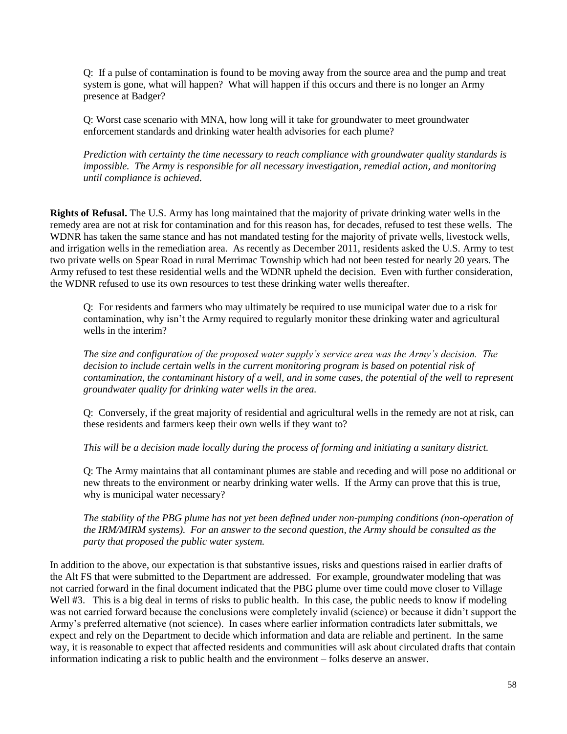Q: If a pulse of contamination is found to be moving away from the source area and the pump and treat system is gone, what will happen? What will happen if this occurs and there is no longer an Army presence at Badger?

Q: Worst case scenario with MNA, how long will it take for groundwater to meet groundwater enforcement standards and drinking water health advisories for each plume?

*Prediction with certainty the time necessary to reach compliance with groundwater quality standards is impossible. The Army is responsible for all necessary investigation, remedial action, and monitoring until compliance is achieved.*

**Rights of Refusal.** The U.S. Army has long maintained that the majority of private drinking water wells in the remedy area are not at risk for contamination and for this reason has, for decades, refused to test these wells. The WDNR has taken the same stance and has not mandated testing for the majority of private wells, livestock wells, and irrigation wells in the remediation area. As recently as December 2011, residents asked the U.S. Army to test two private wells on Spear Road in rural Merrimac Township which had not been tested for nearly 20 years. The Army refused to test these residential wells and the WDNR upheld the decision. Even with further consideration, the WDNR refused to use its own resources to test these drinking water wells thereafter.

Q: For residents and farmers who may ultimately be required to use municipal water due to a risk for contamination, why isn't the Army required to regularly monitor these drinking water and agricultural wells in the interim?

*The size and configuration of the proposed water supply's service area was the Army's decision. The decision to include certain wells in the current monitoring program is based on potential risk of contamination, the contaminant history of a well, and in some cases, the potential of the well to represent groundwater quality for drinking water wells in the area.* 

Q: Conversely, if the great majority of residential and agricultural wells in the remedy are not at risk, can these residents and farmers keep their own wells if they want to?

*This will be a decision made locally during the process of forming and initiating a sanitary district.*

Q: The Army maintains that all contaminant plumes are stable and receding and will pose no additional or new threats to the environment or nearby drinking water wells. If the Army can prove that this is true, why is municipal water necessary?

*The stability of the PBG plume has not yet been defined under non-pumping conditions (non-operation of the IRM/MIRM systems). For an answer to the second question, the Army should be consulted as the party that proposed the public water system.*

In addition to the above, our expectation is that substantive issues, risks and questions raised in earlier drafts of the Alt FS that were submitted to the Department are addressed. For example, groundwater modeling that was not carried forward in the final document indicated that the PBG plume over time could move closer to Village Well #3. This is a big deal in terms of risks to public health. In this case, the public needs to know if modeling was not carried forward because the conclusions were completely invalid (science) or because it didn't support the Army's preferred alternative (not science). In cases where earlier information contradicts later submittals, we expect and rely on the Department to decide which information and data are reliable and pertinent. In the same way, it is reasonable to expect that affected residents and communities will ask about circulated drafts that contain information indicating a risk to public health and the environment – folks deserve an answer.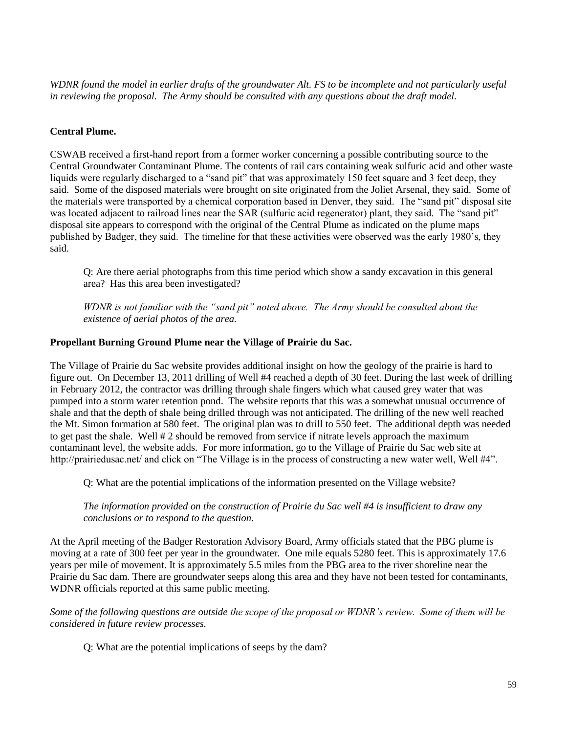*WDNR found the model in earlier drafts of the groundwater Alt. FS to be incomplete and not particularly useful in reviewing the proposal. The Army should be consulted with any questions about the draft model.*

#### **Central Plume.**

CSWAB received a first-hand report from a former worker concerning a possible contributing source to the Central Groundwater Contaminant Plume. The contents of rail cars containing weak sulfuric acid and other waste liquids were regularly discharged to a "sand pit" that was approximately 150 feet square and 3 feet deep, they said. Some of the disposed materials were brought on site originated from the Joliet Arsenal, they said. Some of the materials were transported by a chemical corporation based in Denver, they said. The "sand pit" disposal site was located adjacent to railroad lines near the SAR (sulfuric acid regenerator) plant, they said. The "sand pit" disposal site appears to correspond with the original of the Central Plume as indicated on the plume maps published by Badger, they said. The timeline for that these activities were observed was the early 1980's, they said.

Q: Are there aerial photographs from this time period which show a sandy excavation in this general area? Has this area been investigated?

*WDNR is not familiar with the "sand pit" noted above. The Army should be consulted about the existence of aerial photos of the area.*

#### **Propellant Burning Ground Plume near the Village of Prairie du Sac.**

The Village of Prairie du Sac website provides additional insight on how the geology of the prairie is hard to figure out. On December 13, 2011 drilling of Well #4 reached a depth of 30 feet. During the last week of drilling in February 2012, the contractor was drilling through shale fingers which what caused grey water that was pumped into a storm water retention pond. The website reports that this was a somewhat unusual occurrence of shale and that the depth of shale being drilled through was not anticipated. The drilling of the new well reached the Mt. Simon formation at 580 feet. The original plan was to drill to 550 feet. The additional depth was needed to get past the shale. Well # 2 should be removed from service if nitrate levels approach the maximum contaminant level, the website adds. For more information, go to the Village of Prairie du Sac web site at http://prairiedusac.net/ and click on "The Village is in the process of constructing a new water well. Well #4".

Q: What are the potential implications of the information presented on the Village website?

*The information provided on the construction of Prairie du Sac well #4 is insufficient to draw any conclusions or to respond to the question.*

At the April meeting of the Badger Restoration Advisory Board, Army officials stated that the PBG plume is moving at a rate of 300 feet per year in the groundwater. One mile equals 5280 feet. This is approximately 17.6 years per mile of movement. It is approximately 5.5 miles from the PBG area to the river shoreline near the Prairie du Sac dam. There are groundwater seeps along this area and they have not been tested for contaminants, WDNR officials reported at this same public meeting.

*Some of the following questions are outside the scope of the proposal or WDNR's review. Some of them will be considered in future review processes.*

Q: What are the potential implications of seeps by the dam?